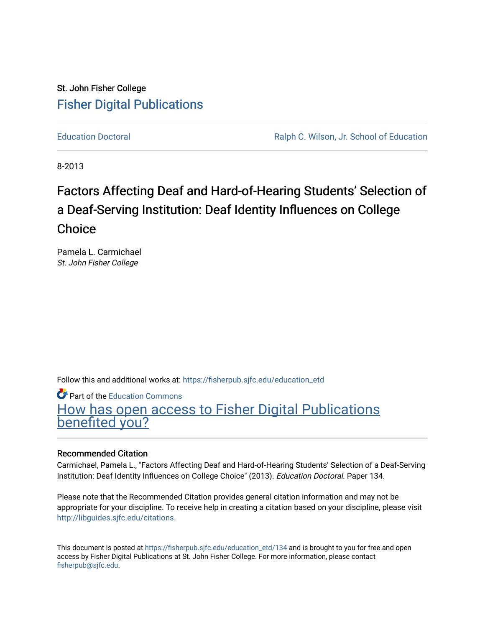# St. John Fisher College [Fisher Digital Publications](https://fisherpub.sjfc.edu/)

[Education Doctoral](https://fisherpub.sjfc.edu/education_etd) [Ralph C. Wilson, Jr. School of Education](https://fisherpub.sjfc.edu/education_student) 

8-2013

# Factors Affecting Deaf and Hard-of-Hearing Students' Selection of a Deaf-Serving Institution: Deaf Identity Influences on College **Choice**

Pamela L. Carmichael St. John Fisher College

Follow this and additional works at: [https://fisherpub.sjfc.edu/education\\_etd](https://fisherpub.sjfc.edu/education_etd?utm_source=fisherpub.sjfc.edu%2Feducation_etd%2F134&utm_medium=PDF&utm_campaign=PDFCoverPages) 

Part of the [Education Commons](http://network.bepress.com/hgg/discipline/784?utm_source=fisherpub.sjfc.edu%2Feducation_etd%2F134&utm_medium=PDF&utm_campaign=PDFCoverPages)

[How has open access to Fisher Digital Publications](https://docs.google.com/forms/d/14zrnDfH9d1wcdq8oG_-gFabAsxfcH5claltx85ZWyTg/viewform?entry.1394608989=https://fisherpub.sjfc.edu/education_etd/134%3Chttps://docs.google.com/forms/d/14zrnDfH9d1wcdq8oG_-gFabAsxfcH5claltx85ZWyTg/viewform?entry.1394608989=%7bhttps://fisherpub.sjfc.edu/education_etd/134%7d) [benefited you?](https://docs.google.com/forms/d/14zrnDfH9d1wcdq8oG_-gFabAsxfcH5claltx85ZWyTg/viewform?entry.1394608989=https://fisherpub.sjfc.edu/education_etd/134%3Chttps://docs.google.com/forms/d/14zrnDfH9d1wcdq8oG_-gFabAsxfcH5claltx85ZWyTg/viewform?entry.1394608989=%7bhttps://fisherpub.sjfc.edu/education_etd/134%7d)

# Recommended Citation

Carmichael, Pamela L., "Factors Affecting Deaf and Hard-of-Hearing Students' Selection of a Deaf-Serving Institution: Deaf Identity Influences on College Choice" (2013). Education Doctoral. Paper 134.

Please note that the Recommended Citation provides general citation information and may not be appropriate for your discipline. To receive help in creating a citation based on your discipline, please visit [http://libguides.sjfc.edu/citations.](http://libguides.sjfc.edu/citations)

This document is posted at [https://fisherpub.sjfc.edu/education\\_etd/134](https://fisherpub.sjfc.edu/education_etd/134) and is brought to you for free and open access by Fisher Digital Publications at St. John Fisher College. For more information, please contact [fisherpub@sjfc.edu](mailto:fisherpub@sjfc.edu).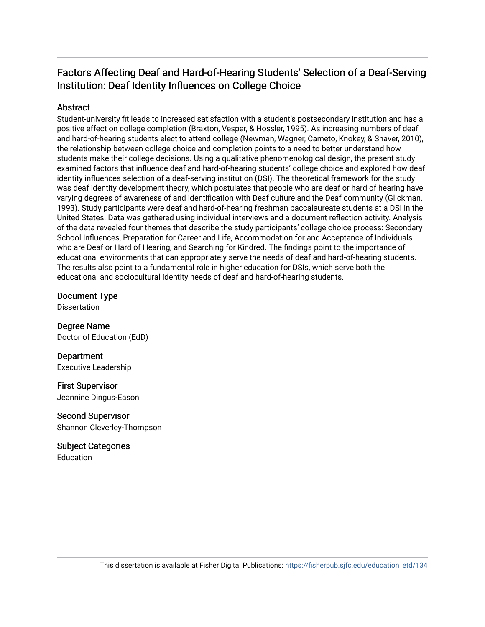# Factors Affecting Deaf and Hard-of-Hearing Students' Selection of a Deaf-Serving Institution: Deaf Identity Influences on College Choice

# **Abstract**

Student-university fit leads to increased satisfaction with a student's postsecondary institution and has a positive effect on college completion (Braxton, Vesper, & Hossler, 1995). As increasing numbers of deaf and hard-of-hearing students elect to attend college (Newman, Wagner, Cameto, Knokey, & Shaver, 2010), the relationship between college choice and completion points to a need to better understand how students make their college decisions. Using a qualitative phenomenological design, the present study examined factors that influence deaf and hard-of-hearing students' college choice and explored how deaf identity influences selection of a deaf-serving institution (DSI). The theoretical framework for the study was deaf identity development theory, which postulates that people who are deaf or hard of hearing have varying degrees of awareness of and identification with Deaf culture and the Deaf community (Glickman, 1993). Study participants were deaf and hard-of-hearing freshman baccalaureate students at a DSI in the United States. Data was gathered using individual interviews and a document reflection activity. Analysis of the data revealed four themes that describe the study participants' college choice process: Secondary School Influences, Preparation for Career and Life, Accommodation for and Acceptance of Individuals who are Deaf or Hard of Hearing, and Searching for Kindred. The findings point to the importance of educational environments that can appropriately serve the needs of deaf and hard-of-hearing students. The results also point to a fundamental role in higher education for DSIs, which serve both the educational and sociocultural identity needs of deaf and hard-of-hearing students.

Document Type

**Dissertation** 

Degree Name Doctor of Education (EdD)

Department Executive Leadership

First Supervisor Jeannine Dingus-Eason

Second Supervisor Shannon Cleverley-Thompson

Subject Categories **Education**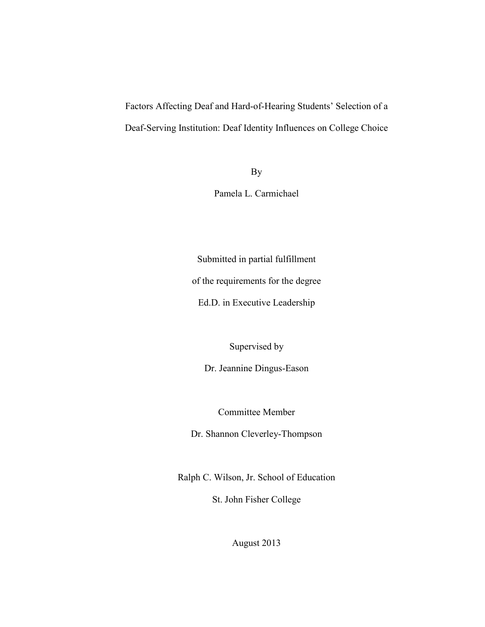Factors Affecting Deaf and Hard-of-Hearing Students' Selection of a Deaf-Serving Institution: Deaf Identity Influences on College Choice

By

Pamela L. Carmichael

Submitted in partial fulfillment

of the requirements for the degree

Ed.D. in Executive Leadership

Supervised by

Dr. Jeannine Dingus-Eason

Committee Member

Dr. Shannon Cleverley-Thompson

Ralph C. Wilson, Jr. School of Education

St. John Fisher College

August 2013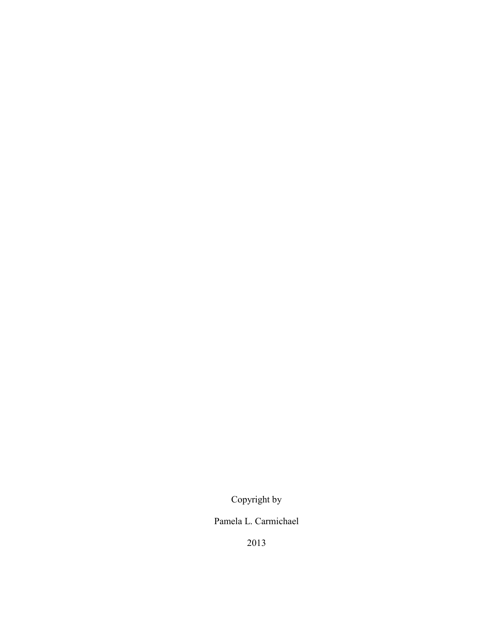Copyright by

Pamela L. Carmichael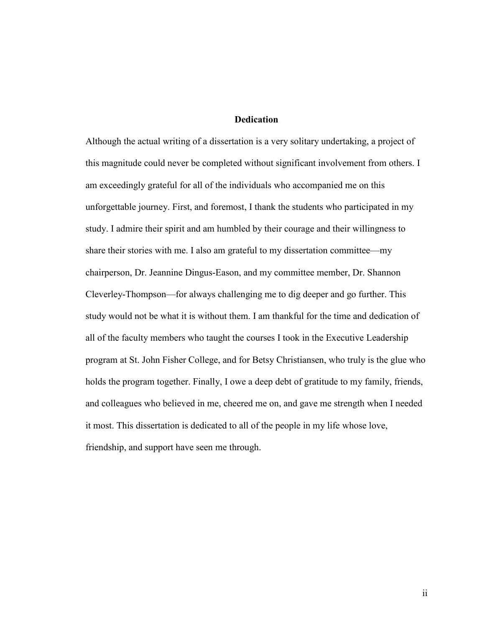## **Dedication**

<span id="page-4-0"></span>Although the actual writing of a dissertation is a very solitary undertaking, a project of this magnitude could never be completed without significant involvement from others. I am exceedingly grateful for all of the individuals who accompanied me on this unforgettable journey. First, and foremost, I thank the students who participated in my study. I admire their spirit and am humbled by their courage and their willingness to share their stories with me. I also am grateful to my dissertation committee—my chairperson, Dr. Jeannine Dingus-Eason, and my committee member, Dr. Shannon Cleverley-Thompson—for always challenging me to dig deeper and go further. This study would not be what it is without them. I am thankful for the time and dedication of all of the faculty members who taught the courses I took in the Executive Leadership program at St. John Fisher College, and for Betsy Christiansen, who truly is the glue who holds the program together. Finally, I owe a deep debt of gratitude to my family, friends, and colleagues who believed in me, cheered me on, and gave me strength when I needed it most. This dissertation is dedicated to all of the people in my life whose love, friendship, and support have seen me through.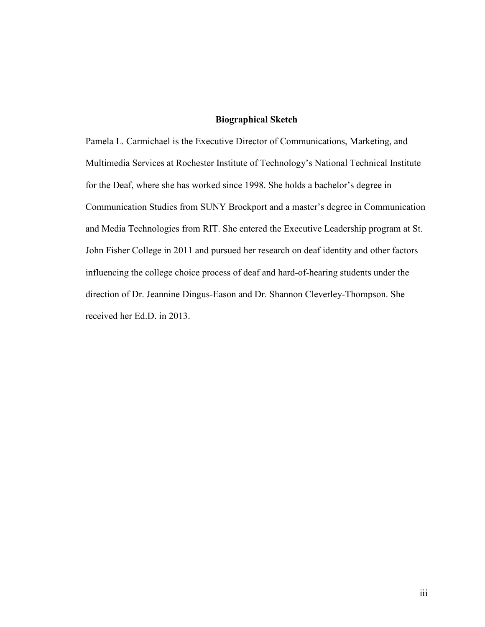# **Biographical Sketch**

<span id="page-5-0"></span>Pamela L. Carmichael is the Executive Director of Communications, Marketing, and Multimedia Services at Rochester Institute of Technology's National Technical Institute for the Deaf, where she has worked since 1998. She holds a bachelor's degree in Communication Studies from SUNY Brockport and a master's degree in Communication and Media Technologies from RIT. She entered the Executive Leadership program at St. John Fisher College in 2011 and pursued her research on deaf identity and other factors influencing the college choice process of deaf and hard-of-hearing students under the direction of Dr. Jeannine Dingus-Eason and Dr. Shannon Cleverley-Thompson. She received her Ed.D. in 2013.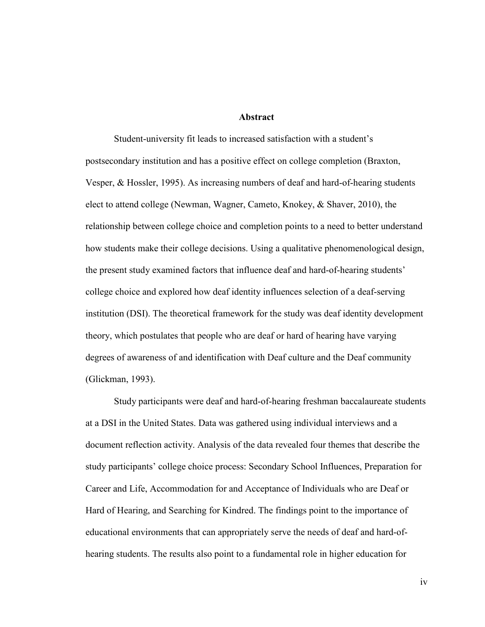#### **Abstract**

<span id="page-6-0"></span>Student-university fit leads to increased satisfaction with a student's postsecondary institution and has a positive effect on college completion (Braxton, Vesper, & Hossler, 1995). As increasing numbers of deaf and hard-of-hearing students elect to attend college (Newman, Wagner, Cameto, Knokey, & Shaver, 2010), the relationship between college choice and completion points to a need to better understand how students make their college decisions. Using a qualitative phenomenological design, the present study examined factors that influence deaf and hard-of-hearing students' college choice and explored how deaf identity influences selection of a deaf-serving institution (DSI). The theoretical framework for the study was deaf identity development theory, which postulates that people who are deaf or hard of hearing have varying degrees of awareness of and identification with Deaf culture and the Deaf community (Glickman, 1993).

Study participants were deaf and hard-of-hearing freshman baccalaureate students at a DSI in the United States. Data was gathered using individual interviews and a document reflection activity. Analysis of the data revealed four themes that describe the study participants' college choice process: Secondary School Influences, Preparation for Career and Life, Accommodation for and Acceptance of Individuals who are Deaf or Hard of Hearing, and Searching for Kindred. The findings point to the importance of educational environments that can appropriately serve the needs of deaf and hard-ofhearing students. The results also point to a fundamental role in higher education for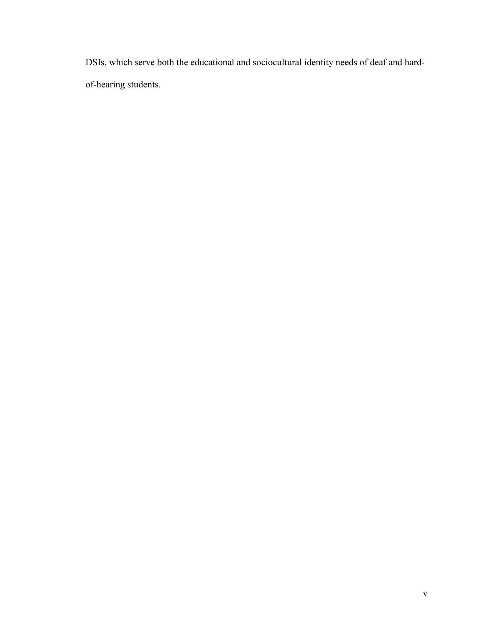DSIs, which serve both the educational and sociocultural identity needs of deaf and hardof-hearing students.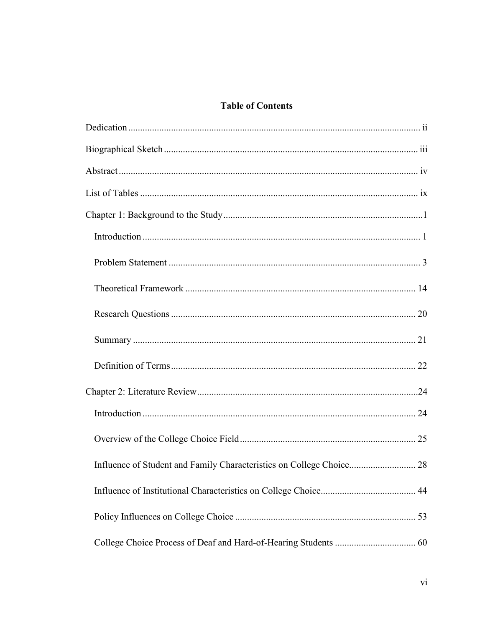# **Table of Contents**

| Influence of Student and Family Characteristics on College Choice 28 |  |
|----------------------------------------------------------------------|--|
|                                                                      |  |
|                                                                      |  |
|                                                                      |  |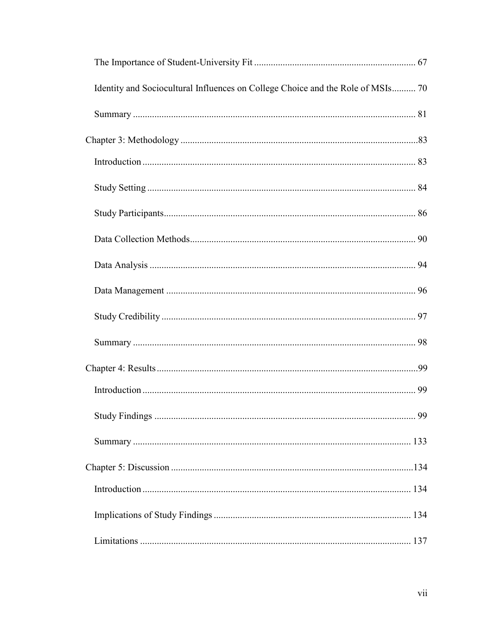| Identity and Sociocultural Influences on College Choice and the Role of MSIs 70 |  |
|---------------------------------------------------------------------------------|--|
|                                                                                 |  |
|                                                                                 |  |
|                                                                                 |  |
|                                                                                 |  |
|                                                                                 |  |
|                                                                                 |  |
|                                                                                 |  |
|                                                                                 |  |
|                                                                                 |  |
|                                                                                 |  |
|                                                                                 |  |
|                                                                                 |  |
|                                                                                 |  |
|                                                                                 |  |
|                                                                                 |  |
|                                                                                 |  |
|                                                                                 |  |
|                                                                                 |  |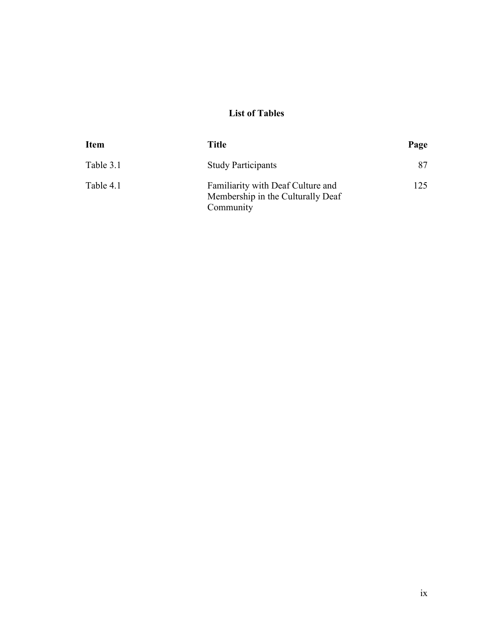# **List of Tables**

<span id="page-11-0"></span>

| <b>Item</b> | Title                                                                               | Page |
|-------------|-------------------------------------------------------------------------------------|------|
| Table 3.1   | <b>Study Participants</b>                                                           | 87   |
| Table 4.1   | Familiarity with Deaf Culture and<br>Membership in the Culturally Deaf<br>Community | 125  |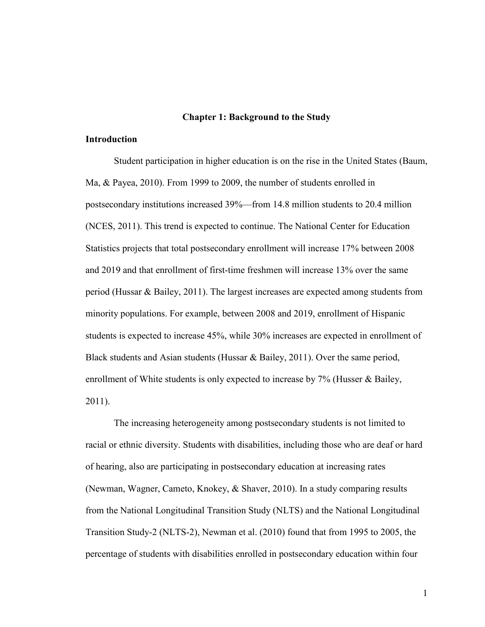#### **Chapter 1: Background to the Study**

### <span id="page-12-1"></span><span id="page-12-0"></span>**Introduction**

Student participation in higher education is on the rise in the United States (Baum, Ma, & Payea, 2010). From 1999 to 2009, the number of students enrolled in postsecondary institutions increased 39%—from 14.8 million students to 20.4 million (NCES, 2011). This trend is expected to continue. The National Center for Education Statistics projects that total postsecondary enrollment will increase 17% between 2008 and 2019 and that enrollment of first-time freshmen will increase 13% over the same period (Hussar & Bailey, 2011). The largest increases are expected among students from minority populations. For example, between 2008 and 2019, enrollment of Hispanic students is expected to increase 45%, while 30% increases are expected in enrollment of Black students and Asian students (Hussar & Bailey, 2011). Over the same period, enrollment of White students is only expected to increase by 7% (Husser & Bailey, 2011).

The increasing heterogeneity among postsecondary students is not limited to racial or ethnic diversity. Students with disabilities, including those who are deaf or hard of hearing, also are participating in postsecondary education at increasing rates (Newman, Wagner, Cameto, Knokey, & Shaver, 2010). In a study comparing results from the National Longitudinal Transition Study (NLTS) and the National Longitudinal Transition Study-2 (NLTS-2), Newman et al. (2010) found that from 1995 to 2005, the percentage of students with disabilities enrolled in postsecondary education within four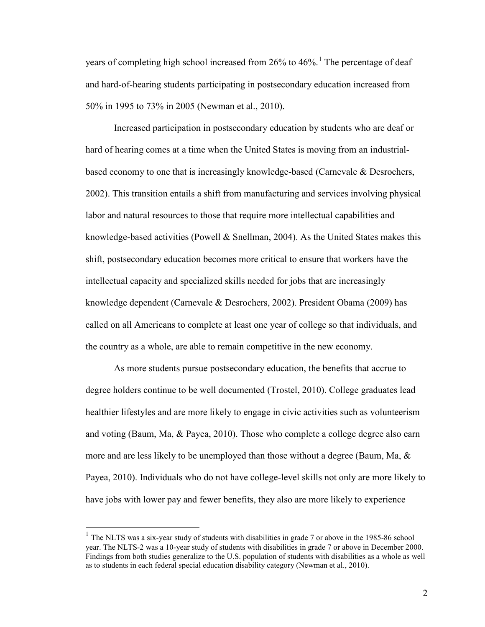years of completing high school increased from 26% to 46%.<sup>[1](#page-13-0)</sup> The percentage of deaf and hard-of-hearing students participating in postsecondary education increased from 50% in 1995 to 73% in 2005 (Newman et al., 2010).

Increased participation in postsecondary education by students who are deaf or hard of hearing comes at a time when the United States is moving from an industrialbased economy to one that is increasingly knowledge-based (Carnevale & Desrochers, 2002). This transition entails a shift from manufacturing and services involving physical labor and natural resources to those that require more intellectual capabilities and knowledge-based activities (Powell  $\&$  Snellman, 2004). As the United States makes this shift, postsecondary education becomes more critical to ensure that workers have the intellectual capacity and specialized skills needed for jobs that are increasingly knowledge dependent (Carnevale & Desrochers, 2002). President Obama (2009) has called on all Americans to complete at least one year of college so that individuals, and the country as a whole, are able to remain competitive in the new economy.

As more students pursue postsecondary education, the benefits that accrue to degree holders continue to be well documented (Trostel, 2010). College graduates lead healthier lifestyles and are more likely to engage in civic activities such as volunteerism and voting (Baum, Ma, & Payea, 2010). Those who complete a college degree also earn more and are less likely to be unemployed than those without a degree (Baum, Ma,  $\&$ Payea, 2010). Individuals who do not have college-level skills not only are more likely to have jobs with lower pay and fewer benefits, they also are more likely to experience

 $\overline{a}$ 

<span id="page-13-0"></span> $1$  The NLTS was a six-year study of students with disabilities in grade 7 or above in the 1985-86 school year. The NLTS-2 was a 10-year study of students with disabilities in grade 7 or above in December 2000. Findings from both studies generalize to the U.S. population of students with disabilities as a whole as well as to students in each federal special education disability category (Newman et al., 2010).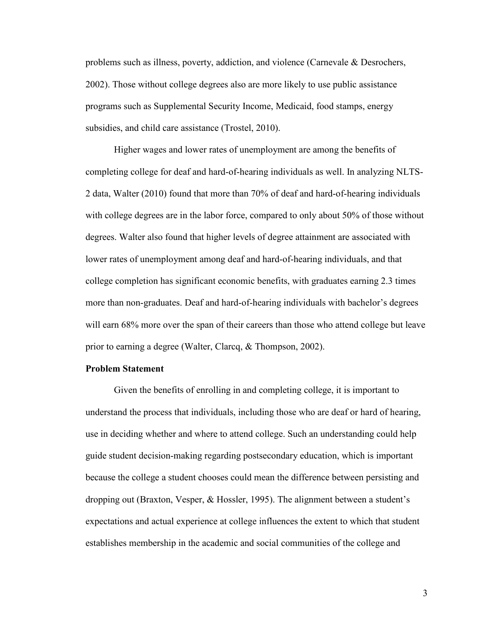problems such as illness, poverty, addiction, and violence (Carnevale & Desrochers, 2002). Those without college degrees also are more likely to use public assistance programs such as Supplemental Security Income, Medicaid, food stamps, energy subsidies, and child care assistance (Trostel, 2010).

Higher wages and lower rates of unemployment are among the benefits of completing college for deaf and hard-of-hearing individuals as well. In analyzing NLTS-2 data, Walter (2010) found that more than 70% of deaf and hard-of-hearing individuals with college degrees are in the labor force, compared to only about 50% of those without degrees. Walter also found that higher levels of degree attainment are associated with lower rates of unemployment among deaf and hard-of-hearing individuals, and that college completion has significant economic benefits, with graduates earning 2.3 times more than non-graduates. Deaf and hard-of-hearing individuals with bachelor's degrees will earn 68% more over the span of their careers than those who attend college but leave prior to earning a degree (Walter, Clarcq, & Thompson, 2002).

#### <span id="page-14-0"></span>**Problem Statement**

Given the benefits of enrolling in and completing college, it is important to understand the process that individuals, including those who are deaf or hard of hearing, use in deciding whether and where to attend college. Such an understanding could help guide student decision-making regarding postsecondary education, which is important because the college a student chooses could mean the difference between persisting and dropping out (Braxton, Vesper, & Hossler, 1995). The alignment between a student's expectations and actual experience at college influences the extent to which that student establishes membership in the academic and social communities of the college and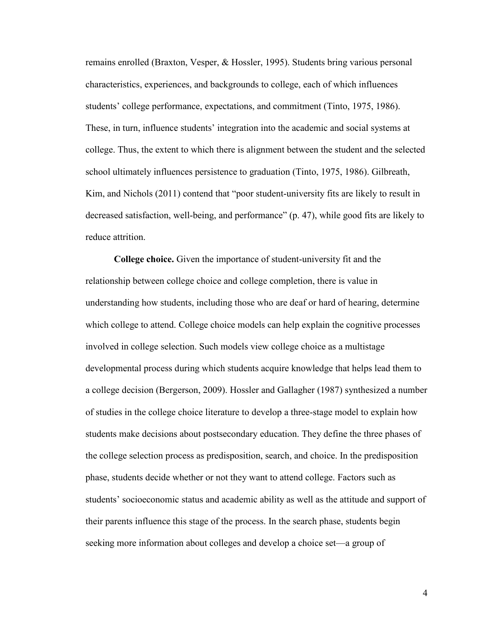remains enrolled (Braxton, Vesper, & Hossler, 1995). Students bring various personal characteristics, experiences, and backgrounds to college, each of which influences students' college performance, expectations, and commitment (Tinto, 1975, 1986). These, in turn, influence students' integration into the academic and social systems at college. Thus, the extent to which there is alignment between the student and the selected school ultimately influences persistence to graduation (Tinto, 1975, 1986). Gilbreath, Kim, and Nichols (2011) contend that "poor student-university fits are likely to result in decreased satisfaction, well-being, and performance" (p. 47), while good fits are likely to reduce attrition.

**College choice.** Given the importance of student-university fit and the relationship between college choice and college completion, there is value in understanding how students, including those who are deaf or hard of hearing, determine which college to attend. College choice models can help explain the cognitive processes involved in college selection. Such models view college choice as a multistage developmental process during which students acquire knowledge that helps lead them to a college decision (Bergerson, 2009). Hossler and Gallagher (1987) synthesized a number of studies in the college choice literature to develop a three-stage model to explain how students make decisions about postsecondary education. They define the three phases of the college selection process as predisposition, search, and choice. In the predisposition phase, students decide whether or not they want to attend college. Factors such as students' socioeconomic status and academic ability as well as the attitude and support of their parents influence this stage of the process. In the search phase, students begin seeking more information about colleges and develop a choice set—a group of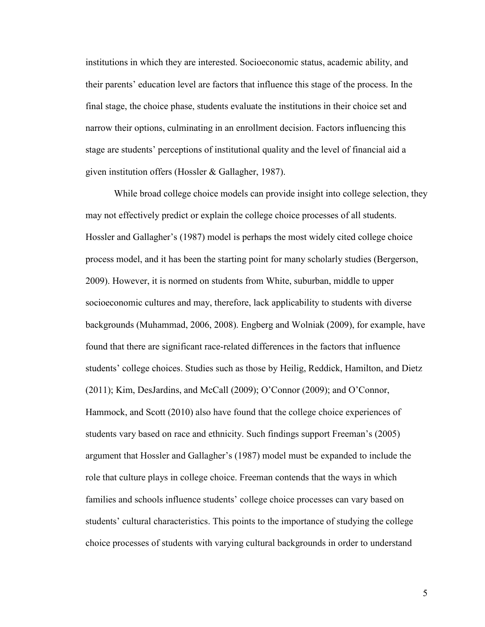institutions in which they are interested. Socioeconomic status, academic ability, and their parents' education level are factors that influence this stage of the process. In the final stage, the choice phase, students evaluate the institutions in their choice set and narrow their options, culminating in an enrollment decision. Factors influencing this stage are students' perceptions of institutional quality and the level of financial aid a given institution offers (Hossler & Gallagher, 1987).

While broad college choice models can provide insight into college selection, they may not effectively predict or explain the college choice processes of all students. Hossler and Gallagher's (1987) model is perhaps the most widely cited college choice process model, and it has been the starting point for many scholarly studies (Bergerson, 2009). However, it is normed on students from White, suburban, middle to upper socioeconomic cultures and may, therefore, lack applicability to students with diverse backgrounds (Muhammad, 2006, 2008). Engberg and Wolniak (2009), for example, have found that there are significant race-related differences in the factors that influence students' college choices. Studies such as those by Heilig, Reddick, Hamilton, and Dietz (2011); Kim, DesJardins, and McCall (2009); O'Connor (2009); and O'Connor, Hammock, and Scott (2010) also have found that the college choice experiences of students vary based on race and ethnicity. Such findings support Freeman's (2005) argument that Hossler and Gallagher's (1987) model must be expanded to include the role that culture plays in college choice. Freeman contends that the ways in which families and schools influence students' college choice processes can vary based on students' cultural characteristics. This points to the importance of studying the college choice processes of students with varying cultural backgrounds in order to understand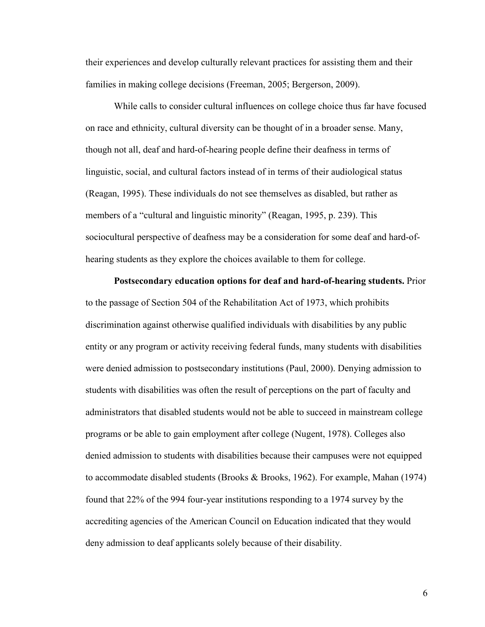their experiences and develop culturally relevant practices for assisting them and their families in making college decisions (Freeman, 2005; Bergerson, 2009).

While calls to consider cultural influences on college choice thus far have focused on race and ethnicity, cultural diversity can be thought of in a broader sense. Many, though not all, deaf and hard-of-hearing people define their deafness in terms of linguistic, social, and cultural factors instead of in terms of their audiological status (Reagan, 1995). These individuals do not see themselves as disabled, but rather as members of a "cultural and linguistic minority" (Reagan, 1995, p. 239). This sociocultural perspective of deafness may be a consideration for some deaf and hard-ofhearing students as they explore the choices available to them for college.

**Postsecondary education options for deaf and hard-of-hearing students.** Prior to the passage of Section 504 of the Rehabilitation Act of 1973, which prohibits discrimination against otherwise qualified individuals with disabilities by any public entity or any program or activity receiving federal funds, many students with disabilities were denied admission to postsecondary institutions (Paul, 2000). Denying admission to students with disabilities was often the result of perceptions on the part of faculty and administrators that disabled students would not be able to succeed in mainstream college programs or be able to gain employment after college (Nugent, 1978). Colleges also denied admission to students with disabilities because their campuses were not equipped to accommodate disabled students (Brooks & Brooks, 1962). For example, Mahan (1974) found that 22% of the 994 four-year institutions responding to a 1974 survey by the accrediting agencies of the American Council on Education indicated that they would deny admission to deaf applicants solely because of their disability.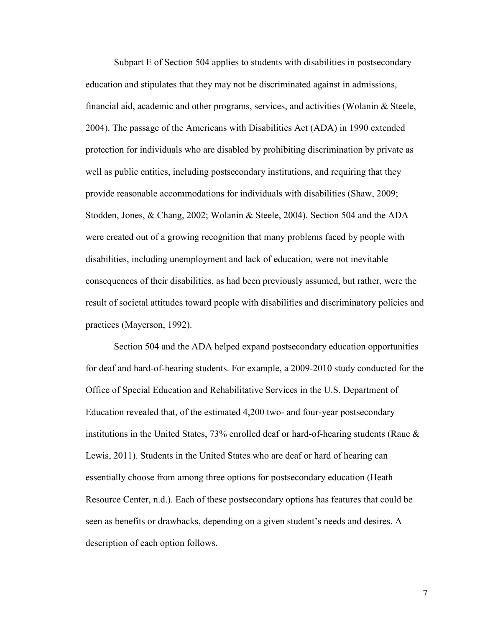Subpart E of Section 504 applies to students with disabilities in postsecondary education and stipulates that they may not be discriminated against in admissions, financial aid, academic and other programs, services, and activities (Wolanin & Steele, 2004). The passage of the Americans with Disabilities Act (ADA) in 1990 extended protection for individuals who are disabled by prohibiting discrimination by private as well as public entities, including postsecondary institutions, and requiring that they provide reasonable accommodations for individuals with disabilities (Shaw, 2009; Stodden, Jones, & Chang, 2002; Wolanin & Steele, 2004). Section 504 and the ADA were created out of a growing recognition that many problems faced by people with disabilities, including unemployment and lack of education, were not inevitable consequences of their disabilities, as had been previously assumed, but rather, were the result of societal attitudes toward people with disabilities and discriminatory policies and practices (Mayerson, 1992).

Section 504 and the ADA helped expand postsecondary education opportunities for deaf and hard-of-hearing students. For example, a 2009-2010 study conducted for the Office of Special Education and Rehabilitative Services in the U.S. Department of Education revealed that, of the estimated 4,200 two- and four-year postsecondary institutions in the United States, 73% enrolled deaf or hard-of-hearing students (Raue & Lewis, 2011). Students in the United States who are deaf or hard of hearing can essentially choose from among three options for postsecondary education (Heath Resource Center, n.d.). Each of these postsecondary options has features that could be seen as benefits or drawbacks, depending on a given student's needs and desires. A description of each option follows.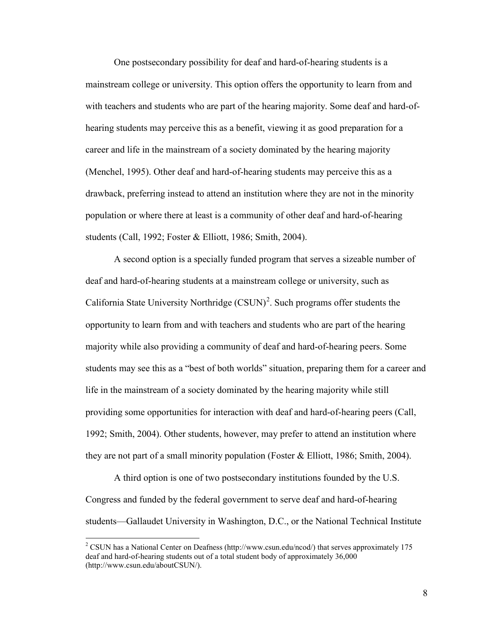One postsecondary possibility for deaf and hard-of-hearing students is a mainstream college or university. This option offers the opportunity to learn from and with teachers and students who are part of the hearing majority. Some deaf and hard-ofhearing students may perceive this as a benefit, viewing it as good preparation for a career and life in the mainstream of a society dominated by the hearing majority (Menchel, 1995). Other deaf and hard-of-hearing students may perceive this as a drawback, preferring instead to attend an institution where they are not in the minority population or where there at least is a community of other deaf and hard-of-hearing students (Call, 1992; Foster & Elliott, 1986; Smith, 2004).

A second option is a specially funded program that serves a sizeable number of deaf and hard-of-hearing students at a mainstream college or university, such as California State University Northridge  $(CSUM)^2$  $(CSUM)^2$ . Such programs offer students the opportunity to learn from and with teachers and students who are part of the hearing majority while also providing a community of deaf and hard-of-hearing peers. Some students may see this as a "best of both worlds" situation, preparing them for a career and life in the mainstream of a society dominated by the hearing majority while still providing some opportunities for interaction with deaf and hard-of-hearing peers (Call, 1992; Smith, 2004). Other students, however, may prefer to attend an institution where they are not part of a small minority population (Foster & Elliott, 1986; Smith, 2004).

A third option is one of two postsecondary institutions founded by the U.S. Congress and funded by the federal government to serve deaf and hard-of-hearing students—Gallaudet University in Washington, D.C., or the National Technical Institute

 $\overline{a}$ 

<span id="page-19-0"></span><sup>&</sup>lt;sup>2</sup> CSUN has a National Center on Deafness [\(http://www.csun.edu/ncod/\)](http://www.csun.edu/ncod/) that serves approximately 175 deaf and hard-of-hearing students out of a total student body of approximately 36,000 (http://www.csun.edu/aboutCSUN/).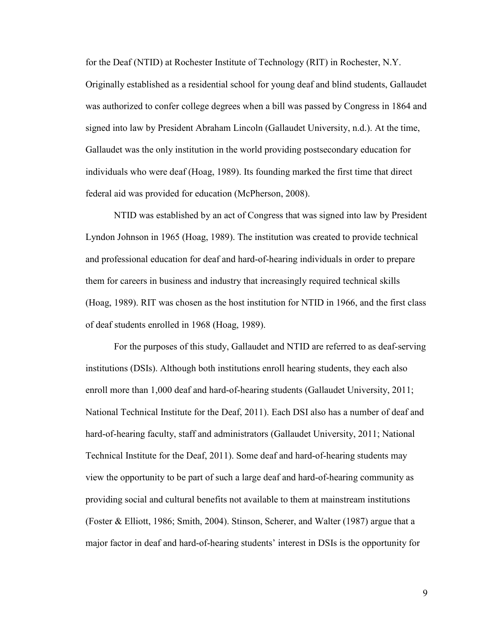for the Deaf (NTID) at Rochester Institute of Technology (RIT) in Rochester, N.Y. Originally established as a residential school for young deaf and blind students, Gallaudet was authorized to confer college degrees when a bill was passed by Congress in 1864 and signed into law by President Abraham Lincoln (Gallaudet University, n.d.). At the time, Gallaudet was the only institution in the world providing postsecondary education for individuals who were deaf (Hoag, 1989). Its founding marked the first time that direct federal aid was provided for education (McPherson, 2008).

NTID was established by an act of Congress that was signed into law by President Lyndon Johnson in 1965 (Hoag, 1989). The institution was created to provide technical and professional education for deaf and hard-of-hearing individuals in order to prepare them for careers in business and industry that increasingly required technical skills (Hoag, 1989). RIT was chosen as the host institution for NTID in 1966, and the first class of deaf students enrolled in 1968 (Hoag, 1989).

For the purposes of this study, Gallaudet and NTID are referred to as deaf-serving institutions (DSIs). Although both institutions enroll hearing students, they each also enroll more than 1,000 deaf and hard-of-hearing students (Gallaudet University, 2011; National Technical Institute for the Deaf, 2011). Each DSI also has a number of deaf and hard-of-hearing faculty, staff and administrators (Gallaudet University, 2011; National Technical Institute for the Deaf, 2011). Some deaf and hard-of-hearing students may view the opportunity to be part of such a large deaf and hard-of-hearing community as providing social and cultural benefits not available to them at mainstream institutions (Foster & Elliott, 1986; Smith, 2004). Stinson, Scherer, and Walter (1987) argue that a major factor in deaf and hard-of-hearing students' interest in DSIs is the opportunity for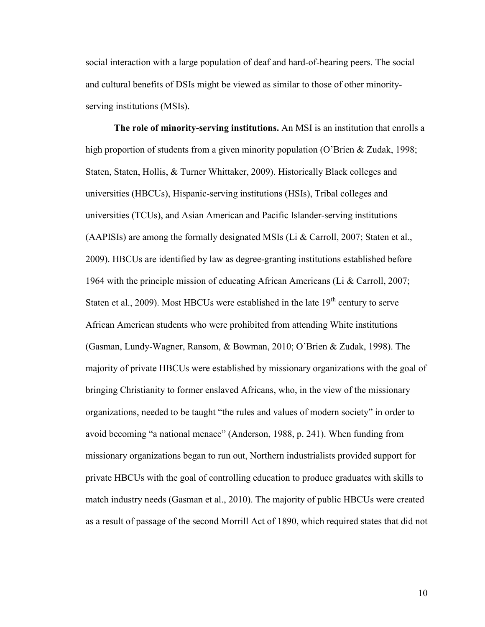social interaction with a large population of deaf and hard-of-hearing peers. The social and cultural benefits of DSIs might be viewed as similar to those of other minorityserving institutions (MSIs).

**The role of minority-serving institutions.** An MSI is an institution that enrolls a high proportion of students from a given minority population (O'Brien & Zudak, 1998; Staten, Staten, Hollis, & Turner Whittaker, 2009). Historically Black colleges and universities (HBCUs), Hispanic-serving institutions (HSIs), Tribal colleges and universities (TCUs), and Asian American and Pacific Islander-serving institutions (AAPISIs) are among the formally designated MSIs (Li & Carroll, 2007; Staten et al., 2009). HBCUs are identified by law as degree-granting institutions established before 1964 with the principle mission of educating African Americans (Li & Carroll, 2007; Staten et al., 2009). Most HBCUs were established in the late  $19<sup>th</sup>$  century to serve African American students who were prohibited from attending White institutions (Gasman, Lundy-Wagner, Ransom, & Bowman, 2010; O'Brien & Zudak, 1998). The majority of private HBCUs were established by missionary organizations with the goal of bringing Christianity to former enslaved Africans, who, in the view of the missionary organizations, needed to be taught "the rules and values of modern society" in order to avoid becoming "a national menace" (Anderson, 1988, p. 241). When funding from missionary organizations began to run out, Northern industrialists provided support for private HBCUs with the goal of controlling education to produce graduates with skills to match industry needs (Gasman et al., 2010). The majority of public HBCUs were created as a result of passage of the second Morrill Act of 1890, which required states that did not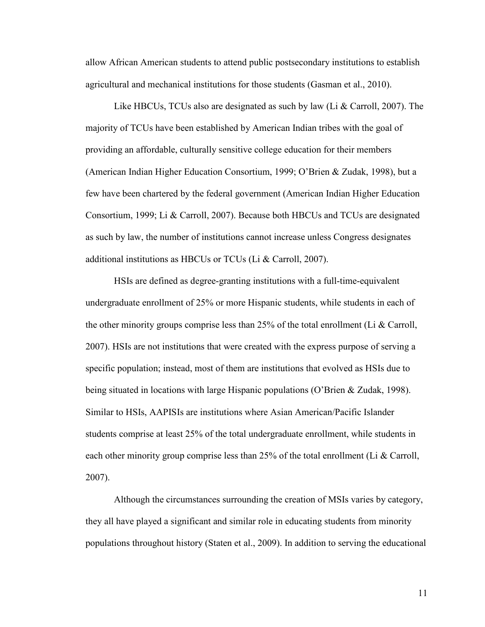allow African American students to attend public postsecondary institutions to establish agricultural and mechanical institutions for those students (Gasman et al., 2010).

Like HBCUs, TCUs also are designated as such by law (Li & Carroll, 2007). The majority of TCUs have been established by American Indian tribes with the goal of providing an affordable, culturally sensitive college education for their members (American Indian Higher Education Consortium, 1999; O'Brien & Zudak, 1998), but a few have been chartered by the federal government (American Indian Higher Education Consortium, 1999; Li & Carroll, 2007). Because both HBCUs and TCUs are designated as such by law, the number of institutions cannot increase unless Congress designates additional institutions as HBCUs or TCUs (Li & Carroll, 2007).

HSIs are defined as degree-granting institutions with a full-time-equivalent undergraduate enrollment of 25% or more Hispanic students, while students in each of the other minority groups comprise less than 25% of the total enrollment (Li & Carroll, 2007). HSIs are not institutions that were created with the express purpose of serving a specific population; instead, most of them are institutions that evolved as HSIs due to being situated in locations with large Hispanic populations (O'Brien & Zudak, 1998). Similar to HSIs, AAPISIs are institutions where Asian American/Pacific Islander students comprise at least 25% of the total undergraduate enrollment, while students in each other minority group comprise less than 25% of the total enrollment (Li & Carroll, 2007).

Although the circumstances surrounding the creation of MSIs varies by category, they all have played a significant and similar role in educating students from minority populations throughout history (Staten et al., 2009). In addition to serving the educational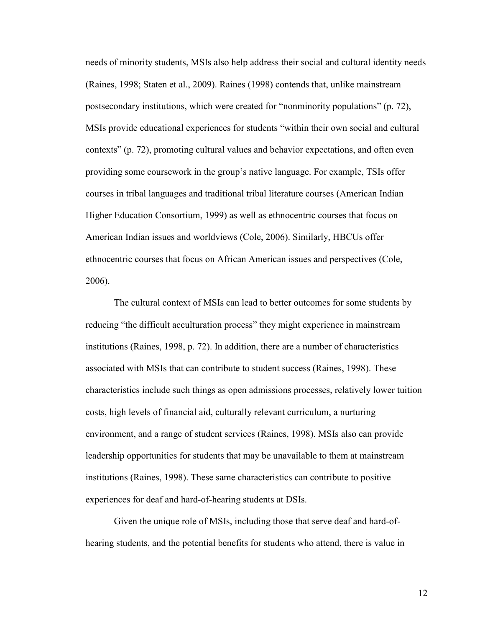needs of minority students, MSIs also help address their social and cultural identity needs (Raines, 1998; Staten et al., 2009). Raines (1998) contends that, unlike mainstream postsecondary institutions, which were created for "nonminority populations" (p. 72), MSIs provide educational experiences for students "within their own social and cultural contexts" (p. 72), promoting cultural values and behavior expectations, and often even providing some coursework in the group's native language. For example, TSIs offer courses in tribal languages and traditional tribal literature courses (American Indian Higher Education Consortium, 1999) as well as ethnocentric courses that focus on American Indian issues and worldviews (Cole, 2006). Similarly, HBCUs offer ethnocentric courses that focus on African American issues and perspectives (Cole, 2006).

The cultural context of MSIs can lead to better outcomes for some students by reducing "the difficult acculturation process" they might experience in mainstream institutions (Raines, 1998, p. 72). In addition, there are a number of characteristics associated with MSIs that can contribute to student success (Raines, 1998). These characteristics include such things as open admissions processes, relatively lower tuition costs, high levels of financial aid, culturally relevant curriculum, a nurturing environment, and a range of student services (Raines, 1998). MSIs also can provide leadership opportunities for students that may be unavailable to them at mainstream institutions (Raines, 1998). These same characteristics can contribute to positive experiences for deaf and hard-of-hearing students at DSIs.

Given the unique role of MSIs, including those that serve deaf and hard-ofhearing students, and the potential benefits for students who attend, there is value in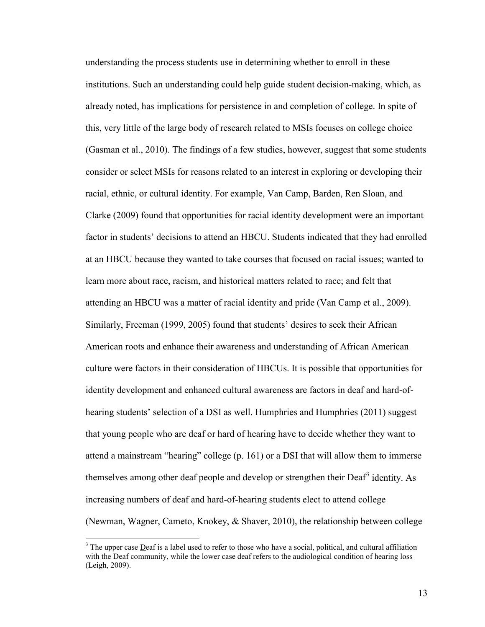understanding the process students use in determining whether to enroll in these institutions. Such an understanding could help guide student decision-making, which, as already noted, has implications for persistence in and completion of college. In spite of this, very little of the large body of research related to MSIs focuses on college choice (Gasman et al., 2010). The findings of a few studies, however, suggest that some students consider or select MSIs for reasons related to an interest in exploring or developing their racial, ethnic, or cultural identity. For example, Van Camp, Barden, Ren Sloan, and Clarke (2009) found that opportunities for racial identity development were an important factor in students' decisions to attend an HBCU. Students indicated that they had enrolled at an HBCU because they wanted to take courses that focused on racial issues; wanted to learn more about race, racism, and historical matters related to race; and felt that attending an HBCU was a matter of racial identity and pride (Van Camp et al., 2009). Similarly, Freeman (1999, 2005) found that students' desires to seek their African American roots and enhance their awareness and understanding of African American culture were factors in their consideration of HBCUs. It is possible that opportunities for identity development and enhanced cultural awareness are factors in deaf and hard-ofhearing students' selection of a DSI as well. Humphries and Humphries (2011) suggest that young people who are deaf or hard of hearing have to decide whether they want to attend a mainstream "hearing" college (p. 161) or a DSI that will allow them to immerse themselves among other deaf people and develop or strengthen their Deaf<sup>[3](#page-24-0)</sup> identity. As increasing numbers of deaf and hard-of-hearing students elect to attend college (Newman, Wagner, Cameto, Knokey, & Shaver, 2010), the relationship between college

 $\overline{a}$ 

<span id="page-24-0"></span><sup>&</sup>lt;sup>3</sup> The upper case Deaf is a label used to refer to those who have a social, political, and cultural affiliation with the Deaf community, while the lower case deaf refers to the audiological condition of hearing loss (Leigh, 2009).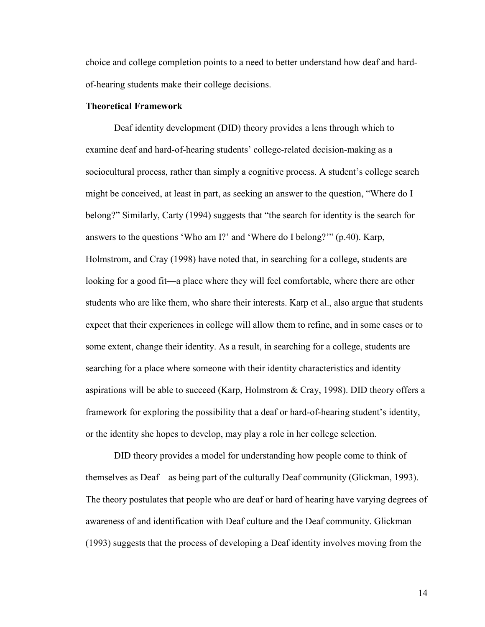choice and college completion points to a need to better understand how deaf and hardof-hearing students make their college decisions.

# <span id="page-25-0"></span>**Theoretical Framework**

Deaf identity development (DID) theory provides a lens through which to examine deaf and hard-of-hearing students' college-related decision-making as a sociocultural process, rather than simply a cognitive process. A student's college search might be conceived, at least in part, as seeking an answer to the question, "Where do I belong?" Similarly, Carty (1994) suggests that "the search for identity is the search for answers to the questions 'Who am I?' and 'Where do I belong?'" (p.40). Karp, Holmstrom, and Cray (1998) have noted that, in searching for a college, students are looking for a good fit—a place where they will feel comfortable, where there are other students who are like them, who share their interests. Karp et al., also argue that students expect that their experiences in college will allow them to refine, and in some cases or to some extent, change their identity. As a result, in searching for a college, students are searching for a place where someone with their identity characteristics and identity aspirations will be able to succeed (Karp, Holmstrom & Cray, 1998). DID theory offers a framework for exploring the possibility that a deaf or hard-of-hearing student's identity, or the identity she hopes to develop, may play a role in her college selection.

DID theory provides a model for understanding how people come to think of themselves as Deaf—as being part of the culturally Deaf community (Glickman, 1993). The theory postulates that people who are deaf or hard of hearing have varying degrees of awareness of and identification with Deaf culture and the Deaf community. Glickman (1993) suggests that the process of developing a Deaf identity involves moving from the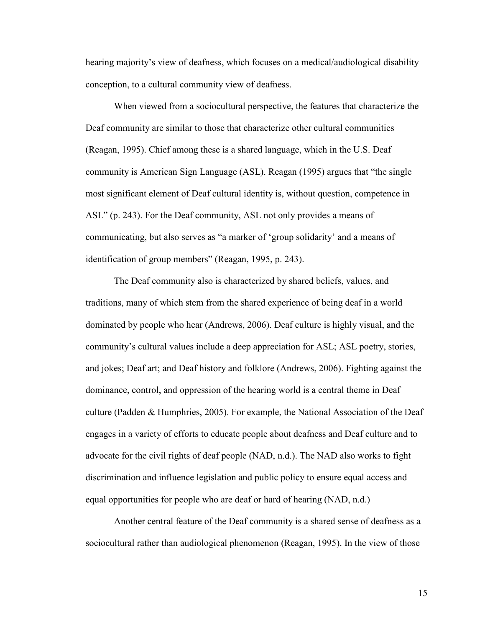hearing majority's view of deafness, which focuses on a medical/audiological disability conception, to a cultural community view of deafness.

When viewed from a sociocultural perspective, the features that characterize the Deaf community are similar to those that characterize other cultural communities (Reagan, 1995). Chief among these is a shared language, which in the U.S. Deaf community is American Sign Language (ASL). Reagan (1995) argues that "the single most significant element of Deaf cultural identity is, without question, competence in ASL" (p. 243). For the Deaf community, ASL not only provides a means of communicating, but also serves as "a marker of 'group solidarity' and a means of identification of group members" (Reagan, 1995, p. 243).

The Deaf community also is characterized by shared beliefs, values, and traditions, many of which stem from the shared experience of being deaf in a world dominated by people who hear (Andrews, 2006). Deaf culture is highly visual, and the community's cultural values include a deep appreciation for ASL; ASL poetry, stories, and jokes; Deaf art; and Deaf history and folklore (Andrews, 2006). Fighting against the dominance, control, and oppression of the hearing world is a central theme in Deaf culture (Padden & Humphries, 2005). For example, the National Association of the Deaf engages in a variety of efforts to educate people about deafness and Deaf culture and to advocate for the civil rights of deaf people (NAD, n.d.). The NAD also works to fight discrimination and influence legislation and public policy to ensure equal access and equal opportunities for people who are deaf or hard of hearing (NAD, n.d.)

Another central feature of the Deaf community is a shared sense of deafness as a sociocultural rather than audiological phenomenon (Reagan, 1995). In the view of those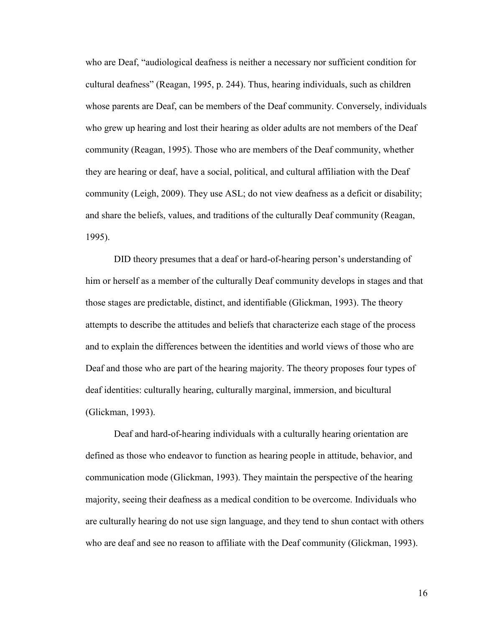who are Deaf, "audiological deafness is neither a necessary nor sufficient condition for cultural deafness" (Reagan, 1995, p. 244). Thus, hearing individuals, such as children whose parents are Deaf, can be members of the Deaf community. Conversely, individuals who grew up hearing and lost their hearing as older adults are not members of the Deaf community (Reagan, 1995). Those who are members of the Deaf community, whether they are hearing or deaf, have a social, political, and cultural affiliation with the Deaf community (Leigh, 2009). They use ASL; do not view deafness as a deficit or disability; and share the beliefs, values, and traditions of the culturally Deaf community (Reagan, 1995).

DID theory presumes that a deaf or hard-of-hearing person's understanding of him or herself as a member of the culturally Deaf community develops in stages and that those stages are predictable, distinct, and identifiable (Glickman, 1993). The theory attempts to describe the attitudes and beliefs that characterize each stage of the process and to explain the differences between the identities and world views of those who are Deaf and those who are part of the hearing majority. The theory proposes four types of deaf identities: culturally hearing, culturally marginal, immersion, and bicultural (Glickman, 1993).

Deaf and hard-of-hearing individuals with a culturally hearing orientation are defined as those who endeavor to function as hearing people in attitude, behavior, and communication mode (Glickman, 1993). They maintain the perspective of the hearing majority, seeing their deafness as a medical condition to be overcome. Individuals who are culturally hearing do not use sign language, and they tend to shun contact with others who are deaf and see no reason to affiliate with the Deaf community (Glickman, 1993).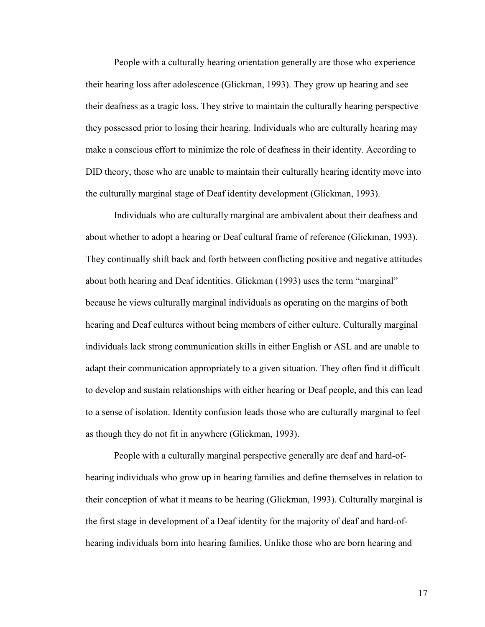People with a culturally hearing orientation generally are those who experience their hearing loss after adolescence (Glickman, 1993). They grow up hearing and see their deafness as a tragic loss. They strive to maintain the culturally hearing perspective they possessed prior to losing their hearing. Individuals who are culturally hearing may make a conscious effort to minimize the role of deafness in their identity. According to DID theory, those who are unable to maintain their culturally hearing identity move into the culturally marginal stage of Deaf identity development (Glickman, 1993).

Individuals who are culturally marginal are ambivalent about their deafness and about whether to adopt a hearing or Deaf cultural frame of reference (Glickman, 1993). They continually shift back and forth between conflicting positive and negative attitudes about both hearing and Deaf identities. Glickman (1993) uses the term "marginal" because he views culturally marginal individuals as operating on the margins of both hearing and Deaf cultures without being members of either culture. Culturally marginal individuals lack strong communication skills in either English or ASL and are unable to adapt their communication appropriately to a given situation. They often find it difficult to develop and sustain relationships with either hearing or Deaf people, and this can lead to a sense of isolation. Identity confusion leads those who are culturally marginal to feel as though they do not fit in anywhere (Glickman, 1993).

People with a culturally marginal perspective generally are deaf and hard-ofhearing individuals who grow up in hearing families and define themselves in relation to their conception of what it means to be hearing (Glickman, 1993). Culturally marginal is the first stage in development of a Deaf identity for the majority of deaf and hard-ofhearing individuals born into hearing families. Unlike those who are born hearing and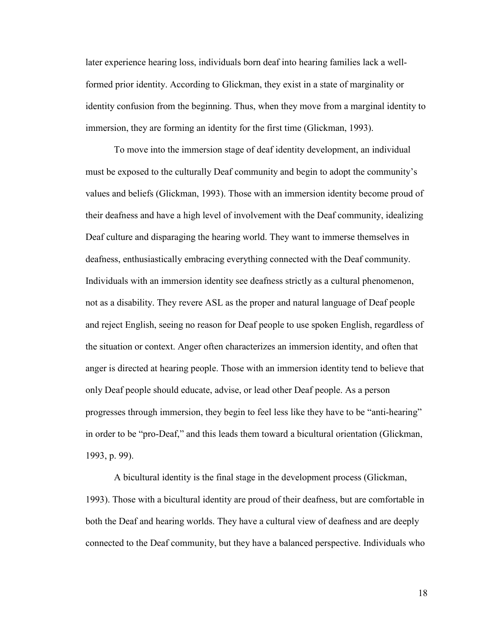later experience hearing loss, individuals born deaf into hearing families lack a wellformed prior identity. According to Glickman, they exist in a state of marginality or identity confusion from the beginning. Thus, when they move from a marginal identity to immersion, they are forming an identity for the first time (Glickman, 1993).

To move into the immersion stage of deaf identity development, an individual must be exposed to the culturally Deaf community and begin to adopt the community's values and beliefs (Glickman, 1993). Those with an immersion identity become proud of their deafness and have a high level of involvement with the Deaf community, idealizing Deaf culture and disparaging the hearing world. They want to immerse themselves in deafness, enthusiastically embracing everything connected with the Deaf community. Individuals with an immersion identity see deafness strictly as a cultural phenomenon, not as a disability. They revere ASL as the proper and natural language of Deaf people and reject English, seeing no reason for Deaf people to use spoken English, regardless of the situation or context. Anger often characterizes an immersion identity, and often that anger is directed at hearing people. Those with an immersion identity tend to believe that only Deaf people should educate, advise, or lead other Deaf people. As a person progresses through immersion, they begin to feel less like they have to be "anti-hearing" in order to be "pro-Deaf," and this leads them toward a bicultural orientation (Glickman, 1993, p. 99).

A bicultural identity is the final stage in the development process (Glickman, 1993). Those with a bicultural identity are proud of their deafness, but are comfortable in both the Deaf and hearing worlds. They have a cultural view of deafness and are deeply connected to the Deaf community, but they have a balanced perspective. Individuals who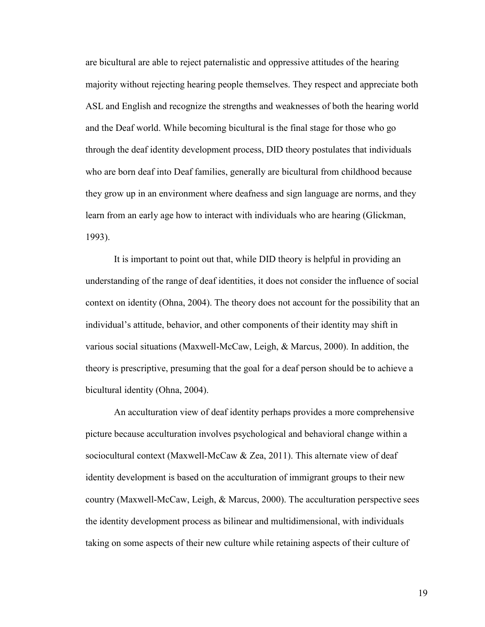are bicultural are able to reject paternalistic and oppressive attitudes of the hearing majority without rejecting hearing people themselves. They respect and appreciate both ASL and English and recognize the strengths and weaknesses of both the hearing world and the Deaf world. While becoming bicultural is the final stage for those who go through the deaf identity development process, DID theory postulates that individuals who are born deaf into Deaf families, generally are bicultural from childhood because they grow up in an environment where deafness and sign language are norms, and they learn from an early age how to interact with individuals who are hearing (Glickman, 1993).

It is important to point out that, while DID theory is helpful in providing an understanding of the range of deaf identities, it does not consider the influence of social context on identity (Ohna, 2004). The theory does not account for the possibility that an individual's attitude, behavior, and other components of their identity may shift in various social situations (Maxwell-McCaw, Leigh, & Marcus, 2000). In addition, the theory is prescriptive, presuming that the goal for a deaf person should be to achieve a bicultural identity (Ohna, 2004).

An acculturation view of deaf identity perhaps provides a more comprehensive picture because acculturation involves psychological and behavioral change within a sociocultural context (Maxwell-McCaw & Zea, 2011). This alternate view of deaf identity development is based on the acculturation of immigrant groups to their new country (Maxwell-McCaw, Leigh, & Marcus, 2000). The acculturation perspective sees the identity development process as bilinear and multidimensional, with individuals taking on some aspects of their new culture while retaining aspects of their culture of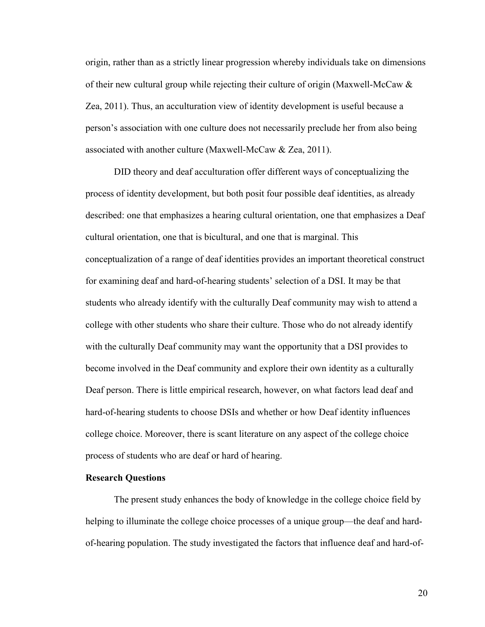origin, rather than as a strictly linear progression whereby individuals take on dimensions of their new cultural group while rejecting their culture of origin (Maxwell-McCaw & Zea, 2011). Thus, an acculturation view of identity development is useful because a person's association with one culture does not necessarily preclude her from also being associated with another culture (Maxwell-McCaw & Zea, 2011).

DID theory and deaf acculturation offer different ways of conceptualizing the process of identity development, but both posit four possible deaf identities, as already described: one that emphasizes a hearing cultural orientation, one that emphasizes a Deaf cultural orientation, one that is bicultural, and one that is marginal. This conceptualization of a range of deaf identities provides an important theoretical construct for examining deaf and hard-of-hearing students' selection of a DSI. It may be that students who already identify with the culturally Deaf community may wish to attend a college with other students who share their culture. Those who do not already identify with the culturally Deaf community may want the opportunity that a DSI provides to become involved in the Deaf community and explore their own identity as a culturally Deaf person. There is little empirical research, however, on what factors lead deaf and hard-of-hearing students to choose DSIs and whether or how Deaf identity influences college choice. Moreover, there is scant literature on any aspect of the college choice process of students who are deaf or hard of hearing.

#### <span id="page-31-0"></span>**Research Questions**

The present study enhances the body of knowledge in the college choice field by helping to illuminate the college choice processes of a unique group—the deaf and hardof-hearing population. The study investigated the factors that influence deaf and hard-of-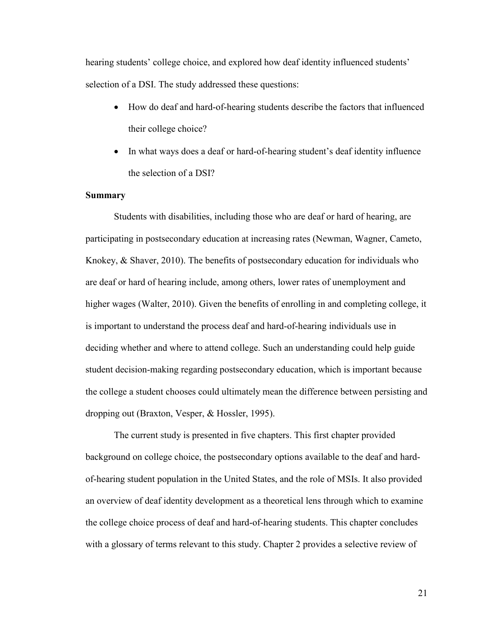hearing students' college choice, and explored how deaf identity influenced students' selection of a DSI. The study addressed these questions:

- How do deaf and hard-of-hearing students describe the factors that influenced their college choice?
- In what ways does a deaf or hard-of-hearing student's deaf identity influence the selection of a DSI?

### <span id="page-32-0"></span>**Summary**

Students with disabilities, including those who are deaf or hard of hearing, are participating in postsecondary education at increasing rates (Newman, Wagner, Cameto, Knokey, & Shaver, 2010). The benefits of postsecondary education for individuals who are deaf or hard of hearing include, among others, lower rates of unemployment and higher wages (Walter, 2010). Given the benefits of enrolling in and completing college, it is important to understand the process deaf and hard-of-hearing individuals use in deciding whether and where to attend college. Such an understanding could help guide student decision-making regarding postsecondary education, which is important because the college a student chooses could ultimately mean the difference between persisting and dropping out (Braxton, Vesper, & Hossler, 1995).

The current study is presented in five chapters. This first chapter provided background on college choice, the postsecondary options available to the deaf and hardof-hearing student population in the United States, and the role of MSIs. It also provided an overview of deaf identity development as a theoretical lens through which to examine the college choice process of deaf and hard-of-hearing students. This chapter concludes with a glossary of terms relevant to this study. Chapter 2 provides a selective review of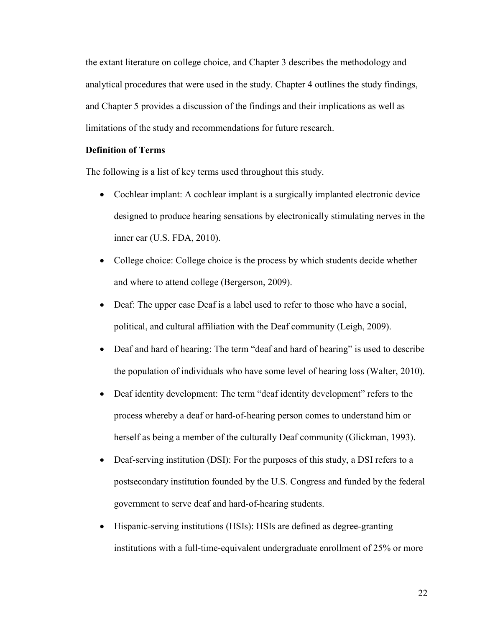the extant literature on college choice, and Chapter 3 describes the methodology and analytical procedures that were used in the study. Chapter 4 outlines the study findings, and Chapter 5 provides a discussion of the findings and their implications as well as limitations of the study and recommendations for future research.

# <span id="page-33-0"></span>**Definition of Terms**

The following is a list of key terms used throughout this study.

- Cochlear implant: A cochlear implant is a surgically implanted electronic device designed to produce hearing sensations by electronically stimulating nerves in the inner ear (U.S. FDA, 2010).
- College choice: College choice is the process by which students decide whether and where to attend college (Bergerson, 2009).
- Deaf: The upper case Deaf is a label used to refer to those who have a social, political, and cultural affiliation with the Deaf community (Leigh, 2009).
- Deaf and hard of hearing: The term "deaf and hard of hearing" is used to describe the population of individuals who have some level of hearing loss (Walter, 2010).
- Deaf identity development: The term "deaf identity development" refers to the process whereby a deaf or hard-of-hearing person comes to understand him or herself as being a member of the culturally Deaf community (Glickman, 1993).
- Deaf-serving institution (DSI): For the purposes of this study, a DSI refers to a postsecondary institution founded by the U.S. Congress and funded by the federal government to serve deaf and hard-of-hearing students.
- Hispanic-serving institutions (HSIs): HSIs are defined as degree-granting institutions with a full-time-equivalent undergraduate enrollment of 25% or more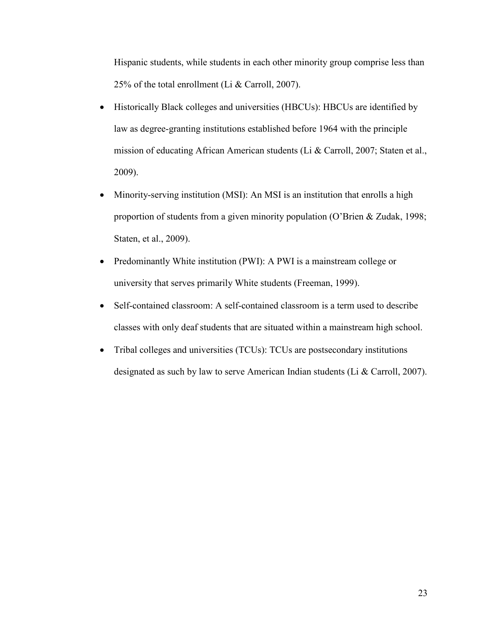Hispanic students, while students in each other minority group comprise less than 25% of the total enrollment (Li & Carroll, 2007).

- Historically Black colleges and universities (HBCUs): HBCUs are identified by law as degree-granting institutions established before 1964 with the principle mission of educating African American students (Li & Carroll, 2007; Staten et al., 2009).
- Minority-serving institution (MSI): An MSI is an institution that enrolls a high proportion of students from a given minority population (O'Brien & Zudak, 1998; Staten, et al., 2009).
- Predominantly White institution (PWI): A PWI is a mainstream college or university that serves primarily White students (Freeman, 1999).
- Self-contained classroom: A self-contained classroom is a term used to describe classes with only deaf students that are situated within a mainstream high school.
- Tribal colleges and universities (TCUs): TCUs are postsecondary institutions designated as such by law to serve American Indian students (Li & Carroll, 2007).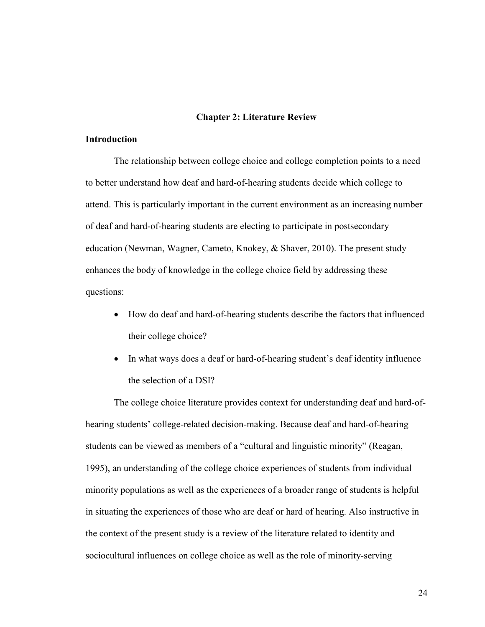#### **Chapter 2: Literature Review**

## <span id="page-35-1"></span><span id="page-35-0"></span>**Introduction**

The relationship between college choice and college completion points to a need to better understand how deaf and hard-of-hearing students decide which college to attend. This is particularly important in the current environment as an increasing number of deaf and hard-of-hearing students are electing to participate in postsecondary education (Newman, Wagner, Cameto, Knokey, & Shaver, 2010). The present study enhances the body of knowledge in the college choice field by addressing these questions:

- How do deaf and hard-of-hearing students describe the factors that influenced their college choice?
- In what ways does a deaf or hard-of-hearing student's deaf identity influence the selection of a DSI?

The college choice literature provides context for understanding deaf and hard-ofhearing students' college-related decision-making. Because deaf and hard-of-hearing students can be viewed as members of a "cultural and linguistic minority" (Reagan, 1995), an understanding of the college choice experiences of students from individual minority populations as well as the experiences of a broader range of students is helpful in situating the experiences of those who are deaf or hard of hearing. Also instructive in the context of the present study is a review of the literature related to identity and sociocultural influences on college choice as well as the role of minority-serving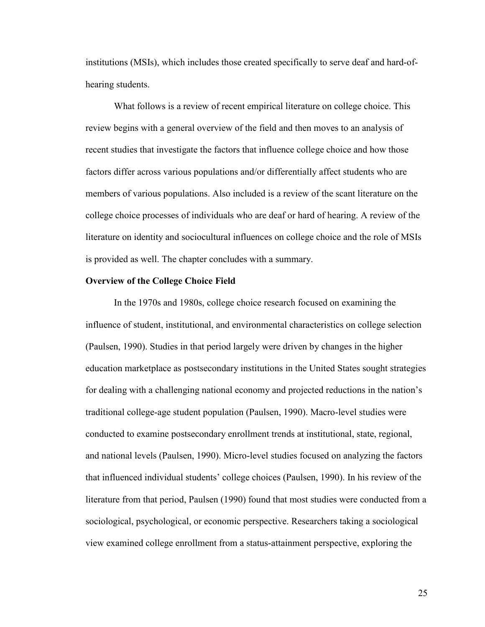institutions (MSIs), which includes those created specifically to serve deaf and hard-ofhearing students.

What follows is a review of recent empirical literature on college choice. This review begins with a general overview of the field and then moves to an analysis of recent studies that investigate the factors that influence college choice and how those factors differ across various populations and/or differentially affect students who are members of various populations. Also included is a review of the scant literature on the college choice processes of individuals who are deaf or hard of hearing. A review of the literature on identity and sociocultural influences on college choice and the role of MSIs is provided as well. The chapter concludes with a summary.

### **Overview of the College Choice Field**

In the 1970s and 1980s, college choice research focused on examining the influence of student, institutional, and environmental characteristics on college selection (Paulsen, 1990). Studies in that period largely were driven by changes in the higher education marketplace as postsecondary institutions in the United States sought strategies for dealing with a challenging national economy and projected reductions in the nation's traditional college-age student population (Paulsen, 1990). Macro-level studies were conducted to examine postsecondary enrollment trends at institutional, state, regional, and national levels (Paulsen, 1990). Micro-level studies focused on analyzing the factors that influenced individual students' college choices (Paulsen, 1990). In his review of the literature from that period, Paulsen (1990) found that most studies were conducted from a sociological, psychological, or economic perspective. Researchers taking a sociological view examined college enrollment from a status-attainment perspective, exploring the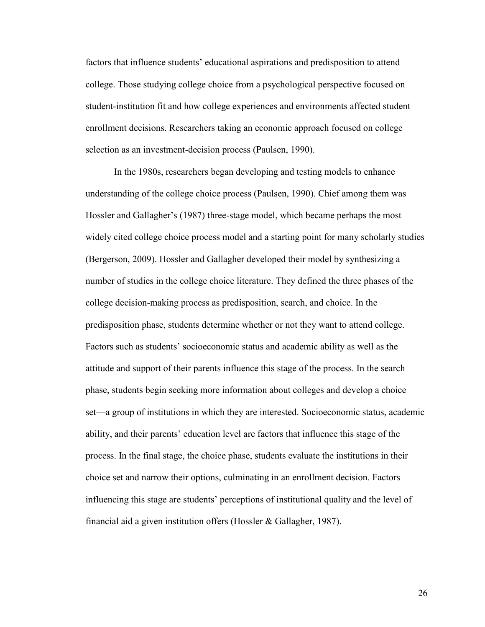factors that influence students' educational aspirations and predisposition to attend college. Those studying college choice from a psychological perspective focused on student-institution fit and how college experiences and environments affected student enrollment decisions. Researchers taking an economic approach focused on college selection as an investment-decision process (Paulsen, 1990).

In the 1980s, researchers began developing and testing models to enhance understanding of the college choice process (Paulsen, 1990). Chief among them was Hossler and Gallagher's (1987) three-stage model, which became perhaps the most widely cited college choice process model and a starting point for many scholarly studies (Bergerson, 2009). Hossler and Gallagher developed their model by synthesizing a number of studies in the college choice literature. They defined the three phases of the college decision-making process as predisposition, search, and choice. In the predisposition phase, students determine whether or not they want to attend college. Factors such as students' socioeconomic status and academic ability as well as the attitude and support of their parents influence this stage of the process. In the search phase, students begin seeking more information about colleges and develop a choice set—a group of institutions in which they are interested. Socioeconomic status, academic ability, and their parents' education level are factors that influence this stage of the process. In the final stage, the choice phase, students evaluate the institutions in their choice set and narrow their options, culminating in an enrollment decision. Factors influencing this stage are students' perceptions of institutional quality and the level of financial aid a given institution offers (Hossler & Gallagher, 1987).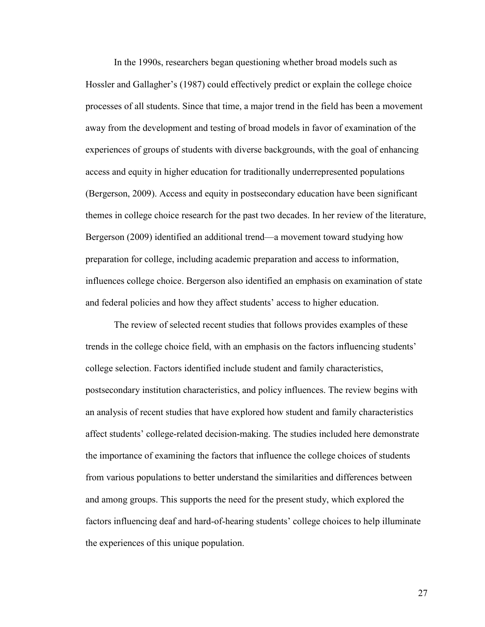In the 1990s, researchers began questioning whether broad models such as Hossler and Gallagher's (1987) could effectively predict or explain the college choice processes of all students. Since that time, a major trend in the field has been a movement away from the development and testing of broad models in favor of examination of the experiences of groups of students with diverse backgrounds, with the goal of enhancing access and equity in higher education for traditionally underrepresented populations (Bergerson, 2009). Access and equity in postsecondary education have been significant themes in college choice research for the past two decades. In her review of the literature, Bergerson (2009) identified an additional trend—a movement toward studying how preparation for college, including academic preparation and access to information, influences college choice. Bergerson also identified an emphasis on examination of state and federal policies and how they affect students' access to higher education.

The review of selected recent studies that follows provides examples of these trends in the college choice field, with an emphasis on the factors influencing students' college selection. Factors identified include student and family characteristics, postsecondary institution characteristics, and policy influences. The review begins with an analysis of recent studies that have explored how student and family characteristics affect students' college-related decision-making. The studies included here demonstrate the importance of examining the factors that influence the college choices of students from various populations to better understand the similarities and differences between and among groups. This supports the need for the present study, which explored the factors influencing deaf and hard-of-hearing students' college choices to help illuminate the experiences of this unique population.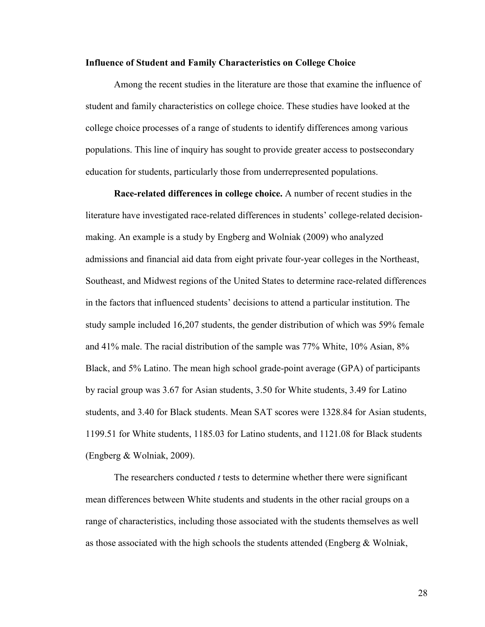### **Influence of Student and Family Characteristics on College Choice**

Among the recent studies in the literature are those that examine the influence of student and family characteristics on college choice. These studies have looked at the college choice processes of a range of students to identify differences among various populations. This line of inquiry has sought to provide greater access to postsecondary education for students, particularly those from underrepresented populations.

**Race-related differences in college choice.** A number of recent studies in the literature have investigated race-related differences in students' college-related decisionmaking. An example is a study by Engberg and Wolniak (2009) who analyzed admissions and financial aid data from eight private four-year colleges in the Northeast, Southeast, and Midwest regions of the United States to determine race-related differences in the factors that influenced students' decisions to attend a particular institution. The study sample included 16,207 students, the gender distribution of which was 59% female and 41% male. The racial distribution of the sample was 77% White, 10% Asian, 8% Black, and 5% Latino. The mean high school grade-point average (GPA) of participants by racial group was 3.67 for Asian students, 3.50 for White students, 3.49 for Latino students, and 3.40 for Black students. Mean SAT scores were 1328.84 for Asian students, 1199.51 for White students, 1185.03 for Latino students, and 1121.08 for Black students (Engberg & Wolniak, 2009).

The researchers conducted *t* tests to determine whether there were significant mean differences between White students and students in the other racial groups on a range of characteristics, including those associated with the students themselves as well as those associated with the high schools the students attended (Engberg  $\&$  Wolniak,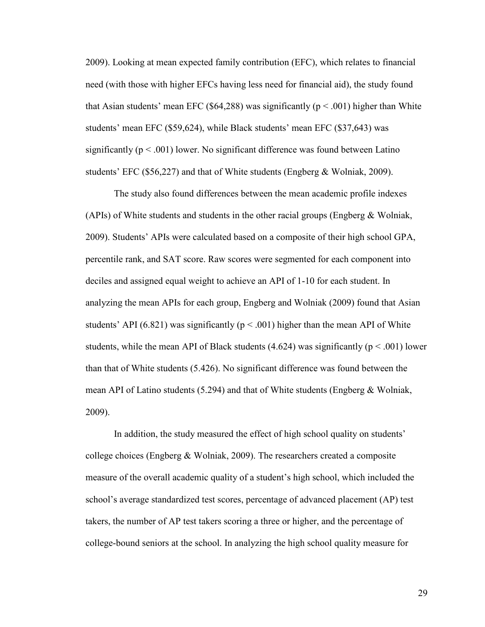2009). Looking at mean expected family contribution (EFC), which relates to financial need (with those with higher EFCs having less need for financial aid), the study found that Asian students' mean EFC (\$64,288) was significantly ( $p < .001$ ) higher than White students' mean EFC (\$59,624), while Black students' mean EFC (\$37,643) was significantly ( $p < .001$ ) lower. No significant difference was found between Latino students' EFC (\$56,227) and that of White students (Engberg & Wolniak, 2009).

The study also found differences between the mean academic profile indexes (APIs) of White students and students in the other racial groups (Engberg & Wolniak, 2009). Students' APIs were calculated based on a composite of their high school GPA, percentile rank, and SAT score. Raw scores were segmented for each component into deciles and assigned equal weight to achieve an API of 1-10 for each student. In analyzing the mean APIs for each group, Engberg and Wolniak (2009) found that Asian students' API (6.821) was significantly ( $p < .001$ ) higher than the mean API of White students, while the mean API of Black students (4.624) was significantly ( $p < .001$ ) lower than that of White students (5.426). No significant difference was found between the mean API of Latino students (5.294) and that of White students (Engberg & Wolniak, 2009).

In addition, the study measured the effect of high school quality on students' college choices (Engberg & Wolniak, 2009). The researchers created a composite measure of the overall academic quality of a student's high school, which included the school's average standardized test scores, percentage of advanced placement (AP) test takers, the number of AP test takers scoring a three or higher, and the percentage of college-bound seniors at the school. In analyzing the high school quality measure for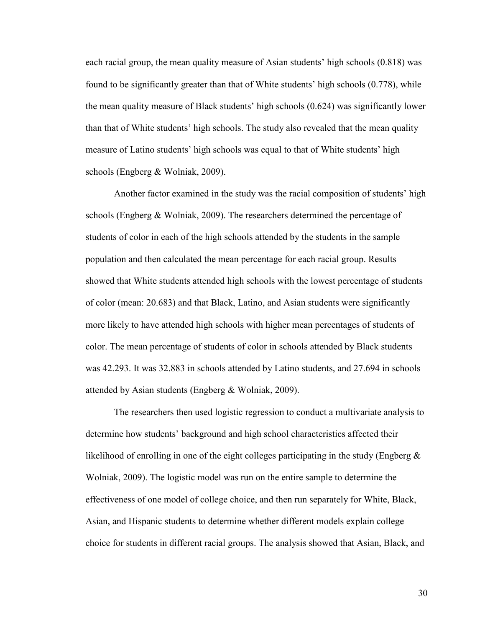each racial group, the mean quality measure of Asian students' high schools (0.818) was found to be significantly greater than that of White students' high schools (0.778), while the mean quality measure of Black students' high schools (0.624) was significantly lower than that of White students' high schools. The study also revealed that the mean quality measure of Latino students' high schools was equal to that of White students' high schools (Engberg & Wolniak, 2009).

Another factor examined in the study was the racial composition of students' high schools (Engberg & Wolniak, 2009). The researchers determined the percentage of students of color in each of the high schools attended by the students in the sample population and then calculated the mean percentage for each racial group. Results showed that White students attended high schools with the lowest percentage of students of color (mean: 20.683) and that Black, Latino, and Asian students were significantly more likely to have attended high schools with higher mean percentages of students of color. The mean percentage of students of color in schools attended by Black students was 42.293. It was 32.883 in schools attended by Latino students, and 27.694 in schools attended by Asian students (Engberg & Wolniak, 2009).

The researchers then used logistic regression to conduct a multivariate analysis to determine how students' background and high school characteristics affected their likelihood of enrolling in one of the eight colleges participating in the study (Engberg  $\&$ Wolniak, 2009). The logistic model was run on the entire sample to determine the effectiveness of one model of college choice, and then run separately for White, Black, Asian, and Hispanic students to determine whether different models explain college choice for students in different racial groups. The analysis showed that Asian, Black, and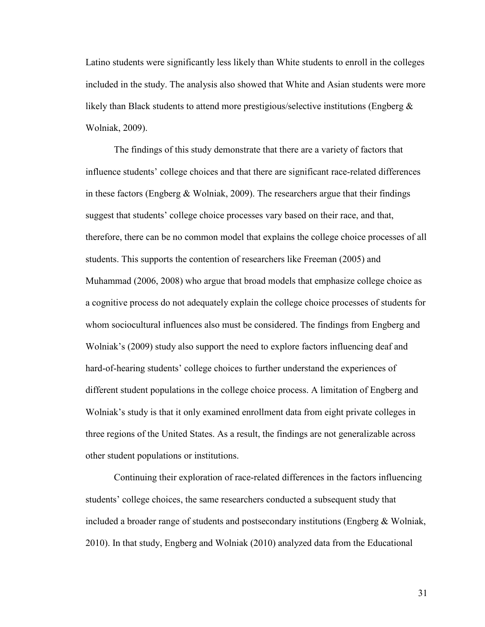Latino students were significantly less likely than White students to enroll in the colleges included in the study. The analysis also showed that White and Asian students were more likely than Black students to attend more prestigious/selective institutions (Engberg  $\&$ Wolniak, 2009).

The findings of this study demonstrate that there are a variety of factors that influence students' college choices and that there are significant race-related differences in these factors (Engberg & Wolniak, 2009). The researchers argue that their findings suggest that students' college choice processes vary based on their race, and that, therefore, there can be no common model that explains the college choice processes of all students. This supports the contention of researchers like Freeman (2005) and Muhammad (2006, 2008) who argue that broad models that emphasize college choice as a cognitive process do not adequately explain the college choice processes of students for whom sociocultural influences also must be considered. The findings from Engberg and Wolniak's (2009) study also support the need to explore factors influencing deaf and hard-of-hearing students' college choices to further understand the experiences of different student populations in the college choice process. A limitation of Engberg and Wolniak's study is that it only examined enrollment data from eight private colleges in three regions of the United States. As a result, the findings are not generalizable across other student populations or institutions.

Continuing their exploration of race-related differences in the factors influencing students' college choices, the same researchers conducted a subsequent study that included a broader range of students and postsecondary institutions (Engberg  $\&$  Wolniak, 2010). In that study, Engberg and Wolniak (2010) analyzed data from the Educational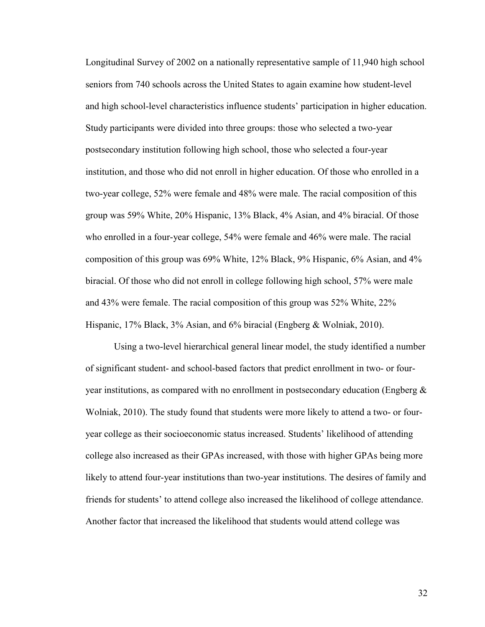Longitudinal Survey of 2002 on a nationally representative sample of 11,940 high school seniors from 740 schools across the United States to again examine how student-level and high school-level characteristics influence students' participation in higher education. Study participants were divided into three groups: those who selected a two-year postsecondary institution following high school, those who selected a four-year institution, and those who did not enroll in higher education. Of those who enrolled in a two-year college, 52% were female and 48% were male. The racial composition of this group was 59% White, 20% Hispanic, 13% Black, 4% Asian, and 4% biracial. Of those who enrolled in a four-year college, 54% were female and 46% were male. The racial composition of this group was 69% White, 12% Black, 9% Hispanic, 6% Asian, and 4% biracial. Of those who did not enroll in college following high school, 57% were male and 43% were female. The racial composition of this group was 52% White, 22% Hispanic, 17% Black, 3% Asian, and 6% biracial (Engberg & Wolniak, 2010).

Using a two-level hierarchical general linear model, the study identified a number of significant student- and school-based factors that predict enrollment in two- or fouryear institutions, as compared with no enrollment in postsecondary education (Engberg  $\&$ Wolniak, 2010). The study found that students were more likely to attend a two- or fouryear college as their socioeconomic status increased. Students' likelihood of attending college also increased as their GPAs increased, with those with higher GPAs being more likely to attend four-year institutions than two-year institutions. The desires of family and friends for students' to attend college also increased the likelihood of college attendance. Another factor that increased the likelihood that students would attend college was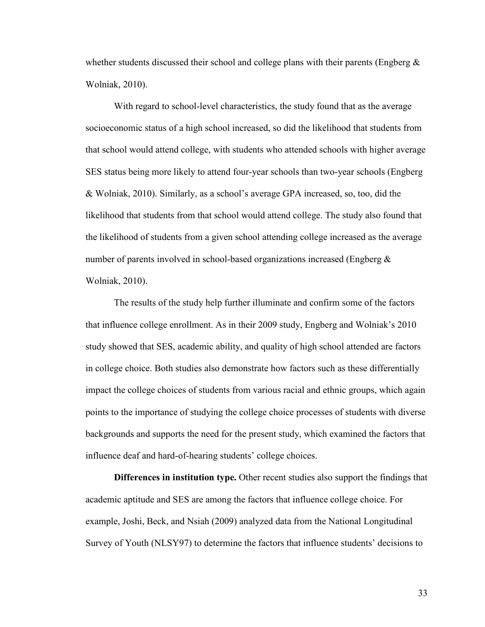whether students discussed their school and college plans with their parents (Engberg  $\&$ Wolniak, 2010).

With regard to school-level characteristics, the study found that as the average socioeconomic status of a high school increased, so did the likelihood that students from that school would attend college, with students who attended schools with higher average SES status being more likely to attend four-year schools than two-year schools (Engberg & Wolniak, 2010). Similarly, as a school's average GPA increased, so, too, did the likelihood that students from that school would attend college. The study also found that the likelihood of students from a given school attending college increased as the average number of parents involved in school-based organizations increased (Engberg & Wolniak, 2010).

The results of the study help further illuminate and confirm some of the factors that influence college enrollment. As in their 2009 study, Engberg and Wolniak's 2010 study showed that SES, academic ability, and quality of high school attended are factors in college choice. Both studies also demonstrate how factors such as these differentially impact the college choices of students from various racial and ethnic groups, which again points to the importance of studying the college choice processes of students with diverse backgrounds and supports the need for the present study, which examined the factors that influence deaf and hard-of-hearing students' college choices.

**Differences in institution type.** Other recent studies also support the findings that academic aptitude and SES are among the factors that influence college choice. For example, Joshi, Beck, and Nsiah (2009) analyzed data from the National Longitudinal Survey of Youth (NLSY97) to determine the factors that influence students' decisions to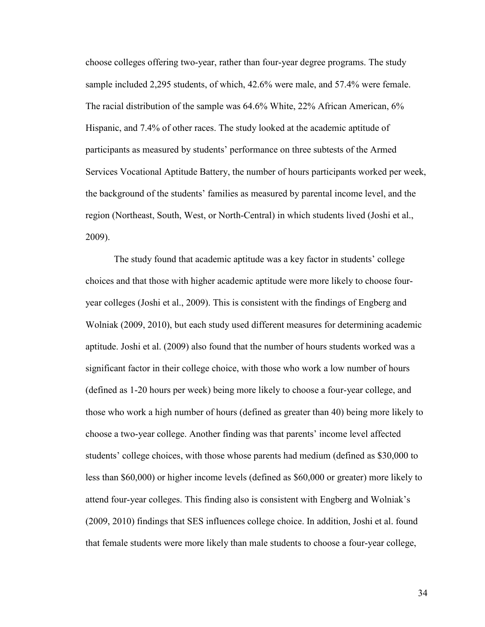choose colleges offering two-year, rather than four-year degree programs. The study sample included 2,295 students, of which, 42.6% were male, and 57.4% were female. The racial distribution of the sample was 64.6% White, 22% African American, 6% Hispanic, and 7.4% of other races. The study looked at the academic aptitude of participants as measured by students' performance on three subtests of the Armed Services Vocational Aptitude Battery, the number of hours participants worked per week, the background of the students' families as measured by parental income level, and the region (Northeast, South, West, or North-Central) in which students lived (Joshi et al., 2009).

The study found that academic aptitude was a key factor in students' college choices and that those with higher academic aptitude were more likely to choose fouryear colleges (Joshi et al., 2009). This is consistent with the findings of Engberg and Wolniak (2009, 2010), but each study used different measures for determining academic aptitude. Joshi et al. (2009) also found that the number of hours students worked was a significant factor in their college choice, with those who work a low number of hours (defined as 1-20 hours per week) being more likely to choose a four-year college, and those who work a high number of hours (defined as greater than 40) being more likely to choose a two-year college. Another finding was that parents' income level affected students' college choices, with those whose parents had medium (defined as \$30,000 to less than \$60,000) or higher income levels (defined as \$60,000 or greater) more likely to attend four-year colleges. This finding also is consistent with Engberg and Wolniak's (2009, 2010) findings that SES influences college choice. In addition, Joshi et al. found that female students were more likely than male students to choose a four-year college,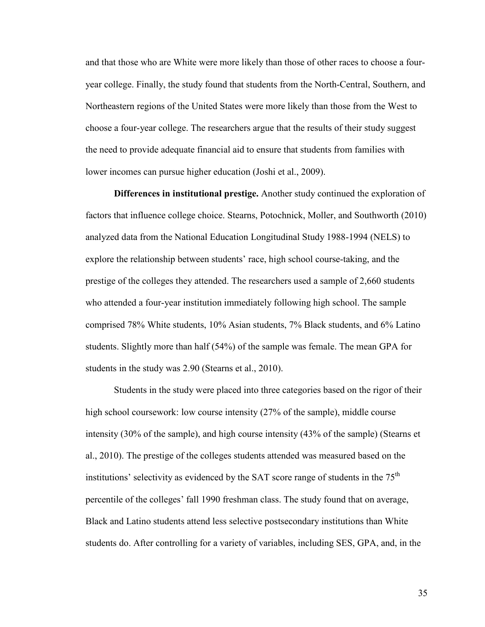and that those who are White were more likely than those of other races to choose a fouryear college. Finally, the study found that students from the North-Central, Southern, and Northeastern regions of the United States were more likely than those from the West to choose a four-year college. The researchers argue that the results of their study suggest the need to provide adequate financial aid to ensure that students from families with lower incomes can pursue higher education (Joshi et al., 2009).

**Differences in institutional prestige.** Another study continued the exploration of factors that influence college choice. Stearns, Potochnick, Moller, and Southworth (2010) analyzed data from the National Education Longitudinal Study 1988-1994 (NELS) to explore the relationship between students' race, high school course-taking, and the prestige of the colleges they attended. The researchers used a sample of 2,660 students who attended a four-year institution immediately following high school. The sample comprised 78% White students, 10% Asian students, 7% Black students, and 6% Latino students. Slightly more than half (54%) of the sample was female. The mean GPA for students in the study was 2.90 (Stearns et al., 2010).

Students in the study were placed into three categories based on the rigor of their high school coursework: low course intensity (27% of the sample), middle course intensity (30% of the sample), and high course intensity (43% of the sample) (Stearns et al., 2010). The prestige of the colleges students attended was measured based on the institutions' selectivity as evidenced by the SAT score range of students in the  $75<sup>th</sup>$ percentile of the colleges' fall 1990 freshman class. The study found that on average, Black and Latino students attend less selective postsecondary institutions than White students do. After controlling for a variety of variables, including SES, GPA, and, in the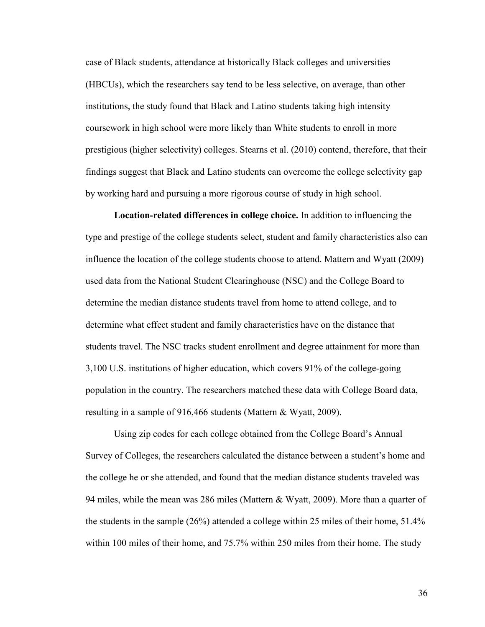case of Black students, attendance at historically Black colleges and universities (HBCUs), which the researchers say tend to be less selective, on average, than other institutions, the study found that Black and Latino students taking high intensity coursework in high school were more likely than White students to enroll in more prestigious (higher selectivity) colleges. Stearns et al. (2010) contend, therefore, that their findings suggest that Black and Latino students can overcome the college selectivity gap by working hard and pursuing a more rigorous course of study in high school.

**Location-related differences in college choice.** In addition to influencing the type and prestige of the college students select, student and family characteristics also can influence the location of the college students choose to attend. Mattern and Wyatt (2009) used data from the National Student Clearinghouse (NSC) and the College Board to determine the median distance students travel from home to attend college, and to determine what effect student and family characteristics have on the distance that students travel. The NSC tracks student enrollment and degree attainment for more than 3,100 U.S. institutions of higher education, which covers 91% of the college-going population in the country. The researchers matched these data with College Board data, resulting in a sample of 916,466 students (Mattern & Wyatt, 2009).

Using zip codes for each college obtained from the College Board's Annual Survey of Colleges, the researchers calculated the distance between a student's home and the college he or she attended, and found that the median distance students traveled was 94 miles, while the mean was 286 miles (Mattern & Wyatt, 2009). More than a quarter of the students in the sample (26%) attended a college within 25 miles of their home, 51.4% within 100 miles of their home, and 75.7% within 250 miles from their home. The study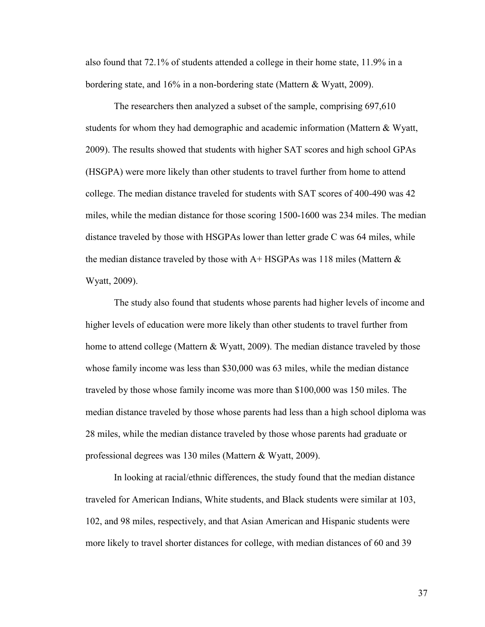also found that 72.1% of students attended a college in their home state, 11.9% in a bordering state, and 16% in a non-bordering state (Mattern & Wyatt, 2009).

The researchers then analyzed a subset of the sample, comprising 697,610 students for whom they had demographic and academic information (Mattern & Wyatt, 2009). The results showed that students with higher SAT scores and high school GPAs (HSGPA) were more likely than other students to travel further from home to attend college. The median distance traveled for students with SAT scores of 400-490 was 42 miles, while the median distance for those scoring 1500-1600 was 234 miles. The median distance traveled by those with HSGPAs lower than letter grade C was 64 miles, while the median distance traveled by those with  $A+HSGPAs$  was 118 miles (Mattern  $\&$ Wyatt, 2009).

The study also found that students whose parents had higher levels of income and higher levels of education were more likely than other students to travel further from home to attend college (Mattern & Wyatt, 2009). The median distance traveled by those whose family income was less than \$30,000 was 63 miles, while the median distance traveled by those whose family income was more than \$100,000 was 150 miles. The median distance traveled by those whose parents had less than a high school diploma was 28 miles, while the median distance traveled by those whose parents had graduate or professional degrees was 130 miles (Mattern & Wyatt, 2009).

In looking at racial/ethnic differences, the study found that the median distance traveled for American Indians, White students, and Black students were similar at 103, 102, and 98 miles, respectively, and that Asian American and Hispanic students were more likely to travel shorter distances for college, with median distances of 60 and 39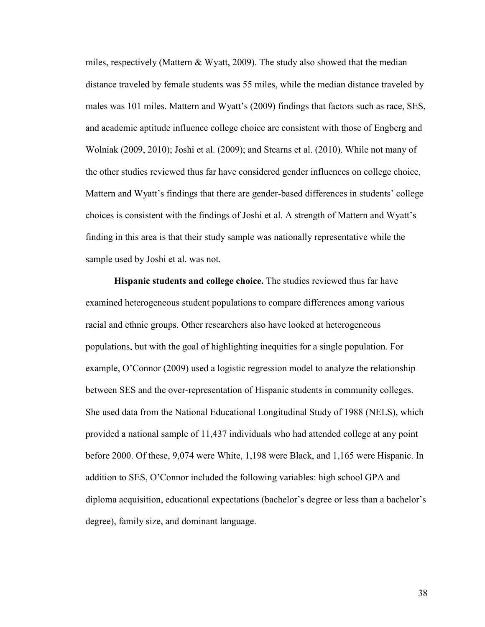miles, respectively (Mattern & Wyatt, 2009). The study also showed that the median distance traveled by female students was 55 miles, while the median distance traveled by males was 101 miles. Mattern and Wyatt's (2009) findings that factors such as race, SES, and academic aptitude influence college choice are consistent with those of Engberg and Wolniak (2009, 2010); Joshi et al. (2009); and Stearns et al. (2010). While not many of the other studies reviewed thus far have considered gender influences on college choice, Mattern and Wyatt's findings that there are gender-based differences in students' college choices is consistent with the findings of Joshi et al. A strength of Mattern and Wyatt's finding in this area is that their study sample was nationally representative while the sample used by Joshi et al. was not.

**Hispanic students and college choice.** The studies reviewed thus far have examined heterogeneous student populations to compare differences among various racial and ethnic groups. Other researchers also have looked at heterogeneous populations, but with the goal of highlighting inequities for a single population. For example, O'Connor (2009) used a logistic regression model to analyze the relationship between SES and the over-representation of Hispanic students in community colleges. She used data from the National Educational Longitudinal Study of 1988 (NELS), which provided a national sample of 11,437 individuals who had attended college at any point before 2000. Of these, 9,074 were White, 1,198 were Black, and 1,165 were Hispanic. In addition to SES, O'Connor included the following variables: high school GPA and diploma acquisition, educational expectations (bachelor's degree or less than a bachelor's degree), family size, and dominant language.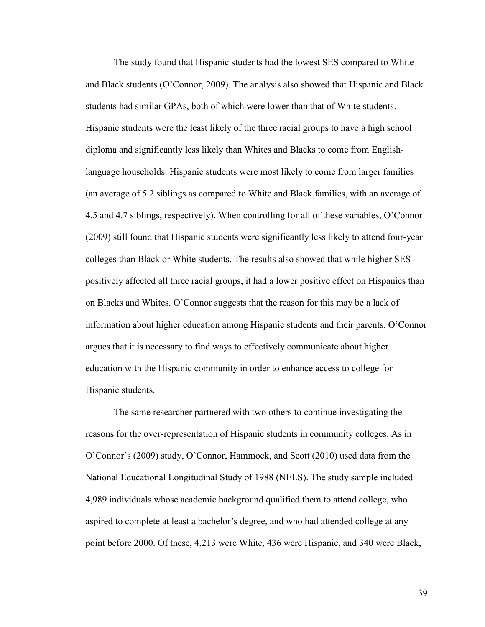The study found that Hispanic students had the lowest SES compared to White and Black students (O'Connor, 2009). The analysis also showed that Hispanic and Black students had similar GPAs, both of which were lower than that of White students. Hispanic students were the least likely of the three racial groups to have a high school diploma and significantly less likely than Whites and Blacks to come from Englishlanguage households. Hispanic students were most likely to come from larger families (an average of 5.2 siblings as compared to White and Black families, with an average of 4.5 and 4.7 siblings, respectively). When controlling for all of these variables, O'Connor (2009) still found that Hispanic students were significantly less likely to attend four-year colleges than Black or White students. The results also showed that while higher SES positively affected all three racial groups, it had a lower positive effect on Hispanics than on Blacks and Whites. O'Connor suggests that the reason for this may be a lack of information about higher education among Hispanic students and their parents. O'Connor argues that it is necessary to find ways to effectively communicate about higher education with the Hispanic community in order to enhance access to college for Hispanic students.

 The same researcher partnered with two others to continue investigating the reasons for the over-representation of Hispanic students in community colleges. As in O'Connor's (2009) study, O'Connor, Hammock, and Scott (2010) used data from the National Educational Longitudinal Study of 1988 (NELS). The study sample included 4,989 individuals whose academic background qualified them to attend college, who aspired to complete at least a bachelor's degree, and who had attended college at any point before 2000. Of these, 4,213 were White, 436 were Hispanic, and 340 were Black,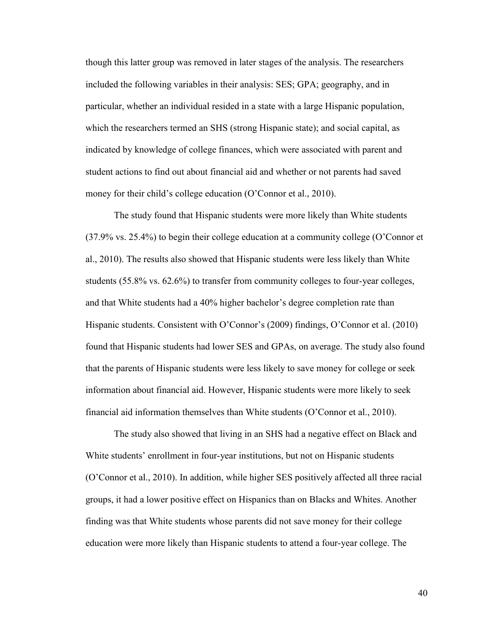though this latter group was removed in later stages of the analysis. The researchers included the following variables in their analysis: SES; GPA; geography, and in particular, whether an individual resided in a state with a large Hispanic population, which the researchers termed an SHS (strong Hispanic state); and social capital, as indicated by knowledge of college finances, which were associated with parent and student actions to find out about financial aid and whether or not parents had saved money for their child's college education (O'Connor et al., 2010).

The study found that Hispanic students were more likely than White students (37.9% vs. 25.4%) to begin their college education at a community college (O'Connor et al., 2010). The results also showed that Hispanic students were less likely than White students (55.8% vs. 62.6%) to transfer from community colleges to four-year colleges, and that White students had a 40% higher bachelor's degree completion rate than Hispanic students. Consistent with O'Connor's (2009) findings, O'Connor et al. (2010) found that Hispanic students had lower SES and GPAs, on average. The study also found that the parents of Hispanic students were less likely to save money for college or seek information about financial aid. However, Hispanic students were more likely to seek financial aid information themselves than White students (O'Connor et al., 2010).

The study also showed that living in an SHS had a negative effect on Black and White students' enrollment in four-year institutions, but not on Hispanic students (O'Connor et al., 2010). In addition, while higher SES positively affected all three racial groups, it had a lower positive effect on Hispanics than on Blacks and Whites. Another finding was that White students whose parents did not save money for their college education were more likely than Hispanic students to attend a four-year college. The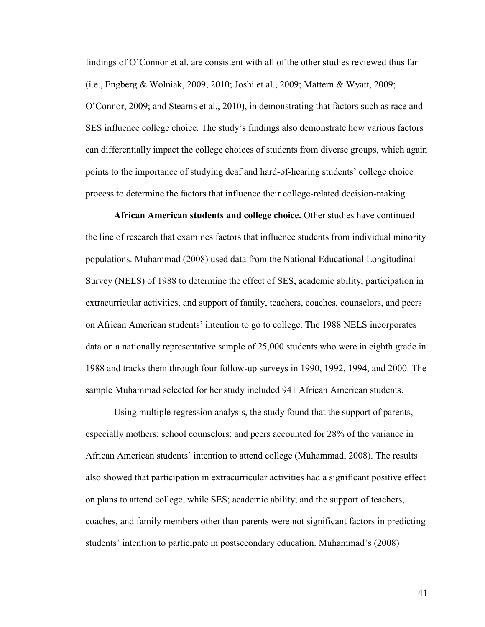findings of O'Connor et al. are consistent with all of the other studies reviewed thus far (i.e., Engberg & Wolniak, 2009, 2010; Joshi et al., 2009; Mattern & Wyatt, 2009; O'Connor, 2009; and Stearns et al., 2010), in demonstrating that factors such as race and SES influence college choice. The study's findings also demonstrate how various factors can differentially impact the college choices of students from diverse groups, which again points to the importance of studying deaf and hard-of-hearing students' college choice process to determine the factors that influence their college-related decision-making.

**African American students and college choice.** Other studies have continued the line of research that examines factors that influence students from individual minority populations. Muhammad (2008) used data from the National Educational Longitudinal Survey (NELS) of 1988 to determine the effect of SES, academic ability, participation in extracurricular activities, and support of family, teachers, coaches, counselors, and peers on African American students' intention to go to college. The 1988 NELS incorporates data on a nationally representative sample of 25,000 students who were in eighth grade in 1988 and tracks them through four follow-up surveys in 1990, 1992, 1994, and 2000. The sample Muhammad selected for her study included 941 African American students.

Using multiple regression analysis, the study found that the support of parents, especially mothers; school counselors; and peers accounted for 28% of the variance in African American students' intention to attend college (Muhammad, 2008). The results also showed that participation in extracurricular activities had a significant positive effect on plans to attend college, while SES; academic ability; and the support of teachers, coaches, and family members other than parents were not significant factors in predicting students' intention to participate in postsecondary education. Muhammad's (2008)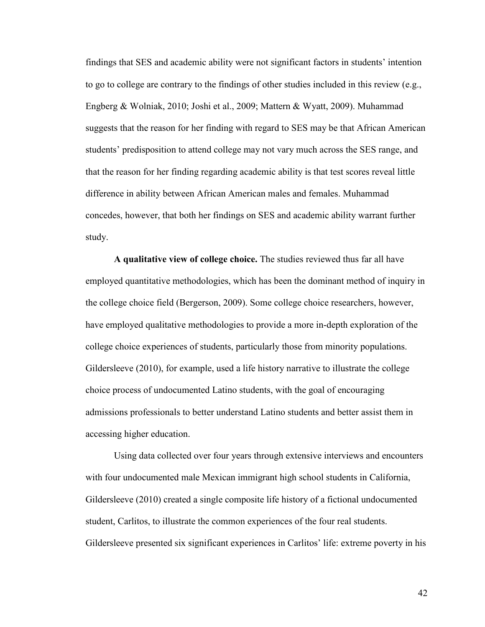findings that SES and academic ability were not significant factors in students' intention to go to college are contrary to the findings of other studies included in this review (e.g., Engberg & Wolniak, 2010; Joshi et al., 2009; Mattern & Wyatt, 2009). Muhammad suggests that the reason for her finding with regard to SES may be that African American students' predisposition to attend college may not vary much across the SES range, and that the reason for her finding regarding academic ability is that test scores reveal little difference in ability between African American males and females. Muhammad concedes, however, that both her findings on SES and academic ability warrant further study.

**A qualitative view of college choice.** The studies reviewed thus far all have employed quantitative methodologies, which has been the dominant method of inquiry in the college choice field (Bergerson, 2009). Some college choice researchers, however, have employed qualitative methodologies to provide a more in-depth exploration of the college choice experiences of students, particularly those from minority populations. Gildersleeve (2010), for example, used a life history narrative to illustrate the college choice process of undocumented Latino students, with the goal of encouraging admissions professionals to better understand Latino students and better assist them in accessing higher education.

Using data collected over four years through extensive interviews and encounters with four undocumented male Mexican immigrant high school students in California, Gildersleeve (2010) created a single composite life history of a fictional undocumented student, Carlitos, to illustrate the common experiences of the four real students. Gildersleeve presented six significant experiences in Carlitos' life: extreme poverty in his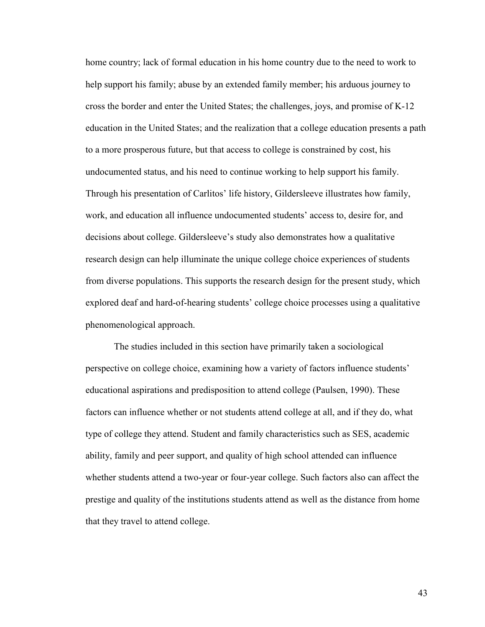home country; lack of formal education in his home country due to the need to work to help support his family; abuse by an extended family member; his arduous journey to cross the border and enter the United States; the challenges, joys, and promise of K-12 education in the United States; and the realization that a college education presents a path to a more prosperous future, but that access to college is constrained by cost, his undocumented status, and his need to continue working to help support his family. Through his presentation of Carlitos' life history, Gildersleeve illustrates how family, work, and education all influence undocumented students' access to, desire for, and decisions about college. Gildersleeve's study also demonstrates how a qualitative research design can help illuminate the unique college choice experiences of students from diverse populations. This supports the research design for the present study, which explored deaf and hard-of-hearing students' college choice processes using a qualitative phenomenological approach.

The studies included in this section have primarily taken a sociological perspective on college choice, examining how a variety of factors influence students' educational aspirations and predisposition to attend college (Paulsen, 1990). These factors can influence whether or not students attend college at all, and if they do, what type of college they attend. Student and family characteristics such as SES, academic ability, family and peer support, and quality of high school attended can influence whether students attend a two-year or four-year college. Such factors also can affect the prestige and quality of the institutions students attend as well as the distance from home that they travel to attend college.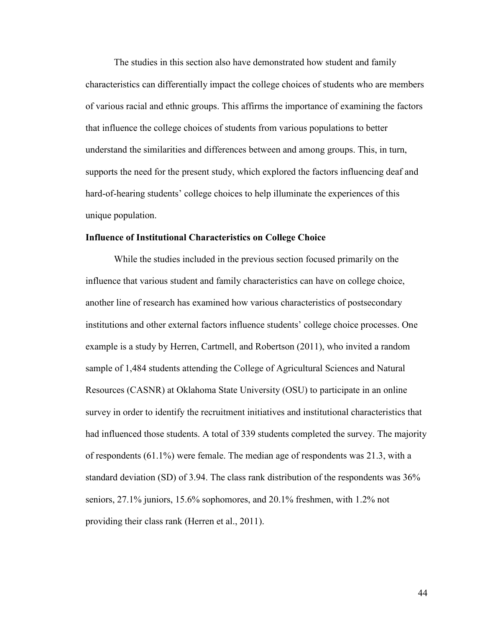The studies in this section also have demonstrated how student and family characteristics can differentially impact the college choices of students who are members of various racial and ethnic groups. This affirms the importance of examining the factors that influence the college choices of students from various populations to better understand the similarities and differences between and among groups. This, in turn, supports the need for the present study, which explored the factors influencing deaf and hard-of-hearing students' college choices to help illuminate the experiences of this unique population.

### **Influence of Institutional Characteristics on College Choice**

While the studies included in the previous section focused primarily on the influence that various student and family characteristics can have on college choice, another line of research has examined how various characteristics of postsecondary institutions and other external factors influence students' college choice processes. One example is a study by Herren, Cartmell, and Robertson (2011), who invited a random sample of 1,484 students attending the College of Agricultural Sciences and Natural Resources (CASNR) at Oklahoma State University (OSU) to participate in an online survey in order to identify the recruitment initiatives and institutional characteristics that had influenced those students. A total of 339 students completed the survey. The majority of respondents (61.1%) were female. The median age of respondents was 21.3, with a standard deviation (SD) of 3.94. The class rank distribution of the respondents was 36% seniors, 27.1% juniors, 15.6% sophomores, and 20.1% freshmen, with 1.2% not providing their class rank (Herren et al., 2011).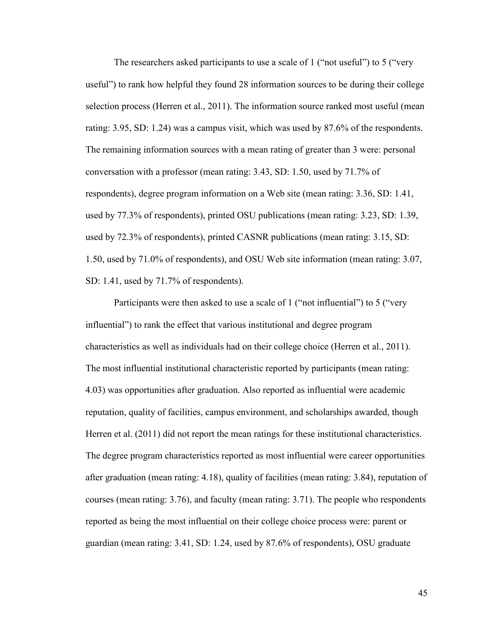The researchers asked participants to use a scale of 1 ("not useful") to 5 ("very") useful") to rank how helpful they found 28 information sources to be during their college selection process (Herren et al., 2011). The information source ranked most useful (mean rating: 3.95, SD: 1.24) was a campus visit, which was used by 87.6% of the respondents. The remaining information sources with a mean rating of greater than 3 were: personal conversation with a professor (mean rating: 3.43, SD: 1.50, used by 71.7% of respondents), degree program information on a Web site (mean rating: 3.36, SD: 1.41, used by 77.3% of respondents), printed OSU publications (mean rating: 3.23, SD: 1.39, used by 72.3% of respondents), printed CASNR publications (mean rating: 3.15, SD: 1.50, used by 71.0% of respondents), and OSU Web site information (mean rating: 3.07, SD: 1.41, used by 71.7% of respondents).

Participants were then asked to use a scale of 1 ("not influential") to 5 ("very influential") to rank the effect that various institutional and degree program characteristics as well as individuals had on their college choice (Herren et al., 2011). The most influential institutional characteristic reported by participants (mean rating: 4.03) was opportunities after graduation. Also reported as influential were academic reputation, quality of facilities, campus environment, and scholarships awarded, though Herren et al. (2011) did not report the mean ratings for these institutional characteristics. The degree program characteristics reported as most influential were career opportunities after graduation (mean rating: 4.18), quality of facilities (mean rating: 3.84), reputation of courses (mean rating: 3.76), and faculty (mean rating: 3.71). The people who respondents reported as being the most influential on their college choice process were: parent or guardian (mean rating: 3.41, SD: 1.24, used by 87.6% of respondents), OSU graduate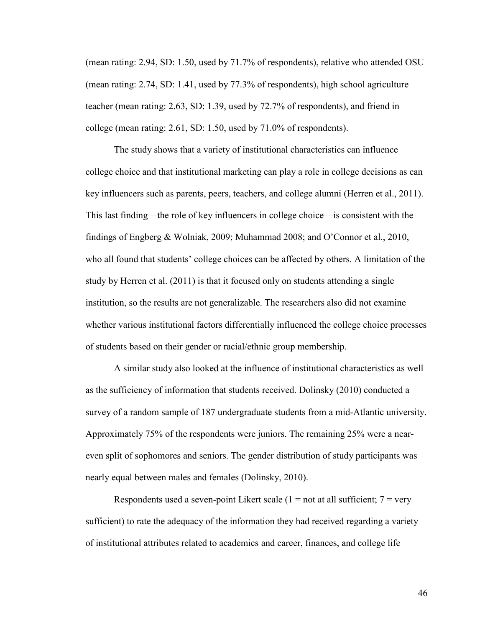(mean rating: 2.94, SD: 1.50, used by 71.7% of respondents), relative who attended OSU (mean rating: 2.74, SD: 1.41, used by 77.3% of respondents), high school agriculture teacher (mean rating: 2.63, SD: 1.39, used by 72.7% of respondents), and friend in college (mean rating: 2.61, SD: 1.50, used by 71.0% of respondents).

The study shows that a variety of institutional characteristics can influence college choice and that institutional marketing can play a role in college decisions as can key influencers such as parents, peers, teachers, and college alumni (Herren et al., 2011). This last finding—the role of key influencers in college choice—is consistent with the findings of Engberg & Wolniak, 2009; Muhammad 2008; and O'Connor et al., 2010, who all found that students' college choices can be affected by others. A limitation of the study by Herren et al. (2011) is that it focused only on students attending a single institution, so the results are not generalizable. The researchers also did not examine whether various institutional factors differentially influenced the college choice processes of students based on their gender or racial/ethnic group membership.

A similar study also looked at the influence of institutional characteristics as well as the sufficiency of information that students received. Dolinsky (2010) conducted a survey of a random sample of 187 undergraduate students from a mid-Atlantic university. Approximately 75% of the respondents were juniors. The remaining 25% were a neareven split of sophomores and seniors. The gender distribution of study participants was nearly equal between males and females (Dolinsky, 2010).

Respondents used a seven-point Likert scale  $(1 = not at all sufficient; 7 = very$ sufficient) to rate the adequacy of the information they had received regarding a variety of institutional attributes related to academics and career, finances, and college life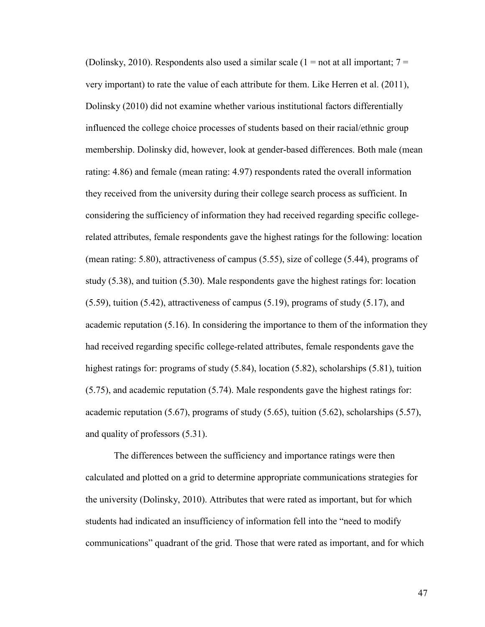(Dolinsky, 2010). Respondents also used a similar scale  $(1 = not at all important; 7 =$ very important) to rate the value of each attribute for them. Like Herren et al. (2011), Dolinsky (2010) did not examine whether various institutional factors differentially influenced the college choice processes of students based on their racial/ethnic group membership. Dolinsky did, however, look at gender-based differences. Both male (mean rating: 4.86) and female (mean rating: 4.97) respondents rated the overall information they received from the university during their college search process as sufficient. In considering the sufficiency of information they had received regarding specific collegerelated attributes, female respondents gave the highest ratings for the following: location (mean rating: 5.80), attractiveness of campus (5.55), size of college (5.44), programs of study (5.38), and tuition (5.30). Male respondents gave the highest ratings for: location (5.59), tuition (5.42), attractiveness of campus (5.19), programs of study (5.17), and academic reputation (5.16). In considering the importance to them of the information they had received regarding specific college-related attributes, female respondents gave the highest ratings for: programs of study (5.84), location (5.82), scholarships (5.81), tuition (5.75), and academic reputation (5.74). Male respondents gave the highest ratings for: academic reputation  $(5.67)$ , programs of study  $(5.65)$ , tuition  $(5.62)$ , scholarships  $(5.57)$ , and quality of professors (5.31).

The differences between the sufficiency and importance ratings were then calculated and plotted on a grid to determine appropriate communications strategies for the university (Dolinsky, 2010). Attributes that were rated as important, but for which students had indicated an insufficiency of information fell into the "need to modify communications" quadrant of the grid. Those that were rated as important, and for which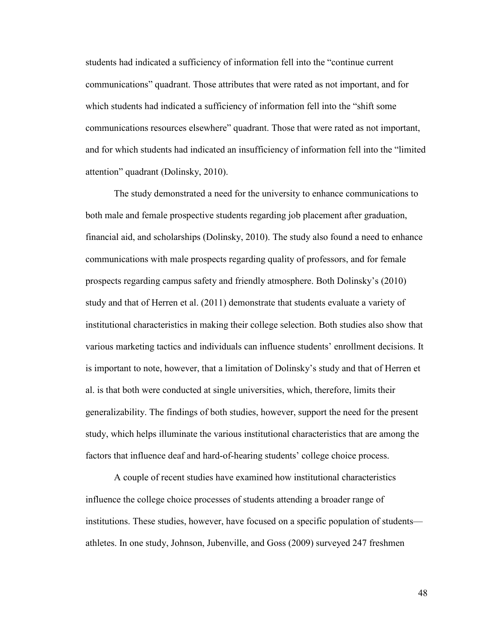students had indicated a sufficiency of information fell into the "continue current communications" quadrant. Those attributes that were rated as not important, and for which students had indicated a sufficiency of information fell into the "shift some communications resources elsewhere" quadrant. Those that were rated as not important, and for which students had indicated an insufficiency of information fell into the "limited attention" quadrant (Dolinsky, 2010).

The study demonstrated a need for the university to enhance communications to both male and female prospective students regarding job placement after graduation, financial aid, and scholarships (Dolinsky, 2010). The study also found a need to enhance communications with male prospects regarding quality of professors, and for female prospects regarding campus safety and friendly atmosphere. Both Dolinsky's (2010) study and that of Herren et al. (2011) demonstrate that students evaluate a variety of institutional characteristics in making their college selection. Both studies also show that various marketing tactics and individuals can influence students' enrollment decisions. It is important to note, however, that a limitation of Dolinsky's study and that of Herren et al. is that both were conducted at single universities, which, therefore, limits their generalizability. The findings of both studies, however, support the need for the present study, which helps illuminate the various institutional characteristics that are among the factors that influence deaf and hard-of-hearing students' college choice process.

A couple of recent studies have examined how institutional characteristics influence the college choice processes of students attending a broader range of institutions. These studies, however, have focused on a specific population of students athletes. In one study, Johnson, Jubenville, and Goss (2009) surveyed 247 freshmen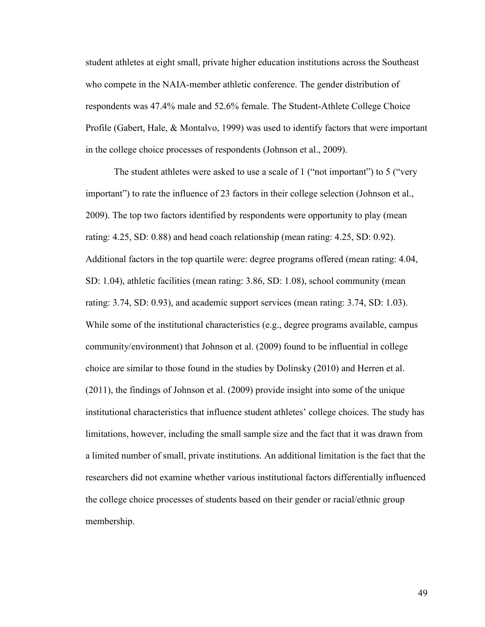student athletes at eight small, private higher education institutions across the Southeast who compete in the NAIA-member athletic conference. The gender distribution of respondents was 47.4% male and 52.6% female. The Student-Athlete College Choice Profile (Gabert, Hale, & Montalvo, 1999) was used to identify factors that were important in the college choice processes of respondents (Johnson et al., 2009).

The student athletes were asked to use a scale of 1 ("not important") to 5 ("very important") to rate the influence of 23 factors in their college selection (Johnson et al., 2009). The top two factors identified by respondents were opportunity to play (mean rating: 4.25, SD: 0.88) and head coach relationship (mean rating: 4.25, SD: 0.92). Additional factors in the top quartile were: degree programs offered (mean rating: 4.04, SD: 1.04), athletic facilities (mean rating: 3.86, SD: 1.08), school community (mean rating: 3.74, SD: 0.93), and academic support services (mean rating: 3.74, SD: 1.03). While some of the institutional characteristics (e.g., degree programs available, campus community/environment) that Johnson et al. (2009) found to be influential in college choice are similar to those found in the studies by Dolinsky (2010) and Herren et al. (2011), the findings of Johnson et al. (2009) provide insight into some of the unique institutional characteristics that influence student athletes' college choices. The study has limitations, however, including the small sample size and the fact that it was drawn from a limited number of small, private institutions. An additional limitation is the fact that the researchers did not examine whether various institutional factors differentially influenced the college choice processes of students based on their gender or racial/ethnic group membership.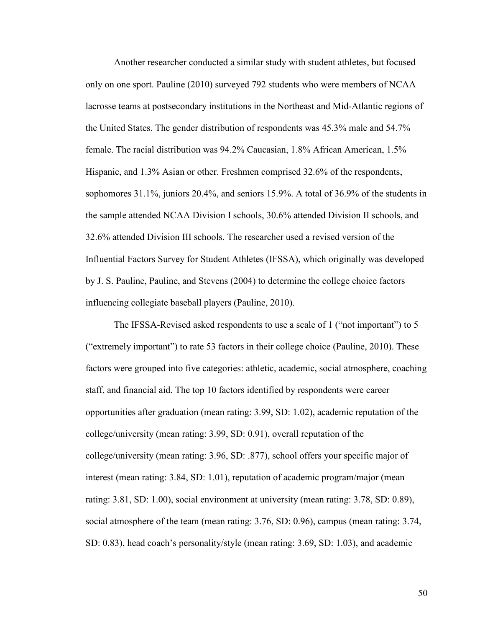Another researcher conducted a similar study with student athletes, but focused only on one sport. Pauline (2010) surveyed 792 students who were members of NCAA lacrosse teams at postsecondary institutions in the Northeast and Mid-Atlantic regions of the United States. The gender distribution of respondents was 45.3% male and 54.7% female. The racial distribution was 94.2% Caucasian, 1.8% African American, 1.5% Hispanic, and 1.3% Asian or other. Freshmen comprised 32.6% of the respondents, sophomores 31.1%, juniors 20.4%, and seniors 15.9%. A total of 36.9% of the students in the sample attended NCAA Division I schools, 30.6% attended Division II schools, and 32.6% attended Division III schools. The researcher used a revised version of the Influential Factors Survey for Student Athletes (IFSSA), which originally was developed by J. S. Pauline, Pauline, and Stevens (2004) to determine the college choice factors influencing collegiate baseball players (Pauline, 2010).

The IFSSA-Revised asked respondents to use a scale of 1 ("not important") to 5 ("extremely important") to rate 53 factors in their college choice (Pauline, 2010). These factors were grouped into five categories: athletic, academic, social atmosphere, coaching staff, and financial aid. The top 10 factors identified by respondents were career opportunities after graduation (mean rating: 3.99, SD: 1.02), academic reputation of the college/university (mean rating: 3.99, SD: 0.91), overall reputation of the college/university (mean rating: 3.96, SD: .877), school offers your specific major of interest (mean rating: 3.84, SD: 1.01), reputation of academic program/major (mean rating: 3.81, SD: 1.00), social environment at university (mean rating: 3.78, SD: 0.89), social atmosphere of the team (mean rating: 3.76, SD: 0.96), campus (mean rating: 3.74, SD: 0.83), head coach's personality/style (mean rating: 3.69, SD: 1.03), and academic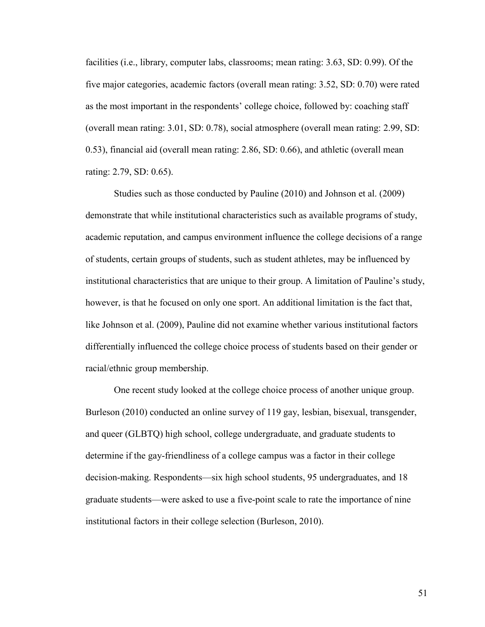facilities (i.e., library, computer labs, classrooms; mean rating: 3.63, SD: 0.99). Of the five major categories, academic factors (overall mean rating: 3.52, SD: 0.70) were rated as the most important in the respondents' college choice, followed by: coaching staff (overall mean rating: 3.01, SD: 0.78), social atmosphere (overall mean rating: 2.99, SD: 0.53), financial aid (overall mean rating: 2.86, SD: 0.66), and athletic (overall mean rating: 2.79, SD: 0.65).

Studies such as those conducted by Pauline (2010) and Johnson et al. (2009) demonstrate that while institutional characteristics such as available programs of study, academic reputation, and campus environment influence the college decisions of a range of students, certain groups of students, such as student athletes, may be influenced by institutional characteristics that are unique to their group. A limitation of Pauline's study, however, is that he focused on only one sport. An additional limitation is the fact that, like Johnson et al. (2009), Pauline did not examine whether various institutional factors differentially influenced the college choice process of students based on their gender or racial/ethnic group membership.

One recent study looked at the college choice process of another unique group. Burleson (2010) conducted an online survey of 119 gay, lesbian, bisexual, transgender, and queer (GLBTQ) high school, college undergraduate, and graduate students to determine if the gay-friendliness of a college campus was a factor in their college decision-making. Respondents—six high school students, 95 undergraduates, and 18 graduate students—were asked to use a five-point scale to rate the importance of nine institutional factors in their college selection (Burleson, 2010).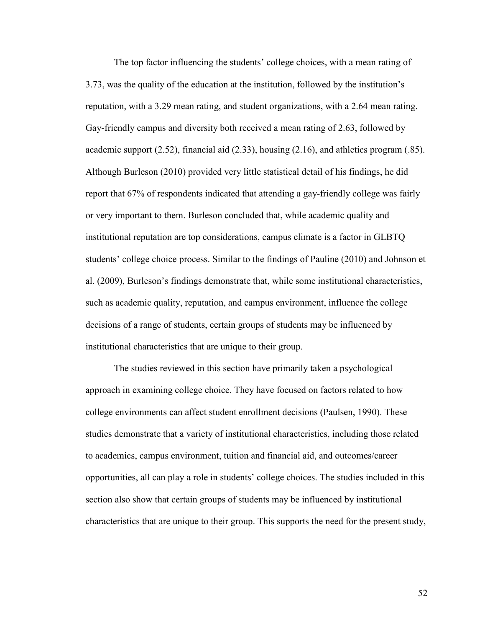The top factor influencing the students' college choices, with a mean rating of 3.73, was the quality of the education at the institution, followed by the institution's reputation, with a 3.29 mean rating, and student organizations, with a 2.64 mean rating. Gay-friendly campus and diversity both received a mean rating of 2.63, followed by academic support  $(2.52)$ , financial aid  $(2.33)$ , housing  $(2.16)$ , and athletics program (.85). Although Burleson (2010) provided very little statistical detail of his findings, he did report that 67% of respondents indicated that attending a gay-friendly college was fairly or very important to them. Burleson concluded that, while academic quality and institutional reputation are top considerations, campus climate is a factor in GLBTQ students' college choice process. Similar to the findings of Pauline (2010) and Johnson et al. (2009), Burleson's findings demonstrate that, while some institutional characteristics, such as academic quality, reputation, and campus environment, influence the college decisions of a range of students, certain groups of students may be influenced by institutional characteristics that are unique to their group.

The studies reviewed in this section have primarily taken a psychological approach in examining college choice. They have focused on factors related to how college environments can affect student enrollment decisions (Paulsen, 1990). These studies demonstrate that a variety of institutional characteristics, including those related to academics, campus environment, tuition and financial aid, and outcomes/career opportunities, all can play a role in students' college choices. The studies included in this section also show that certain groups of students may be influenced by institutional characteristics that are unique to their group. This supports the need for the present study,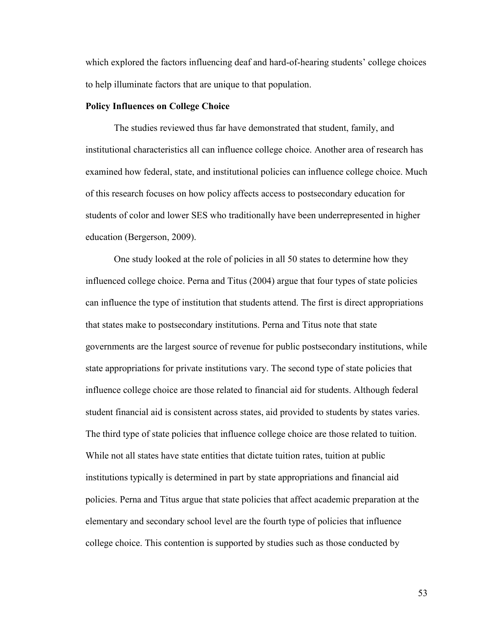which explored the factors influencing deaf and hard-of-hearing students' college choices to help illuminate factors that are unique to that population.

## **Policy Influences on College Choice**

The studies reviewed thus far have demonstrated that student, family, and institutional characteristics all can influence college choice. Another area of research has examined how federal, state, and institutional policies can influence college choice. Much of this research focuses on how policy affects access to postsecondary education for students of color and lower SES who traditionally have been underrepresented in higher education (Bergerson, 2009).

One study looked at the role of policies in all 50 states to determine how they influenced college choice. Perna and Titus (2004) argue that four types of state policies can influence the type of institution that students attend. The first is direct appropriations that states make to postsecondary institutions. Perna and Titus note that state governments are the largest source of revenue for public postsecondary institutions, while state appropriations for private institutions vary. The second type of state policies that influence college choice are those related to financial aid for students. Although federal student financial aid is consistent across states, aid provided to students by states varies. The third type of state policies that influence college choice are those related to tuition. While not all states have state entities that dictate tuition rates, tuition at public institutions typically is determined in part by state appropriations and financial aid policies. Perna and Titus argue that state policies that affect academic preparation at the elementary and secondary school level are the fourth type of policies that influence college choice. This contention is supported by studies such as those conducted by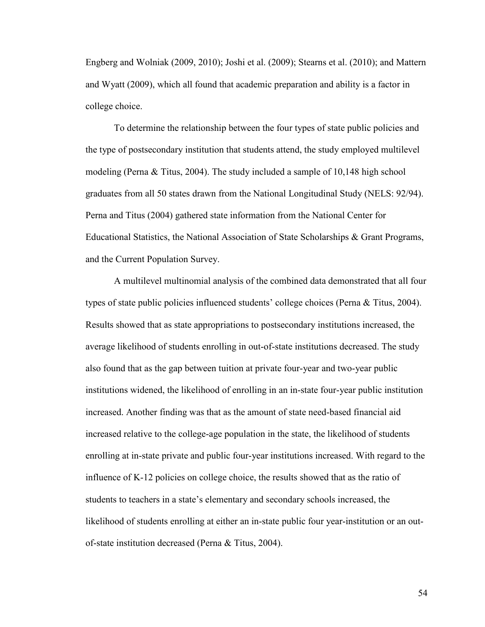Engberg and Wolniak (2009, 2010); Joshi et al. (2009); Stearns et al. (2010); and Mattern and Wyatt (2009), which all found that academic preparation and ability is a factor in college choice.

To determine the relationship between the four types of state public policies and the type of postsecondary institution that students attend, the study employed multilevel modeling (Perna & Titus, 2004). The study included a sample of 10,148 high school graduates from all 50 states drawn from the National Longitudinal Study (NELS: 92/94). Perna and Titus (2004) gathered state information from the National Center for Educational Statistics, the National Association of State Scholarships & Grant Programs, and the Current Population Survey.

A multilevel multinomial analysis of the combined data demonstrated that all four types of state public policies influenced students' college choices (Perna & Titus, 2004). Results showed that as state appropriations to postsecondary institutions increased, the average likelihood of students enrolling in out-of-state institutions decreased. The study also found that as the gap between tuition at private four-year and two-year public institutions widened, the likelihood of enrolling in an in-state four-year public institution increased. Another finding was that as the amount of state need-based financial aid increased relative to the college-age population in the state, the likelihood of students enrolling at in-state private and public four-year institutions increased. With regard to the influence of K-12 policies on college choice, the results showed that as the ratio of students to teachers in a state's elementary and secondary schools increased, the likelihood of students enrolling at either an in-state public four year-institution or an outof-state institution decreased (Perna & Titus, 2004).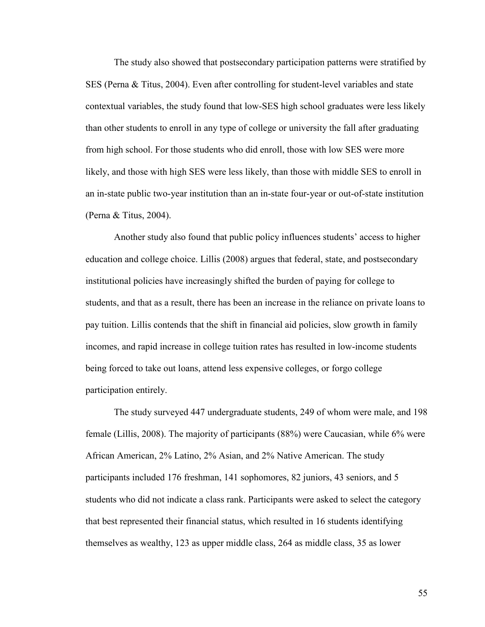The study also showed that postsecondary participation patterns were stratified by SES (Perna & Titus, 2004). Even after controlling for student-level variables and state contextual variables, the study found that low-SES high school graduates were less likely than other students to enroll in any type of college or university the fall after graduating from high school. For those students who did enroll, those with low SES were more likely, and those with high SES were less likely, than those with middle SES to enroll in an in-state public two-year institution than an in-state four-year or out-of-state institution (Perna & Titus, 2004).

Another study also found that public policy influences students' access to higher education and college choice. Lillis (2008) argues that federal, state, and postsecondary institutional policies have increasingly shifted the burden of paying for college to students, and that as a result, there has been an increase in the reliance on private loans to pay tuition. Lillis contends that the shift in financial aid policies, slow growth in family incomes, and rapid increase in college tuition rates has resulted in low-income students being forced to take out loans, attend less expensive colleges, or forgo college participation entirely.

The study surveyed 447 undergraduate students, 249 of whom were male, and 198 female (Lillis, 2008). The majority of participants (88%) were Caucasian, while 6% were African American, 2% Latino, 2% Asian, and 2% Native American. The study participants included 176 freshman, 141 sophomores, 82 juniors, 43 seniors, and 5 students who did not indicate a class rank. Participants were asked to select the category that best represented their financial status, which resulted in 16 students identifying themselves as wealthy, 123 as upper middle class, 264 as middle class, 35 as lower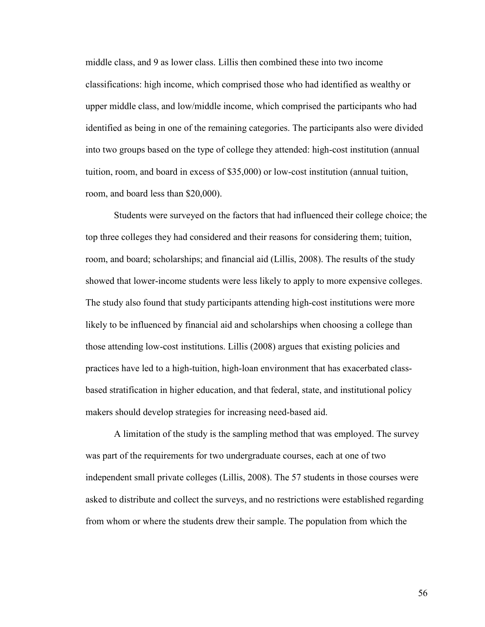middle class, and 9 as lower class. Lillis then combined these into two income classifications: high income, which comprised those who had identified as wealthy or upper middle class, and low/middle income, which comprised the participants who had identified as being in one of the remaining categories. The participants also were divided into two groups based on the type of college they attended: high-cost institution (annual tuition, room, and board in excess of \$35,000) or low-cost institution (annual tuition, room, and board less than \$20,000).

Students were surveyed on the factors that had influenced their college choice; the top three colleges they had considered and their reasons for considering them; tuition, room, and board; scholarships; and financial aid (Lillis, 2008). The results of the study showed that lower-income students were less likely to apply to more expensive colleges. The study also found that study participants attending high-cost institutions were more likely to be influenced by financial aid and scholarships when choosing a college than those attending low-cost institutions. Lillis (2008) argues that existing policies and practices have led to a high-tuition, high-loan environment that has exacerbated classbased stratification in higher education, and that federal, state, and institutional policy makers should develop strategies for increasing need-based aid.

A limitation of the study is the sampling method that was employed. The survey was part of the requirements for two undergraduate courses, each at one of two independent small private colleges (Lillis, 2008). The 57 students in those courses were asked to distribute and collect the surveys, and no restrictions were established regarding from whom or where the students drew their sample. The population from which the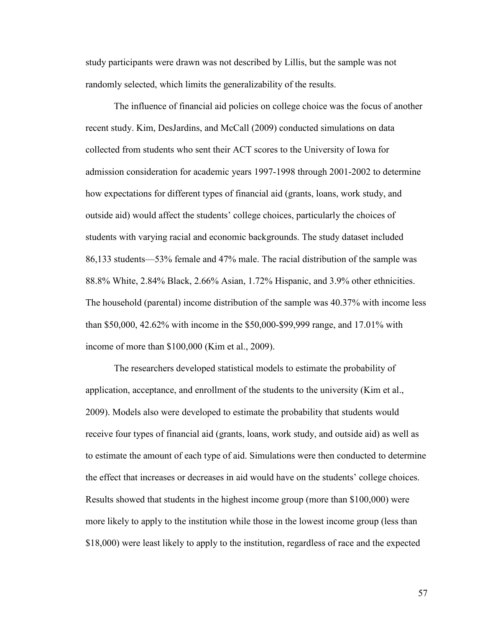study participants were drawn was not described by Lillis, but the sample was not randomly selected, which limits the generalizability of the results.

The influence of financial aid policies on college choice was the focus of another recent study. Kim, DesJardins, and McCall (2009) conducted simulations on data collected from students who sent their ACT scores to the University of Iowa for admission consideration for academic years 1997-1998 through 2001-2002 to determine how expectations for different types of financial aid (grants, loans, work study, and outside aid) would affect the students' college choices, particularly the choices of students with varying racial and economic backgrounds. The study dataset included 86,133 students—53% female and 47% male. The racial distribution of the sample was 88.8% White, 2.84% Black, 2.66% Asian, 1.72% Hispanic, and 3.9% other ethnicities. The household (parental) income distribution of the sample was 40.37% with income less than \$50,000, 42.62% with income in the \$50,000-\$99,999 range, and 17.01% with income of more than \$100,000 (Kim et al., 2009).

The researchers developed statistical models to estimate the probability of application, acceptance, and enrollment of the students to the university (Kim et al., 2009). Models also were developed to estimate the probability that students would receive four types of financial aid (grants, loans, work study, and outside aid) as well as to estimate the amount of each type of aid. Simulations were then conducted to determine the effect that increases or decreases in aid would have on the students' college choices. Results showed that students in the highest income group (more than \$100,000) were more likely to apply to the institution while those in the lowest income group (less than \$18,000) were least likely to apply to the institution, regardless of race and the expected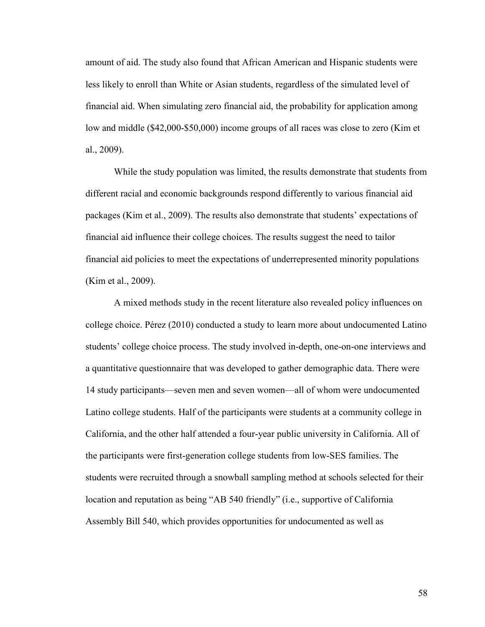amount of aid. The study also found that African American and Hispanic students were less likely to enroll than White or Asian students, regardless of the simulated level of financial aid. When simulating zero financial aid, the probability for application among low and middle (\$42,000-\$50,000) income groups of all races was close to zero (Kim et al., 2009).

While the study population was limited, the results demonstrate that students from different racial and economic backgrounds respond differently to various financial aid packages (Kim et al., 2009). The results also demonstrate that students' expectations of financial aid influence their college choices. The results suggest the need to tailor financial aid policies to meet the expectations of underrepresented minority populations (Kim et al., 2009).

A mixed methods study in the recent literature also revealed policy influences on college choice. Pérez (2010) conducted a study to learn more about undocumented Latino students' college choice process. The study involved in-depth, one-on-one interviews and a quantitative questionnaire that was developed to gather demographic data. There were 14 study participants—seven men and seven women—all of whom were undocumented Latino college students. Half of the participants were students at a community college in California, and the other half attended a four-year public university in California. All of the participants were first-generation college students from low-SES families. The students were recruited through a snowball sampling method at schools selected for their location and reputation as being "AB 540 friendly" (i.e., supportive of California Assembly Bill 540, which provides opportunities for undocumented as well as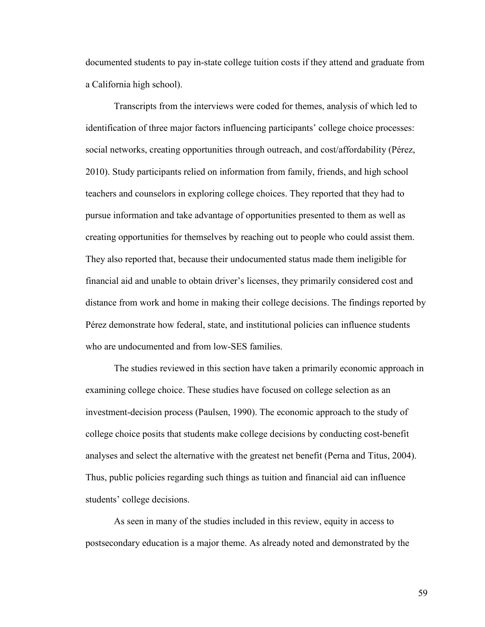documented students to pay in-state college tuition costs if they attend and graduate from a California high school).

Transcripts from the interviews were coded for themes, analysis of which led to identification of three major factors influencing participants' college choice processes: social networks, creating opportunities through outreach, and cost/affordability (Pérez, 2010). Study participants relied on information from family, friends, and high school teachers and counselors in exploring college choices. They reported that they had to pursue information and take advantage of opportunities presented to them as well as creating opportunities for themselves by reaching out to people who could assist them. They also reported that, because their undocumented status made them ineligible for financial aid and unable to obtain driver's licenses, they primarily considered cost and distance from work and home in making their college decisions. The findings reported by Pérez demonstrate how federal, state, and institutional policies can influence students who are undocumented and from low-SES families.

The studies reviewed in this section have taken a primarily economic approach in examining college choice. These studies have focused on college selection as an investment-decision process (Paulsen, 1990). The economic approach to the study of college choice posits that students make college decisions by conducting cost-benefit analyses and select the alternative with the greatest net benefit (Perna and Titus, 2004). Thus, public policies regarding such things as tuition and financial aid can influence students' college decisions.

As seen in many of the studies included in this review, equity in access to postsecondary education is a major theme. As already noted and demonstrated by the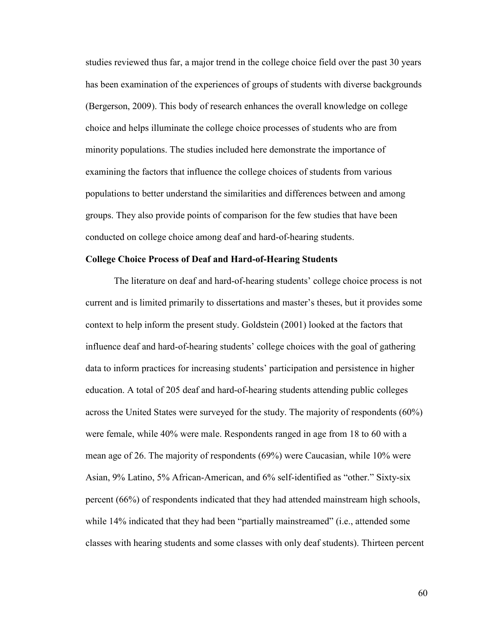studies reviewed thus far, a major trend in the college choice field over the past 30 years has been examination of the experiences of groups of students with diverse backgrounds (Bergerson, 2009). This body of research enhances the overall knowledge on college choice and helps illuminate the college choice processes of students who are from minority populations. The studies included here demonstrate the importance of examining the factors that influence the college choices of students from various populations to better understand the similarities and differences between and among groups. They also provide points of comparison for the few studies that have been conducted on college choice among deaf and hard-of-hearing students.

# **College Choice Process of Deaf and Hard-of-Hearing Students**

The literature on deaf and hard-of-hearing students' college choice process is not current and is limited primarily to dissertations and master's theses, but it provides some context to help inform the present study. Goldstein (2001) looked at the factors that influence deaf and hard-of-hearing students' college choices with the goal of gathering data to inform practices for increasing students' participation and persistence in higher education. A total of 205 deaf and hard-of-hearing students attending public colleges across the United States were surveyed for the study. The majority of respondents (60%) were female, while 40% were male. Respondents ranged in age from 18 to 60 with a mean age of 26. The majority of respondents (69%) were Caucasian, while 10% were Asian, 9% Latino, 5% African-American, and 6% self-identified as "other." Sixty-six percent (66%) of respondents indicated that they had attended mainstream high schools, while 14% indicated that they had been "partially mainstreamed" (i.e., attended some classes with hearing students and some classes with only deaf students). Thirteen percent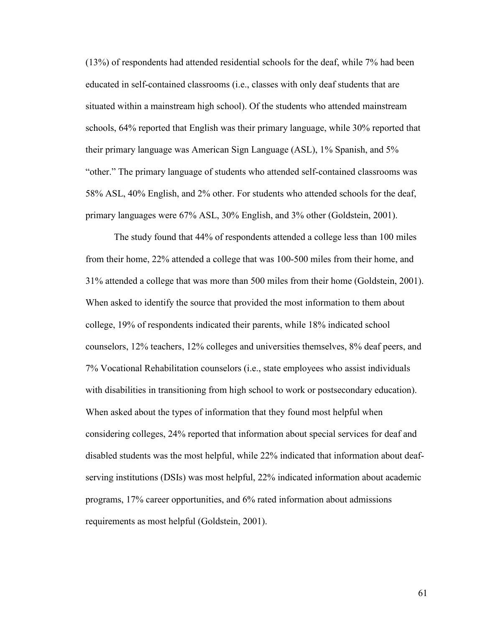(13%) of respondents had attended residential schools for the deaf, while 7% had been educated in self-contained classrooms (i.e., classes with only deaf students that are situated within a mainstream high school). Of the students who attended mainstream schools, 64% reported that English was their primary language, while 30% reported that their primary language was American Sign Language (ASL), 1% Spanish, and 5% "other." The primary language of students who attended self-contained classrooms was 58% ASL, 40% English, and 2% other. For students who attended schools for the deaf, primary languages were 67% ASL, 30% English, and 3% other (Goldstein, 2001).

The study found that 44% of respondents attended a college less than 100 miles from their home, 22% attended a college that was 100-500 miles from their home, and 31% attended a college that was more than 500 miles from their home (Goldstein, 2001). When asked to identify the source that provided the most information to them about college, 19% of respondents indicated their parents, while 18% indicated school counselors, 12% teachers, 12% colleges and universities themselves, 8% deaf peers, and 7% Vocational Rehabilitation counselors (i.e., state employees who assist individuals with disabilities in transitioning from high school to work or postsecondary education). When asked about the types of information that they found most helpful when considering colleges, 24% reported that information about special services for deaf and disabled students was the most helpful, while 22% indicated that information about deafserving institutions (DSIs) was most helpful, 22% indicated information about academic programs, 17% career opportunities, and 6% rated information about admissions requirements as most helpful (Goldstein, 2001).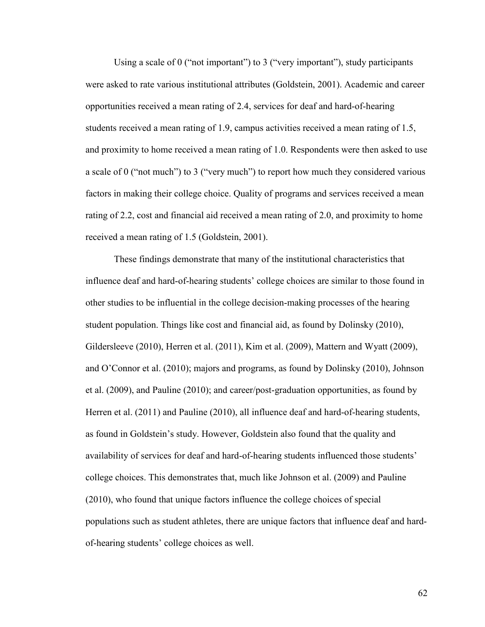Using a scale of 0 ("not important") to 3 ("very important"), study participants were asked to rate various institutional attributes (Goldstein, 2001). Academic and career opportunities received a mean rating of 2.4, services for deaf and hard-of-hearing students received a mean rating of 1.9, campus activities received a mean rating of 1.5, and proximity to home received a mean rating of 1.0. Respondents were then asked to use a scale of 0 ("not much") to 3 ("very much") to report how much they considered various factors in making their college choice. Quality of programs and services received a mean rating of 2.2, cost and financial aid received a mean rating of 2.0, and proximity to home received a mean rating of 1.5 (Goldstein, 2001).

These findings demonstrate that many of the institutional characteristics that influence deaf and hard-of-hearing students' college choices are similar to those found in other studies to be influential in the college decision-making processes of the hearing student population. Things like cost and financial aid, as found by Dolinsky (2010), Gildersleeve (2010), Herren et al. (2011), Kim et al. (2009), Mattern and Wyatt (2009), and O'Connor et al. (2010); majors and programs, as found by Dolinsky (2010), Johnson et al. (2009), and Pauline (2010); and career/post-graduation opportunities, as found by Herren et al. (2011) and Pauline (2010), all influence deaf and hard-of-hearing students, as found in Goldstein's study. However, Goldstein also found that the quality and availability of services for deaf and hard-of-hearing students influenced those students' college choices. This demonstrates that, much like Johnson et al. (2009) and Pauline (2010), who found that unique factors influence the college choices of special populations such as student athletes, there are unique factors that influence deaf and hardof-hearing students' college choices as well.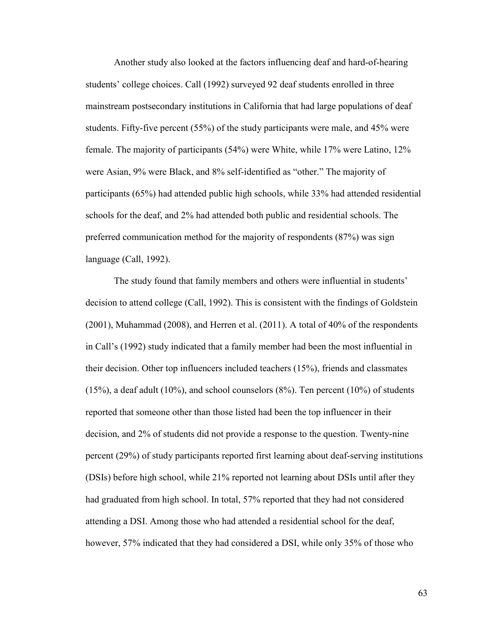Another study also looked at the factors influencing deaf and hard-of-hearing students' college choices. Call (1992) surveyed 92 deaf students enrolled in three mainstream postsecondary institutions in California that had large populations of deaf students. Fifty-five percent (55%) of the study participants were male, and 45% were female. The majority of participants (54%) were White, while 17% were Latino, 12% were Asian, 9% were Black, and 8% self-identified as "other." The majority of participants (65%) had attended public high schools, while 33% had attended residential schools for the deaf, and 2% had attended both public and residential schools. The preferred communication method for the majority of respondents (87%) was sign language (Call, 1992).

The study found that family members and others were influential in students' decision to attend college (Call, 1992). This is consistent with the findings of Goldstein (2001), Muhammad (2008), and Herren et al. (2011). A total of 40% of the respondents in Call's (1992) study indicated that a family member had been the most influential in their decision. Other top influencers included teachers (15%), friends and classmates  $(15%)$ , a deaf adult  $(10%)$ , and school counselors  $(8%)$ . Ten percent  $(10%)$  of students reported that someone other than those listed had been the top influencer in their decision, and 2% of students did not provide a response to the question. Twenty-nine percent (29%) of study participants reported first learning about deaf-serving institutions (DSIs) before high school, while 21% reported not learning about DSIs until after they had graduated from high school. In total, 57% reported that they had not considered attending a DSI. Among those who had attended a residential school for the deaf, however, 57% indicated that they had considered a DSI, while only 35% of those who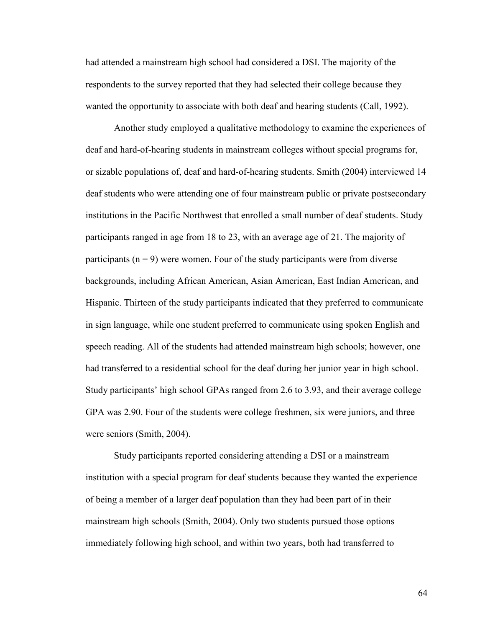had attended a mainstream high school had considered a DSI. The majority of the respondents to the survey reported that they had selected their college because they wanted the opportunity to associate with both deaf and hearing students (Call, 1992).

Another study employed a qualitative methodology to examine the experiences of deaf and hard-of-hearing students in mainstream colleges without special programs for, or sizable populations of, deaf and hard-of-hearing students. Smith (2004) interviewed 14 deaf students who were attending one of four mainstream public or private postsecondary institutions in the Pacific Northwest that enrolled a small number of deaf students. Study participants ranged in age from 18 to 23, with an average age of 21. The majority of participants ( $n = 9$ ) were women. Four of the study participants were from diverse backgrounds, including African American, Asian American, East Indian American, and Hispanic. Thirteen of the study participants indicated that they preferred to communicate in sign language, while one student preferred to communicate using spoken English and speech reading. All of the students had attended mainstream high schools; however, one had transferred to a residential school for the deaf during her junior year in high school. Study participants' high school GPAs ranged from 2.6 to 3.93, and their average college GPA was 2.90. Four of the students were college freshmen, six were juniors, and three were seniors (Smith, 2004).

Study participants reported considering attending a DSI or a mainstream institution with a special program for deaf students because they wanted the experience of being a member of a larger deaf population than they had been part of in their mainstream high schools (Smith, 2004). Only two students pursued those options immediately following high school, and within two years, both had transferred to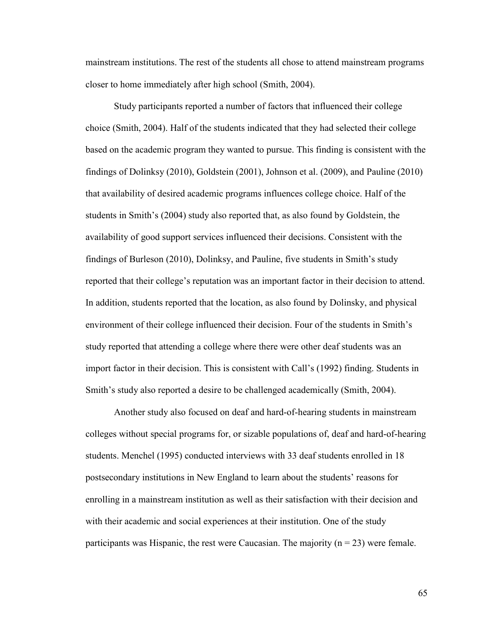mainstream institutions. The rest of the students all chose to attend mainstream programs closer to home immediately after high school (Smith, 2004).

Study participants reported a number of factors that influenced their college choice (Smith, 2004). Half of the students indicated that they had selected their college based on the academic program they wanted to pursue. This finding is consistent with the findings of Dolinksy (2010), Goldstein (2001), Johnson et al. (2009), and Pauline (2010) that availability of desired academic programs influences college choice. Half of the students in Smith's (2004) study also reported that, as also found by Goldstein, the availability of good support services influenced their decisions. Consistent with the findings of Burleson (2010), Dolinksy, and Pauline, five students in Smith's study reported that their college's reputation was an important factor in their decision to attend. In addition, students reported that the location, as also found by Dolinsky, and physical environment of their college influenced their decision. Four of the students in Smith's study reported that attending a college where there were other deaf students was an import factor in their decision. This is consistent with Call's (1992) finding. Students in Smith's study also reported a desire to be challenged academically (Smith, 2004).

Another study also focused on deaf and hard-of-hearing students in mainstream colleges without special programs for, or sizable populations of, deaf and hard-of-hearing students. Menchel (1995) conducted interviews with 33 deaf students enrolled in 18 postsecondary institutions in New England to learn about the students' reasons for enrolling in a mainstream institution as well as their satisfaction with their decision and with their academic and social experiences at their institution. One of the study participants was Hispanic, the rest were Caucasian. The majority  $(n = 23)$  were female.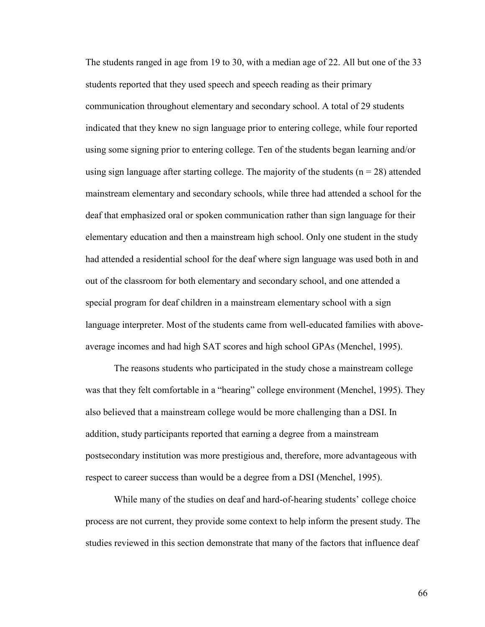The students ranged in age from 19 to 30, with a median age of 22. All but one of the 33 students reported that they used speech and speech reading as their primary communication throughout elementary and secondary school. A total of 29 students indicated that they knew no sign language prior to entering college, while four reported using some signing prior to entering college. Ten of the students began learning and/or using sign language after starting college. The majority of the students  $(n = 28)$  attended mainstream elementary and secondary schools, while three had attended a school for the deaf that emphasized oral or spoken communication rather than sign language for their elementary education and then a mainstream high school. Only one student in the study had attended a residential school for the deaf where sign language was used both in and out of the classroom for both elementary and secondary school, and one attended a special program for deaf children in a mainstream elementary school with a sign language interpreter. Most of the students came from well-educated families with aboveaverage incomes and had high SAT scores and high school GPAs (Menchel, 1995).

The reasons students who participated in the study chose a mainstream college was that they felt comfortable in a "hearing" college environment (Menchel, 1995). They also believed that a mainstream college would be more challenging than a DSI. In addition, study participants reported that earning a degree from a mainstream postsecondary institution was more prestigious and, therefore, more advantageous with respect to career success than would be a degree from a DSI (Menchel, 1995).

While many of the studies on deaf and hard-of-hearing students' college choice process are not current, they provide some context to help inform the present study. The studies reviewed in this section demonstrate that many of the factors that influence deaf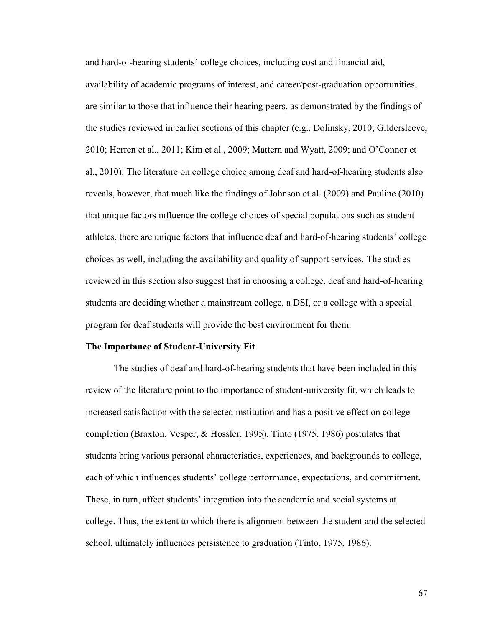and hard-of-hearing students' college choices, including cost and financial aid, availability of academic programs of interest, and career/post-graduation opportunities, are similar to those that influence their hearing peers, as demonstrated by the findings of the studies reviewed in earlier sections of this chapter (e.g., Dolinsky, 2010; Gildersleeve, 2010; Herren et al., 2011; Kim et al., 2009; Mattern and Wyatt, 2009; and O'Connor et al., 2010). The literature on college choice among deaf and hard-of-hearing students also reveals, however, that much like the findings of Johnson et al. (2009) and Pauline (2010) that unique factors influence the college choices of special populations such as student athletes, there are unique factors that influence deaf and hard-of-hearing students' college choices as well, including the availability and quality of support services. The studies reviewed in this section also suggest that in choosing a college, deaf and hard-of-hearing students are deciding whether a mainstream college, a DSI, or a college with a special program for deaf students will provide the best environment for them.

# **The Importance of Student-University Fit**

The studies of deaf and hard-of-hearing students that have been included in this review of the literature point to the importance of student-university fit, which leads to increased satisfaction with the selected institution and has a positive effect on college completion (Braxton, Vesper, & Hossler, 1995). Tinto (1975, 1986) postulates that students bring various personal characteristics, experiences, and backgrounds to college, each of which influences students' college performance, expectations, and commitment. These, in turn, affect students' integration into the academic and social systems at college. Thus, the extent to which there is alignment between the student and the selected school, ultimately influences persistence to graduation (Tinto, 1975, 1986).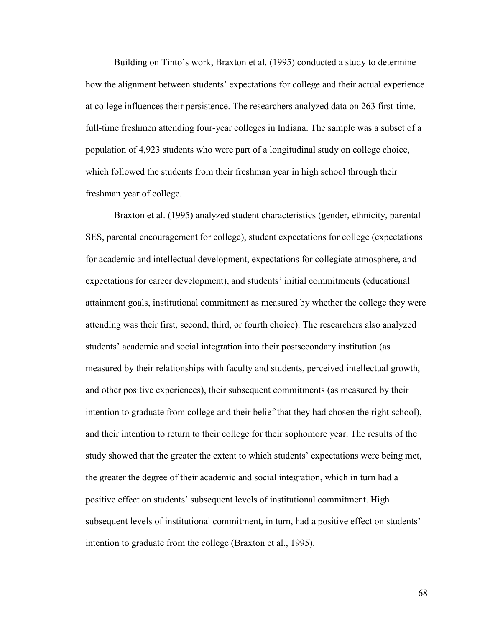Building on Tinto's work, Braxton et al. (1995) conducted a study to determine how the alignment between students' expectations for college and their actual experience at college influences their persistence. The researchers analyzed data on 263 first-time, full-time freshmen attending four-year colleges in Indiana. The sample was a subset of a population of 4,923 students who were part of a longitudinal study on college choice, which followed the students from their freshman year in high school through their freshman year of college.

Braxton et al. (1995) analyzed student characteristics (gender, ethnicity, parental SES, parental encouragement for college), student expectations for college (expectations for academic and intellectual development, expectations for collegiate atmosphere, and expectations for career development), and students' initial commitments (educational attainment goals, institutional commitment as measured by whether the college they were attending was their first, second, third, or fourth choice). The researchers also analyzed students' academic and social integration into their postsecondary institution (as measured by their relationships with faculty and students, perceived intellectual growth, and other positive experiences), their subsequent commitments (as measured by their intention to graduate from college and their belief that they had chosen the right school), and their intention to return to their college for their sophomore year. The results of the study showed that the greater the extent to which students' expectations were being met, the greater the degree of their academic and social integration, which in turn had a positive effect on students' subsequent levels of institutional commitment. High subsequent levels of institutional commitment, in turn, had a positive effect on students' intention to graduate from the college (Braxton et al., 1995).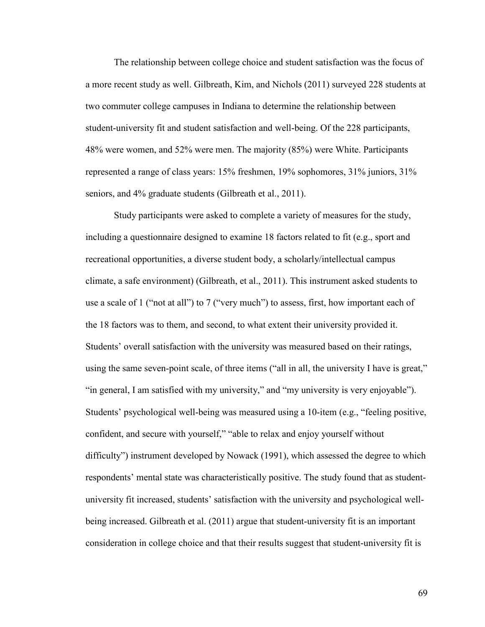The relationship between college choice and student satisfaction was the focus of a more recent study as well. Gilbreath, Kim, and Nichols (2011) surveyed 228 students at two commuter college campuses in Indiana to determine the relationship between student-university fit and student satisfaction and well-being. Of the 228 participants, 48% were women, and 52% were men. The majority (85%) were White. Participants represented a range of class years: 15% freshmen, 19% sophomores, 31% juniors, 31% seniors, and 4% graduate students (Gilbreath et al., 2011).

Study participants were asked to complete a variety of measures for the study, including a questionnaire designed to examine 18 factors related to fit (e.g., sport and recreational opportunities, a diverse student body, a scholarly/intellectual campus climate, a safe environment) (Gilbreath, et al., 2011). This instrument asked students to use a scale of 1 ("not at all") to 7 ("very much") to assess, first, how important each of the 18 factors was to them, and second, to what extent their university provided it. Students' overall satisfaction with the university was measured based on their ratings, using the same seven-point scale, of three items ("all in all, the university I have is great," "in general, I am satisfied with my university," and "my university is very enjoyable"). Students' psychological well-being was measured using a 10-item (e.g., "feeling positive, confident, and secure with yourself," "able to relax and enjoy yourself without difficulty") instrument developed by Nowack (1991), which assessed the degree to which respondents' mental state was characteristically positive. The study found that as studentuniversity fit increased, students' satisfaction with the university and psychological wellbeing increased. Gilbreath et al. (2011) argue that student-university fit is an important consideration in college choice and that their results suggest that student-university fit is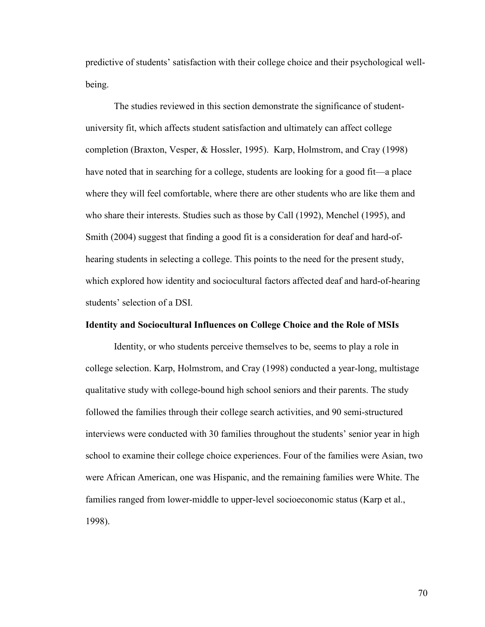predictive of students' satisfaction with their college choice and their psychological wellbeing.

The studies reviewed in this section demonstrate the significance of studentuniversity fit, which affects student satisfaction and ultimately can affect college completion (Braxton, Vesper, & Hossler, 1995). Karp, Holmstrom, and Cray (1998) have noted that in searching for a college, students are looking for a good fit—a place where they will feel comfortable, where there are other students who are like them and who share their interests. Studies such as those by Call (1992), Menchel (1995), and Smith (2004) suggest that finding a good fit is a consideration for deaf and hard-ofhearing students in selecting a college. This points to the need for the present study, which explored how identity and sociocultural factors affected deaf and hard-of-hearing students' selection of a DSI.

#### **Identity and Sociocultural Influences on College Choice and the Role of MSIs**

Identity, or who students perceive themselves to be, seems to play a role in college selection. Karp, Holmstrom, and Cray (1998) conducted a year-long, multistage qualitative study with college-bound high school seniors and their parents. The study followed the families through their college search activities, and 90 semi-structured interviews were conducted with 30 families throughout the students' senior year in high school to examine their college choice experiences. Four of the families were Asian, two were African American, one was Hispanic, and the remaining families were White. The families ranged from lower-middle to upper-level socioeconomic status (Karp et al., 1998).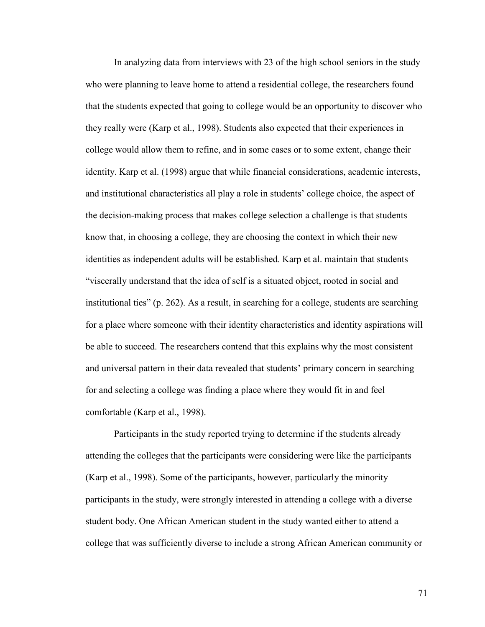In analyzing data from interviews with 23 of the high school seniors in the study who were planning to leave home to attend a residential college, the researchers found that the students expected that going to college would be an opportunity to discover who they really were (Karp et al., 1998). Students also expected that their experiences in college would allow them to refine, and in some cases or to some extent, change their identity. Karp et al. (1998) argue that while financial considerations, academic interests, and institutional characteristics all play a role in students' college choice, the aspect of the decision-making process that makes college selection a challenge is that students know that, in choosing a college, they are choosing the context in which their new identities as independent adults will be established. Karp et al. maintain that students "viscerally understand that the idea of self is a situated object, rooted in social and institutional ties" (p. 262). As a result, in searching for a college, students are searching for a place where someone with their identity characteristics and identity aspirations will be able to succeed. The researchers contend that this explains why the most consistent and universal pattern in their data revealed that students' primary concern in searching for and selecting a college was finding a place where they would fit in and feel comfortable (Karp et al., 1998).

Participants in the study reported trying to determine if the students already attending the colleges that the participants were considering were like the participants (Karp et al., 1998). Some of the participants, however, particularly the minority participants in the study, were strongly interested in attending a college with a diverse student body. One African American student in the study wanted either to attend a college that was sufficiently diverse to include a strong African American community or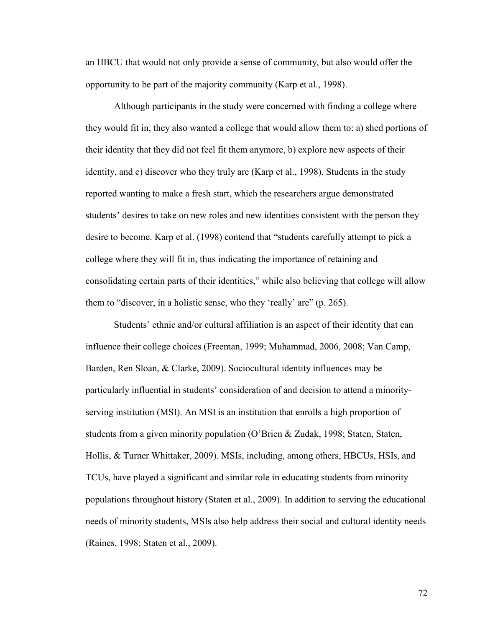an HBCU that would not only provide a sense of community, but also would offer the opportunity to be part of the majority community (Karp et al., 1998).

Although participants in the study were concerned with finding a college where they would fit in, they also wanted a college that would allow them to: a) shed portions of their identity that they did not feel fit them anymore, b) explore new aspects of their identity, and c) discover who they truly are (Karp et al., 1998). Students in the study reported wanting to make a fresh start, which the researchers argue demonstrated students' desires to take on new roles and new identities consistent with the person they desire to become. Karp et al. (1998) contend that "students carefully attempt to pick a college where they will fit in, thus indicating the importance of retaining and consolidating certain parts of their identities," while also believing that college will allow them to "discover, in a holistic sense, who they 'really' are" (p. 265).

Students' ethnic and/or cultural affiliation is an aspect of their identity that can influence their college choices (Freeman, 1999; Muhammad, 2006, 2008; Van Camp, Barden, Ren Sloan, & Clarke, 2009). Sociocultural identity influences may be particularly influential in students' consideration of and decision to attend a minorityserving institution (MSI). An MSI is an institution that enrolls a high proportion of students from a given minority population (O'Brien & Zudak, 1998; Staten, Staten, Hollis, & Turner Whittaker, 2009). MSIs, including, among others, HBCUs, HSIs, and TCUs, have played a significant and similar role in educating students from minority populations throughout history (Staten et al., 2009). In addition to serving the educational needs of minority students, MSIs also help address their social and cultural identity needs (Raines, 1998; Staten et al., 2009).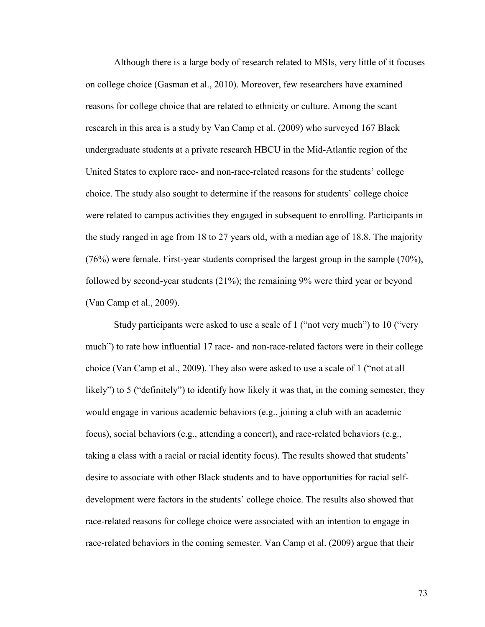Although there is a large body of research related to MSIs, very little of it focuses on college choice (Gasman et al., 2010). Moreover, few researchers have examined reasons for college choice that are related to ethnicity or culture. Among the scant research in this area is a study by Van Camp et al. (2009) who surveyed 167 Black undergraduate students at a private research HBCU in the Mid-Atlantic region of the United States to explore race- and non-race-related reasons for the students' college choice. The study also sought to determine if the reasons for students' college choice were related to campus activities they engaged in subsequent to enrolling. Participants in the study ranged in age from 18 to 27 years old, with a median age of 18.8. The majority (76%) were female. First-year students comprised the largest group in the sample (70%), followed by second-year students (21%); the remaining 9% were third year or beyond (Van Camp et al., 2009).

Study participants were asked to use a scale of 1 ("not very much") to 10 ("very much") to rate how influential 17 race- and non-race-related factors were in their college choice (Van Camp et al., 2009). They also were asked to use a scale of 1 ("not at all likely") to 5 ("definitely") to identify how likely it was that, in the coming semester, they would engage in various academic behaviors (e.g., joining a club with an academic focus), social behaviors (e.g., attending a concert), and race-related behaviors (e.g., taking a class with a racial or racial identity focus). The results showed that students' desire to associate with other Black students and to have opportunities for racial selfdevelopment were factors in the students' college choice. The results also showed that race-related reasons for college choice were associated with an intention to engage in race-related behaviors in the coming semester. Van Camp et al. (2009) argue that their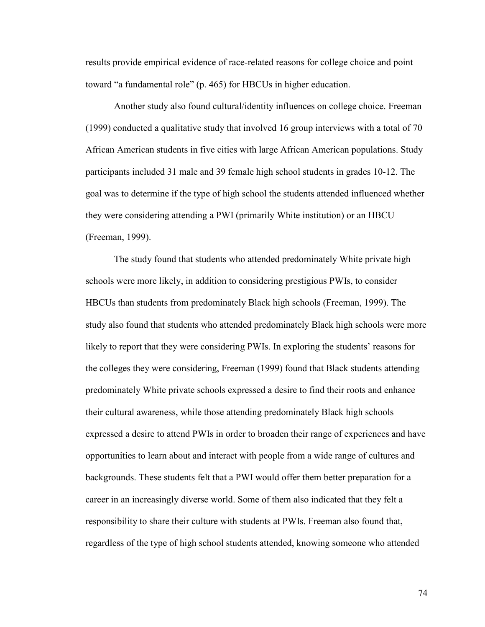results provide empirical evidence of race-related reasons for college choice and point toward "a fundamental role" (p. 465) for HBCUs in higher education.

Another study also found cultural/identity influences on college choice. Freeman (1999) conducted a qualitative study that involved 16 group interviews with a total of 70 African American students in five cities with large African American populations. Study participants included 31 male and 39 female high school students in grades 10-12. The goal was to determine if the type of high school the students attended influenced whether they were considering attending a PWI (primarily White institution) or an HBCU (Freeman, 1999).

The study found that students who attended predominately White private high schools were more likely, in addition to considering prestigious PWIs, to consider HBCUs than students from predominately Black high schools (Freeman, 1999). The study also found that students who attended predominately Black high schools were more likely to report that they were considering PWIs. In exploring the students' reasons for the colleges they were considering, Freeman (1999) found that Black students attending predominately White private schools expressed a desire to find their roots and enhance their cultural awareness, while those attending predominately Black high schools expressed a desire to attend PWIs in order to broaden their range of experiences and have opportunities to learn about and interact with people from a wide range of cultures and backgrounds. These students felt that a PWI would offer them better preparation for a career in an increasingly diverse world. Some of them also indicated that they felt a responsibility to share their culture with students at PWIs. Freeman also found that, regardless of the type of high school students attended, knowing someone who attended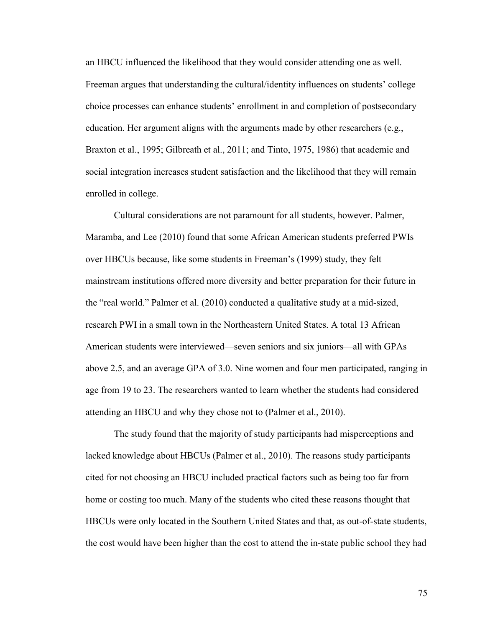an HBCU influenced the likelihood that they would consider attending one as well. Freeman argues that understanding the cultural/identity influences on students' college choice processes can enhance students' enrollment in and completion of postsecondary education. Her argument aligns with the arguments made by other researchers (e.g., Braxton et al., 1995; Gilbreath et al., 2011; and Tinto, 1975, 1986) that academic and social integration increases student satisfaction and the likelihood that they will remain enrolled in college.

Cultural considerations are not paramount for all students, however. Palmer, Maramba, and Lee (2010) found that some African American students preferred PWIs over HBCUs because, like some students in Freeman's (1999) study, they felt mainstream institutions offered more diversity and better preparation for their future in the "real world." Palmer et al. (2010) conducted a qualitative study at a mid-sized, research PWI in a small town in the Northeastern United States. A total 13 African American students were interviewed—seven seniors and six juniors—all with GPAs above 2.5, and an average GPA of 3.0. Nine women and four men participated, ranging in age from 19 to 23. The researchers wanted to learn whether the students had considered attending an HBCU and why they chose not to (Palmer et al., 2010).

The study found that the majority of study participants had misperceptions and lacked knowledge about HBCUs (Palmer et al., 2010). The reasons study participants cited for not choosing an HBCU included practical factors such as being too far from home or costing too much. Many of the students who cited these reasons thought that HBCUs were only located in the Southern United States and that, as out-of-state students, the cost would have been higher than the cost to attend the in-state public school they had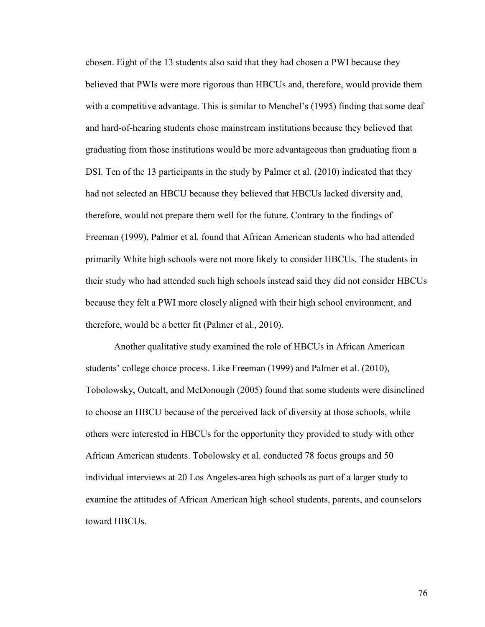chosen. Eight of the 13 students also said that they had chosen a PWI because they believed that PWIs were more rigorous than HBCUs and, therefore, would provide them with a competitive advantage. This is similar to Menchel's (1995) finding that some deaf and hard-of-hearing students chose mainstream institutions because they believed that graduating from those institutions would be more advantageous than graduating from a DSI. Ten of the 13 participants in the study by Palmer et al. (2010) indicated that they had not selected an HBCU because they believed that HBCUs lacked diversity and, therefore, would not prepare them well for the future. Contrary to the findings of Freeman (1999), Palmer et al. found that African American students who had attended primarily White high schools were not more likely to consider HBCUs. The students in their study who had attended such high schools instead said they did not consider HBCUs because they felt a PWI more closely aligned with their high school environment, and therefore, would be a better fit (Palmer et al., 2010).

Another qualitative study examined the role of HBCUs in African American students' college choice process. Like Freeman (1999) and Palmer et al. (2010), Tobolowsky, Outcalt, and McDonough (2005) found that some students were disinclined to choose an HBCU because of the perceived lack of diversity at those schools, while others were interested in HBCUs for the opportunity they provided to study with other African American students. Tobolowsky et al. conducted 78 focus groups and 50 individual interviews at 20 Los Angeles-area high schools as part of a larger study to examine the attitudes of African American high school students, parents, and counselors toward HBCUs.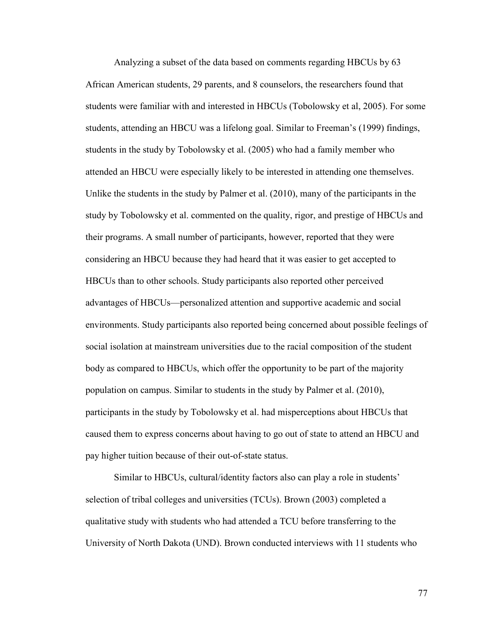Analyzing a subset of the data based on comments regarding HBCUs by 63 African American students, 29 parents, and 8 counselors, the researchers found that students were familiar with and interested in HBCUs (Tobolowsky et al, 2005). For some students, attending an HBCU was a lifelong goal. Similar to Freeman's (1999) findings, students in the study by Tobolowsky et al. (2005) who had a family member who attended an HBCU were especially likely to be interested in attending one themselves. Unlike the students in the study by Palmer et al. (2010), many of the participants in the study by Tobolowsky et al. commented on the quality, rigor, and prestige of HBCUs and their programs. A small number of participants, however, reported that they were considering an HBCU because they had heard that it was easier to get accepted to HBCUs than to other schools. Study participants also reported other perceived advantages of HBCUs—personalized attention and supportive academic and social environments. Study participants also reported being concerned about possible feelings of social isolation at mainstream universities due to the racial composition of the student body as compared to HBCUs, which offer the opportunity to be part of the majority population on campus. Similar to students in the study by Palmer et al. (2010), participants in the study by Tobolowsky et al. had misperceptions about HBCUs that caused them to express concerns about having to go out of state to attend an HBCU and pay higher tuition because of their out-of-state status.

Similar to HBCUs, cultural/identity factors also can play a role in students' selection of tribal colleges and universities (TCUs). Brown (2003) completed a qualitative study with students who had attended a TCU before transferring to the University of North Dakota (UND). Brown conducted interviews with 11 students who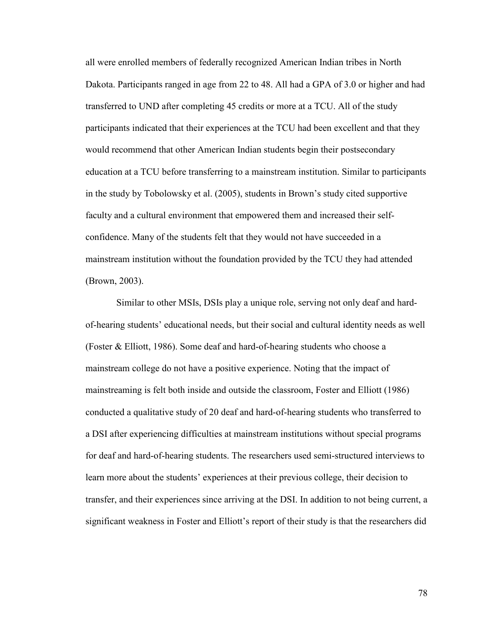all were enrolled members of federally recognized American Indian tribes in North Dakota. Participants ranged in age from 22 to 48. All had a GPA of 3.0 or higher and had transferred to UND after completing 45 credits or more at a TCU. All of the study participants indicated that their experiences at the TCU had been excellent and that they would recommend that other American Indian students begin their postsecondary education at a TCU before transferring to a mainstream institution. Similar to participants in the study by Tobolowsky et al. (2005), students in Brown's study cited supportive faculty and a cultural environment that empowered them and increased their selfconfidence. Many of the students felt that they would not have succeeded in a mainstream institution without the foundation provided by the TCU they had attended (Brown, 2003).

Similar to other MSIs, DSIs play a unique role, serving not only deaf and hardof-hearing students' educational needs, but their social and cultural identity needs as well (Foster & Elliott, 1986). Some deaf and hard-of-hearing students who choose a mainstream college do not have a positive experience. Noting that the impact of mainstreaming is felt both inside and outside the classroom, Foster and Elliott (1986) conducted a qualitative study of 20 deaf and hard-of-hearing students who transferred to a DSI after experiencing difficulties at mainstream institutions without special programs for deaf and hard-of-hearing students. The researchers used semi-structured interviews to learn more about the students' experiences at their previous college, their decision to transfer, and their experiences since arriving at the DSI. In addition to not being current, a significant weakness in Foster and Elliott's report of their study is that the researchers did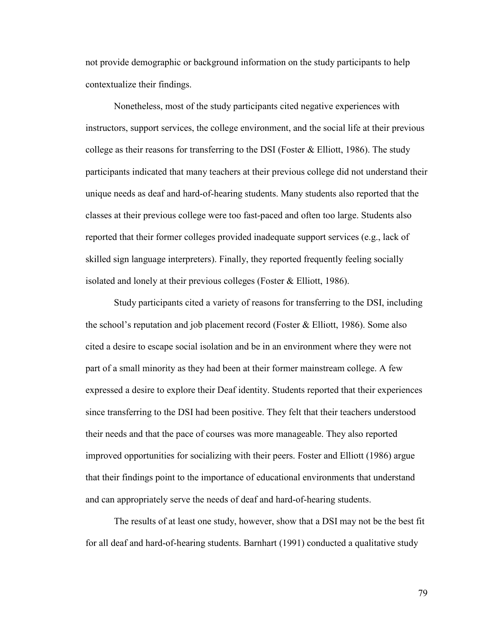not provide demographic or background information on the study participants to help contextualize their findings.

Nonetheless, most of the study participants cited negative experiences with instructors, support services, the college environment, and the social life at their previous college as their reasons for transferring to the DSI (Foster  $\&$  Elliott, 1986). The study participants indicated that many teachers at their previous college did not understand their unique needs as deaf and hard-of-hearing students. Many students also reported that the classes at their previous college were too fast-paced and often too large. Students also reported that their former colleges provided inadequate support services (e.g., lack of skilled sign language interpreters). Finally, they reported frequently feeling socially isolated and lonely at their previous colleges (Foster & Elliott, 1986).

Study participants cited a variety of reasons for transferring to the DSI, including the school's reputation and job placement record (Foster & Elliott, 1986). Some also cited a desire to escape social isolation and be in an environment where they were not part of a small minority as they had been at their former mainstream college. A few expressed a desire to explore their Deaf identity. Students reported that their experiences since transferring to the DSI had been positive. They felt that their teachers understood their needs and that the pace of courses was more manageable. They also reported improved opportunities for socializing with their peers. Foster and Elliott (1986) argue that their findings point to the importance of educational environments that understand and can appropriately serve the needs of deaf and hard-of-hearing students.

The results of at least one study, however, show that a DSI may not be the best fit for all deaf and hard-of-hearing students. Barnhart (1991) conducted a qualitative study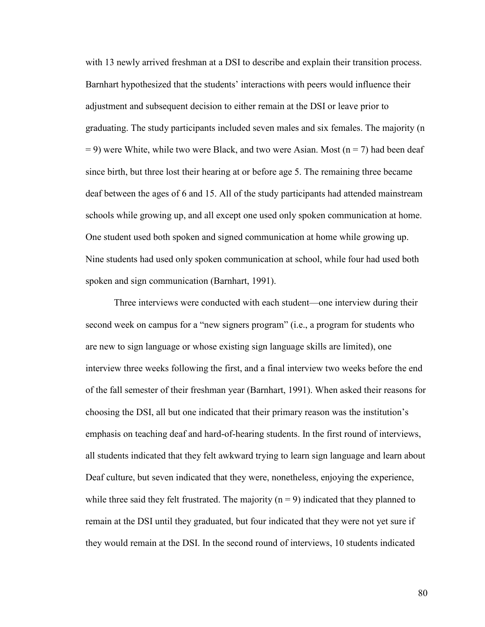with 13 newly arrived freshman at a DSI to describe and explain their transition process. Barnhart hypothesized that the students' interactions with peers would influence their adjustment and subsequent decision to either remain at the DSI or leave prior to graduating. The study participants included seven males and six females. The majority (n  $= 9$ ) were White, while two were Black, and two were Asian. Most (n = 7) had been deaf since birth, but three lost their hearing at or before age 5. The remaining three became deaf between the ages of 6 and 15. All of the study participants had attended mainstream schools while growing up, and all except one used only spoken communication at home. One student used both spoken and signed communication at home while growing up. Nine students had used only spoken communication at school, while four had used both spoken and sign communication (Barnhart, 1991).

Three interviews were conducted with each student—one interview during their second week on campus for a "new signers program" (i.e., a program for students who are new to sign language or whose existing sign language skills are limited), one interview three weeks following the first, and a final interview two weeks before the end of the fall semester of their freshman year (Barnhart, 1991). When asked their reasons for choosing the DSI, all but one indicated that their primary reason was the institution's emphasis on teaching deaf and hard-of-hearing students. In the first round of interviews, all students indicated that they felt awkward trying to learn sign language and learn about Deaf culture, but seven indicated that they were, nonetheless, enjoying the experience, while three said they felt frustrated. The majority  $(n = 9)$  indicated that they planned to remain at the DSI until they graduated, but four indicated that they were not yet sure if they would remain at the DSI. In the second round of interviews, 10 students indicated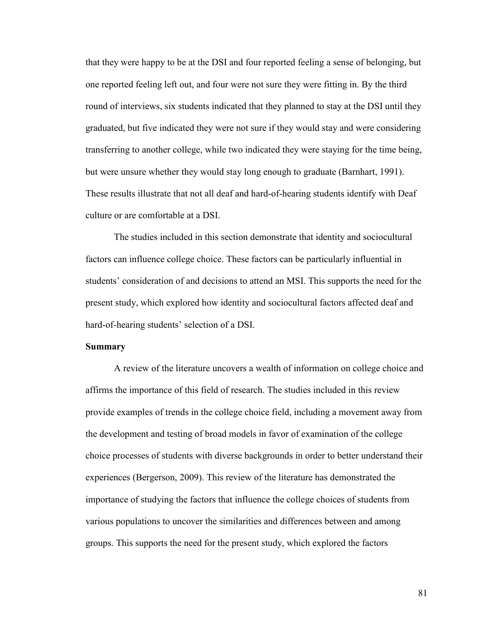that they were happy to be at the DSI and four reported feeling a sense of belonging, but one reported feeling left out, and four were not sure they were fitting in. By the third round of interviews, six students indicated that they planned to stay at the DSI until they graduated, but five indicated they were not sure if they would stay and were considering transferring to another college, while two indicated they were staying for the time being, but were unsure whether they would stay long enough to graduate (Barnhart, 1991). These results illustrate that not all deaf and hard-of-hearing students identify with Deaf culture or are comfortable at a DSI.

The studies included in this section demonstrate that identity and sociocultural factors can influence college choice. These factors can be particularly influential in students' consideration of and decisions to attend an MSI. This supports the need for the present study, which explored how identity and sociocultural factors affected deaf and hard-of-hearing students' selection of a DSI.

# **Summary**

A review of the literature uncovers a wealth of information on college choice and affirms the importance of this field of research. The studies included in this review provide examples of trends in the college choice field, including a movement away from the development and testing of broad models in favor of examination of the college choice processes of students with diverse backgrounds in order to better understand their experiences (Bergerson, 2009). This review of the literature has demonstrated the importance of studying the factors that influence the college choices of students from various populations to uncover the similarities and differences between and among groups. This supports the need for the present study, which explored the factors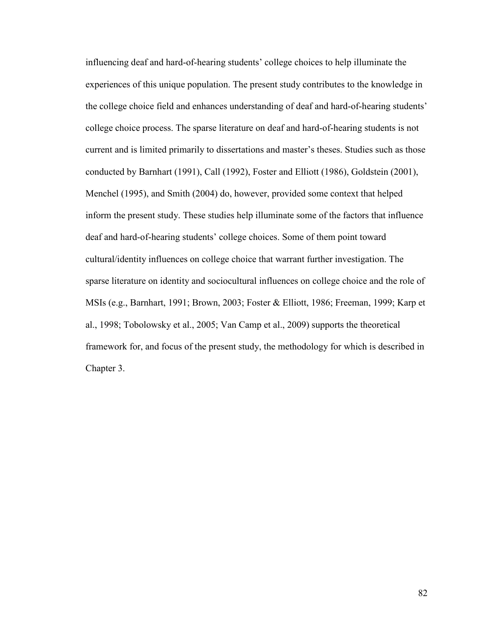influencing deaf and hard-of-hearing students' college choices to help illuminate the experiences of this unique population. The present study contributes to the knowledge in the college choice field and enhances understanding of deaf and hard-of-hearing students' college choice process. The sparse literature on deaf and hard-of-hearing students is not current and is limited primarily to dissertations and master's theses. Studies such as those conducted by Barnhart (1991), Call (1992), Foster and Elliott (1986), Goldstein (2001), Menchel (1995), and Smith (2004) do, however, provided some context that helped inform the present study. These studies help illuminate some of the factors that influence deaf and hard-of-hearing students' college choices. Some of them point toward cultural/identity influences on college choice that warrant further investigation. The sparse literature on identity and sociocultural influences on college choice and the role of MSIs (e.g., Barnhart, 1991; Brown, 2003; Foster & Elliott, 1986; Freeman, 1999; Karp et al., 1998; Tobolowsky et al., 2005; Van Camp et al., 2009) supports the theoretical framework for, and focus of the present study, the methodology for which is described in Chapter 3.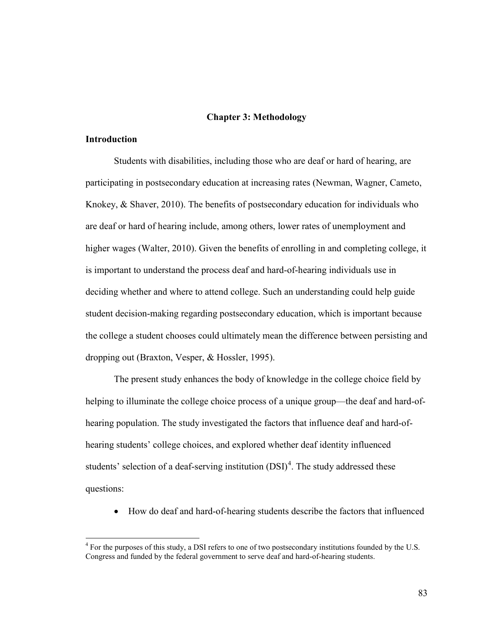# **Chapter 3: Methodology**

# **Introduction**

 $\overline{a}$ 

Students with disabilities, including those who are deaf or hard of hearing, are participating in postsecondary education at increasing rates (Newman, Wagner, Cameto, Knokey, & Shaver, 2010). The benefits of postsecondary education for individuals who are deaf or hard of hearing include, among others, lower rates of unemployment and higher wages (Walter, 2010). Given the benefits of enrolling in and completing college, it is important to understand the process deaf and hard-of-hearing individuals use in deciding whether and where to attend college. Such an understanding could help guide student decision-making regarding postsecondary education, which is important because the college a student chooses could ultimately mean the difference between persisting and dropping out (Braxton, Vesper, & Hossler, 1995).

The present study enhances the body of knowledge in the college choice field by helping to illuminate the college choice process of a unique group—the deaf and hard-ofhearing population. The study investigated the factors that influence deaf and hard-ofhearing students' college choices, and explored whether deaf identity influenced students' selection of a deaf-serving institution  $(DSI)^4$  $(DSI)^4$ . The study addressed these questions:

• How do deaf and hard-of-hearing students describe the factors that influenced

<span id="page-94-0"></span><sup>&</sup>lt;sup>4</sup> For the purposes of this study, a DSI refers to one of two postsecondary institutions founded by the U.S. Congress and funded by the federal government to serve deaf and hard-of-hearing students.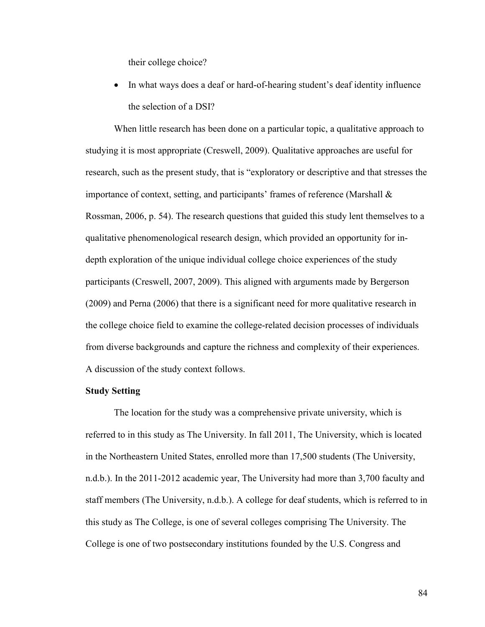their college choice?

In what ways does a deaf or hard-of-hearing student's deaf identity influence the selection of a DSI?

When little research has been done on a particular topic, a qualitative approach to studying it is most appropriate (Creswell, 2009). Qualitative approaches are useful for research, such as the present study, that is "exploratory or descriptive and that stresses the importance of context, setting, and participants' frames of reference (Marshall  $\&$ Rossman, 2006, p. 54). The research questions that guided this study lent themselves to a qualitative phenomenological research design, which provided an opportunity for indepth exploration of the unique individual college choice experiences of the study participants (Creswell, 2007, 2009). This aligned with arguments made by Bergerson (2009) and Perna (2006) that there is a significant need for more qualitative research in the college choice field to examine the college-related decision processes of individuals from diverse backgrounds and capture the richness and complexity of their experiences. A discussion of the study context follows.

# **Study Setting**

The location for the study was a comprehensive private university, which is referred to in this study as The University. In fall 2011, The University, which is located in the Northeastern United States, enrolled more than 17,500 students (The University, n.d.b.). In the 2011-2012 academic year, The University had more than 3,700 faculty and staff members (The University, n.d.b.). A college for deaf students, which is referred to in this study as The College, is one of several colleges comprising The University. The College is one of two postsecondary institutions founded by the U.S. Congress and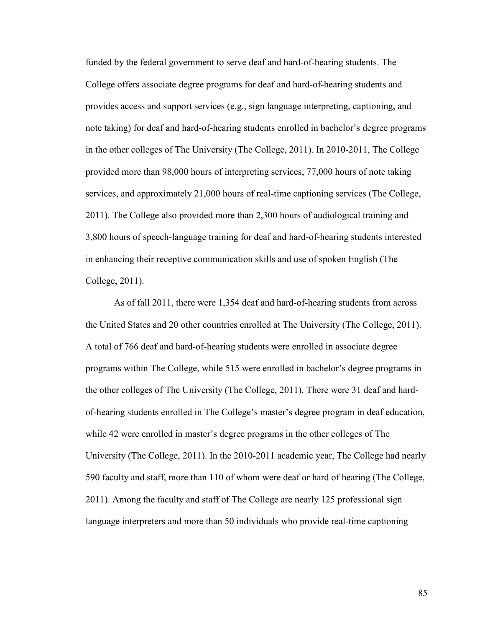funded by the federal government to serve deaf and hard-of-hearing students. The College offers associate degree programs for deaf and hard-of-hearing students and provides access and support services (e.g., sign language interpreting, captioning, and note taking) for deaf and hard-of-hearing students enrolled in bachelor's degree programs in the other colleges of The University (The College, 2011). In 2010-2011, The College provided more than 98,000 hours of interpreting services, 77,000 hours of note taking services, and approximately 21,000 hours of real-time captioning services (The College, 2011). The College also provided more than 2,300 hours of audiological training and 3,800 hours of speech-language training for deaf and hard-of-hearing students interested in enhancing their receptive communication skills and use of spoken English (The College, 2011).

As of fall 2011, there were 1,354 deaf and hard-of-hearing students from across the United States and 20 other countries enrolled at The University (The College, 2011). A total of 766 deaf and hard-of-hearing students were enrolled in associate degree programs within The College, while 515 were enrolled in bachelor's degree programs in the other colleges of The University (The College, 2011). There were 31 deaf and hardof-hearing students enrolled in The College's master's degree program in deaf education, while 42 were enrolled in master's degree programs in the other colleges of The University (The College, 2011). In the 2010-2011 academic year, The College had nearly 590 faculty and staff, more than 110 of whom were deaf or hard of hearing (The College, 2011). Among the faculty and staff of The College are nearly 125 professional sign language interpreters and more than 50 individuals who provide real-time captioning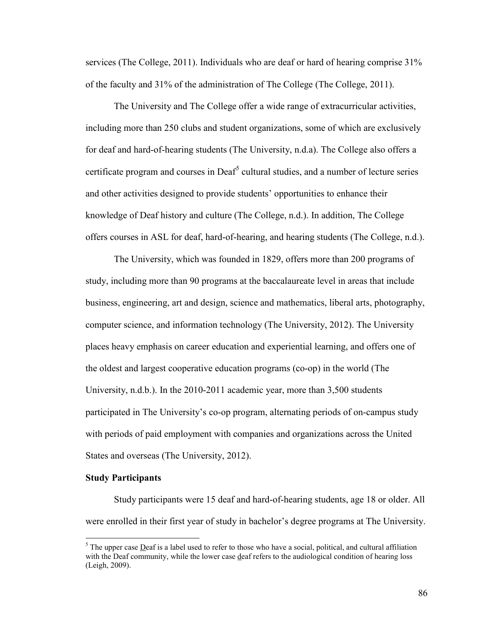services (The College, 2011). Individuals who are deaf or hard of hearing comprise 31% of the faculty and 31% of the administration of The College (The College, 2011).

The University and The College offer a wide range of extracurricular activities, including more than 250 clubs and student organizations, some of which are exclusively for deaf and hard-of-hearing students (The University, n.d.a). The College also offers a certificate program and courses in Deaf<sup>[5](#page-97-0)</sup> cultural studies, and a number of lecture series and other activities designed to provide students' opportunities to enhance their knowledge of Deaf history and culture (The College, n.d.). In addition, The College offers courses in ASL for deaf, hard-of-hearing, and hearing students (The College, n.d.).

The University, which was founded in 1829, offers more than 200 programs of study, including more than 90 programs at the baccalaureate level in areas that include business, engineering, art and design, science and mathematics, liberal arts, photography, computer science, and information technology (The University, 2012). The University places heavy emphasis on career education and experiential learning, and offers one of the oldest and largest cooperative education programs (co-op) in the world (The University, n.d.b.). In the 2010-2011 academic year, more than 3,500 students participated in The University's co-op program, alternating periods of on-campus study with periods of paid employment with companies and organizations across the United States and overseas (The University, 2012).

# **Study Participants**

 $\overline{a}$ 

Study participants were 15 deaf and hard-of-hearing students, age 18 or older. All were enrolled in their first year of study in bachelor's degree programs at The University.

<span id="page-97-0"></span> $<sup>5</sup>$  The upper case Deaf is a label used to refer to those who have a social, political, and cultural affiliation</sup> with the Deaf community, while the lower case deaf refers to the audiological condition of hearing loss (Leigh, 2009).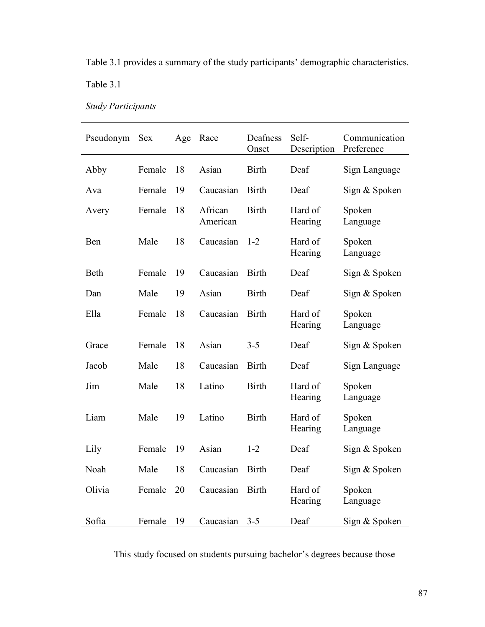Table 3.1 provides a summary of the study participants' demographic characteristics.

Table 3.1

*Study Participants*

| Pseudonym | <b>Sex</b> | Age | Race                | Deafness<br>Onset | Self-<br>Description | Communication<br>Preference |
|-----------|------------|-----|---------------------|-------------------|----------------------|-----------------------------|
| Abby      | Female     | 18  | Asian               | <b>Birth</b>      | Deaf                 | Sign Language               |
| Ava       | Female     | 19  | Caucasian           | <b>Birth</b>      | Deaf                 | Sign & Spoken               |
| Avery     | Female     | 18  | African<br>American | <b>Birth</b>      | Hard of<br>Hearing   | Spoken<br>Language          |
| Ben       | Male       | 18  | Caucasian           | $1 - 2$           | Hard of<br>Hearing   | Spoken<br>Language          |
| Beth      | Female     | 19  | Caucasian           | <b>Birth</b>      | Deaf                 | Sign & Spoken               |
| Dan       | Male       | 19  | Asian               | <b>Birth</b>      | Deaf                 | Sign & Spoken               |
| Ella      | Female     | 18  | Caucasian           | <b>Birth</b>      | Hard of<br>Hearing   | Spoken<br>Language          |
| Grace     | Female     | 18  | Asian               | $3 - 5$           | Deaf                 | Sign & Spoken               |
| Jacob     | Male       | 18  | Caucasian           | <b>Birth</b>      | Deaf                 | Sign Language               |
| Jim       | Male       | 18  | Latino              | <b>Birth</b>      | Hard of<br>Hearing   | Spoken<br>Language          |
| Liam      | Male       | 19  | Latino              | <b>Birth</b>      | Hard of<br>Hearing   | Spoken<br>Language          |
| Lily      | Female     | 19  | Asian               | $1 - 2$           | Deaf                 | Sign & Spoken               |
| Noah      | Male       | 18  | Caucasian           | <b>Birth</b>      | Deaf                 | Sign & Spoken               |
| Olivia    | Female     | 20  | Caucasian           | <b>Birth</b>      | Hard of<br>Hearing   | Spoken<br>Language          |
| Sofia     | Female     | 19  | Caucasian           | $3 - 5$           | Deaf                 | Sign & Spoken               |

This study focused on students pursuing bachelor's degrees because those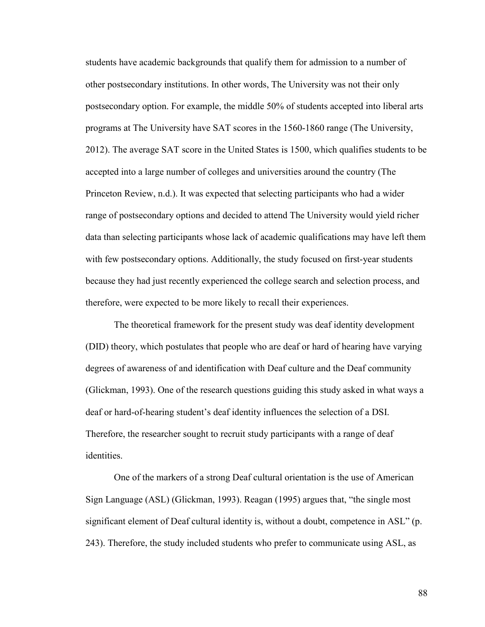students have academic backgrounds that qualify them for admission to a number of other postsecondary institutions. In other words, The University was not their only postsecondary option. For example, the middle 50% of students accepted into liberal arts programs at The University have SAT scores in the 1560-1860 range (The University, 2012). The average SAT score in the United States is 1500, which qualifies students to be accepted into a large number of colleges and universities around the country (The Princeton Review, n.d.). It was expected that selecting participants who had a wider range of postsecondary options and decided to attend The University would yield richer data than selecting participants whose lack of academic qualifications may have left them with few postsecondary options. Additionally, the study focused on first-year students because they had just recently experienced the college search and selection process, and therefore, were expected to be more likely to recall their experiences.

The theoretical framework for the present study was deaf identity development (DID) theory, which postulates that people who are deaf or hard of hearing have varying degrees of awareness of and identification with Deaf culture and the Deaf community (Glickman, 1993). One of the research questions guiding this study asked in what ways a deaf or hard-of-hearing student's deaf identity influences the selection of a DSI. Therefore, the researcher sought to recruit study participants with a range of deaf identities.

One of the markers of a strong Deaf cultural orientation is the use of American Sign Language (ASL) (Glickman, 1993). Reagan (1995) argues that, "the single most significant element of Deaf cultural identity is, without a doubt, competence in ASL" (p. 243). Therefore, the study included students who prefer to communicate using ASL, as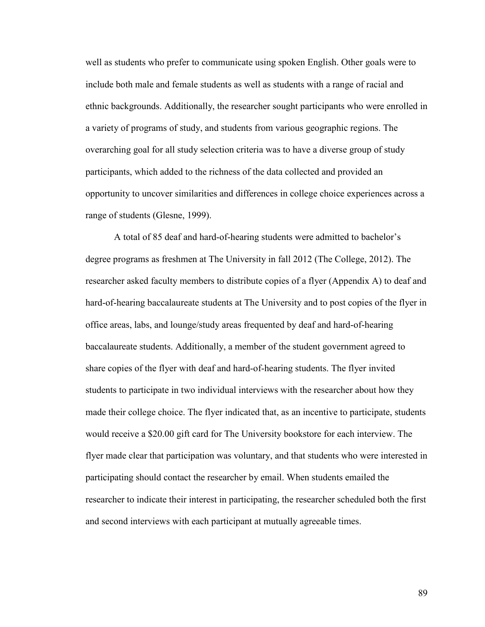well as students who prefer to communicate using spoken English. Other goals were to include both male and female students as well as students with a range of racial and ethnic backgrounds. Additionally, the researcher sought participants who were enrolled in a variety of programs of study, and students from various geographic regions. The overarching goal for all study selection criteria was to have a diverse group of study participants, which added to the richness of the data collected and provided an opportunity to uncover similarities and differences in college choice experiences across a range of students (Glesne, 1999).

A total of 85 deaf and hard-of-hearing students were admitted to bachelor's degree programs as freshmen at The University in fall 2012 (The College, 2012). The researcher asked faculty members to distribute copies of a flyer (Appendix A) to deaf and hard-of-hearing baccalaureate students at The University and to post copies of the flyer in office areas, labs, and lounge/study areas frequented by deaf and hard-of-hearing baccalaureate students. Additionally, a member of the student government agreed to share copies of the flyer with deaf and hard-of-hearing students. The flyer invited students to participate in two individual interviews with the researcher about how they made their college choice. The flyer indicated that, as an incentive to participate, students would receive a \$20.00 gift card for The University bookstore for each interview. The flyer made clear that participation was voluntary, and that students who were interested in participating should contact the researcher by email. When students emailed the researcher to indicate their interest in participating, the researcher scheduled both the first and second interviews with each participant at mutually agreeable times.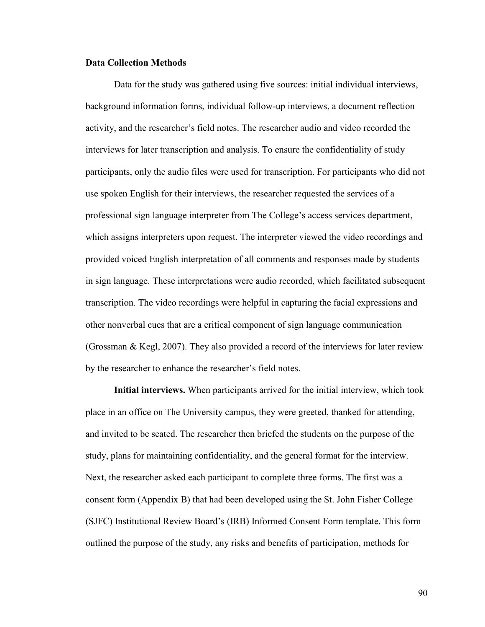# **Data Collection Methods**

Data for the study was gathered using five sources: initial individual interviews, background information forms, individual follow-up interviews, a document reflection activity, and the researcher's field notes. The researcher audio and video recorded the interviews for later transcription and analysis. To ensure the confidentiality of study participants, only the audio files were used for transcription. For participants who did not use spoken English for their interviews, the researcher requested the services of a professional sign language interpreter from The College's access services department, which assigns interpreters upon request. The interpreter viewed the video recordings and provided voiced English interpretation of all comments and responses made by students in sign language. These interpretations were audio recorded, which facilitated subsequent transcription. The video recordings were helpful in capturing the facial expressions and other nonverbal cues that are a critical component of sign language communication (Grossman & Kegl, 2007). They also provided a record of the interviews for later review by the researcher to enhance the researcher's field notes.

**Initial interviews.** When participants arrived for the initial interview, which took place in an office on The University campus, they were greeted, thanked for attending, and invited to be seated. The researcher then briefed the students on the purpose of the study, plans for maintaining confidentiality, and the general format for the interview. Next, the researcher asked each participant to complete three forms. The first was a consent form (Appendix B) that had been developed using the St. John Fisher College (SJFC) Institutional Review Board's (IRB) Informed Consent Form template. This form outlined the purpose of the study, any risks and benefits of participation, methods for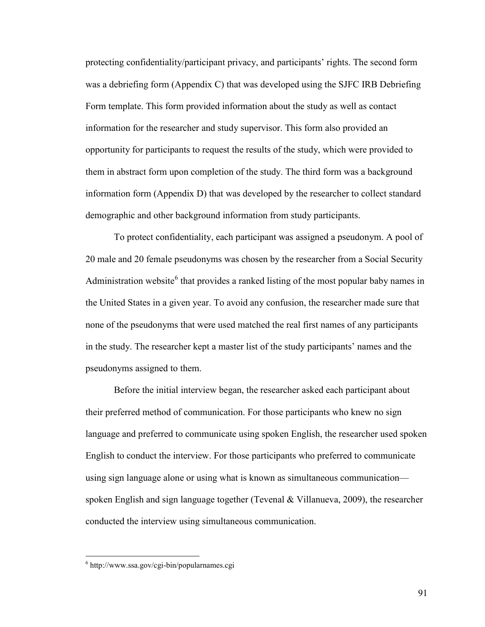protecting confidentiality/participant privacy, and participants' rights. The second form was a debriefing form (Appendix C) that was developed using the SJFC IRB Debriefing Form template. This form provided information about the study as well as contact information for the researcher and study supervisor. This form also provided an opportunity for participants to request the results of the study, which were provided to them in abstract form upon completion of the study. The third form was a background information form (Appendix D) that was developed by the researcher to collect standard demographic and other background information from study participants.

To protect confidentiality, each participant was assigned a pseudonym. A pool of 20 male and 20 female pseudonyms was chosen by the researcher from a Social Security Administration website<sup>[6](#page-102-0)</sup> that provides a ranked listing of the most popular baby names in the United States in a given year. To avoid any confusion, the researcher made sure that none of the pseudonyms that were used matched the real first names of any participants in the study. The researcher kept a master list of the study participants' names and the pseudonyms assigned to them.

Before the initial interview began, the researcher asked each participant about their preferred method of communication. For those participants who knew no sign language and preferred to communicate using spoken English, the researcher used spoken English to conduct the interview. For those participants who preferred to communicate using sign language alone or using what is known as simultaneous communication spoken English and sign language together (Tevenal  $&$  Villanueva, 2009), the researcher conducted the interview using simultaneous communication.

 $\overline{a}$ 

<span id="page-102-0"></span><sup>6</sup> http://www.ssa.gov/cgi-bin/popularnames.cgi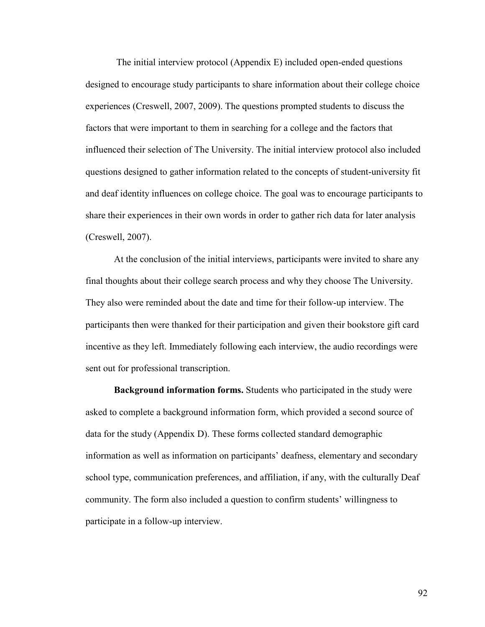The initial interview protocol (Appendix E) included open-ended questions designed to encourage study participants to share information about their college choice experiences (Creswell, 2007, 2009). The questions prompted students to discuss the factors that were important to them in searching for a college and the factors that influenced their selection of The University. The initial interview protocol also included questions designed to gather information related to the concepts of student-university fit and deaf identity influences on college choice. The goal was to encourage participants to share their experiences in their own words in order to gather rich data for later analysis (Creswell, 2007).

At the conclusion of the initial interviews, participants were invited to share any final thoughts about their college search process and why they choose The University. They also were reminded about the date and time for their follow-up interview. The participants then were thanked for their participation and given their bookstore gift card incentive as they left. Immediately following each interview, the audio recordings were sent out for professional transcription.

**Background information forms.** Students who participated in the study were asked to complete a background information form, which provided a second source of data for the study (Appendix D). These forms collected standard demographic information as well as information on participants' deafness, elementary and secondary school type, communication preferences, and affiliation, if any, with the culturally Deaf community. The form also included a question to confirm students' willingness to participate in a follow-up interview.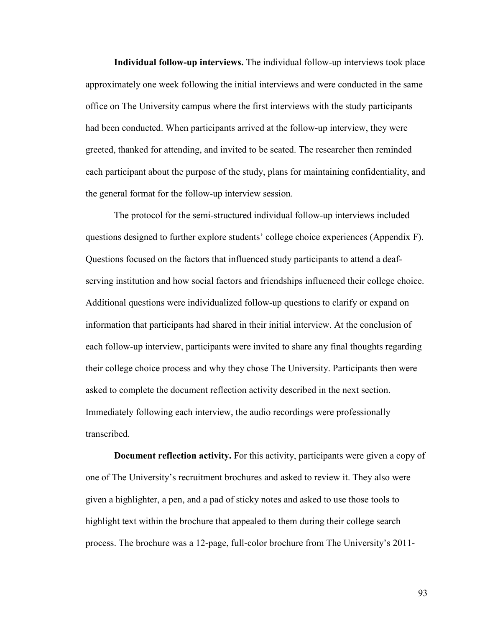**Individual follow-up interviews.** The individual follow-up interviews took place approximately one week following the initial interviews and were conducted in the same office on The University campus where the first interviews with the study participants had been conducted. When participants arrived at the follow-up interview, they were greeted, thanked for attending, and invited to be seated. The researcher then reminded each participant about the purpose of the study, plans for maintaining confidentiality, and the general format for the follow-up interview session.

The protocol for the semi-structured individual follow-up interviews included questions designed to further explore students' college choice experiences (Appendix F). Questions focused on the factors that influenced study participants to attend a deafserving institution and how social factors and friendships influenced their college choice. Additional questions were individualized follow-up questions to clarify or expand on information that participants had shared in their initial interview. At the conclusion of each follow-up interview, participants were invited to share any final thoughts regarding their college choice process and why they chose The University. Participants then were asked to complete the document reflection activity described in the next section. Immediately following each interview, the audio recordings were professionally transcribed.

**Document reflection activity.** For this activity, participants were given a copy of one of The University's recruitment brochures and asked to review it. They also were given a highlighter, a pen, and a pad of sticky notes and asked to use those tools to highlight text within the brochure that appealed to them during their college search process. The brochure was a 12-page, full-color brochure from The University's 2011-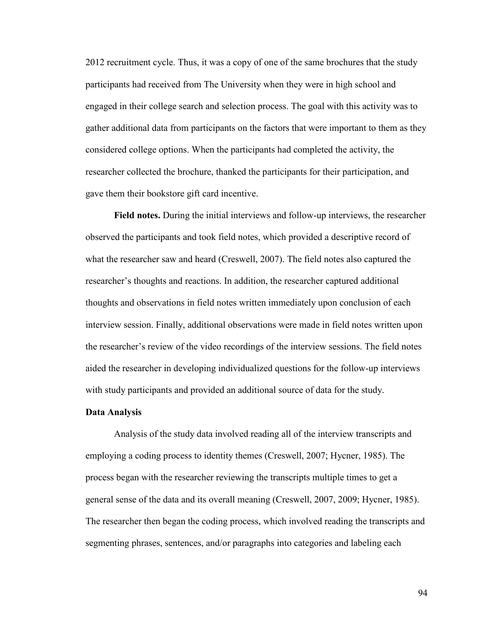2012 recruitment cycle. Thus, it was a copy of one of the same brochures that the study participants had received from The University when they were in high school and engaged in their college search and selection process. The goal with this activity was to gather additional data from participants on the factors that were important to them as they considered college options. When the participants had completed the activity, the researcher collected the brochure, thanked the participants for their participation, and gave them their bookstore gift card incentive.

**Field notes.** During the initial interviews and follow-up interviews, the researcher observed the participants and took field notes, which provided a descriptive record of what the researcher saw and heard (Creswell, 2007). The field notes also captured the researcher's thoughts and reactions. In addition, the researcher captured additional thoughts and observations in field notes written immediately upon conclusion of each interview session. Finally, additional observations were made in field notes written upon the researcher's review of the video recordings of the interview sessions. The field notes aided the researcher in developing individualized questions for the follow-up interviews with study participants and provided an additional source of data for the study.

### **Data Analysis**

Analysis of the study data involved reading all of the interview transcripts and employing a coding process to identity themes (Creswell, 2007; Hycner, 1985). The process began with the researcher reviewing the transcripts multiple times to get a general sense of the data and its overall meaning (Creswell, 2007, 2009; Hycner, 1985). The researcher then began the coding process, which involved reading the transcripts and segmenting phrases, sentences, and/or paragraphs into categories and labeling each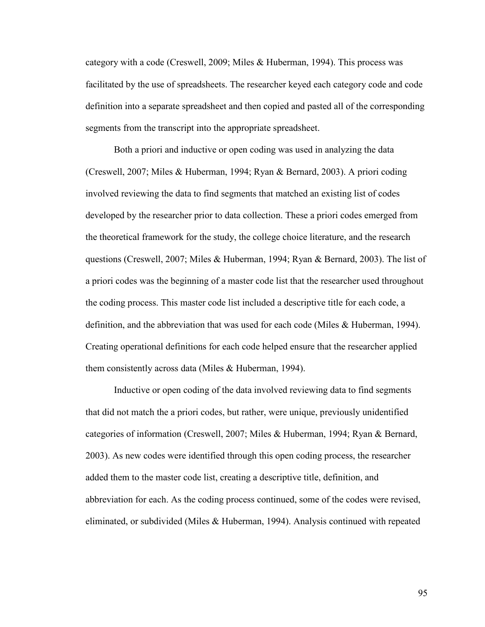category with a code (Creswell, 2009; Miles & Huberman, 1994). This process was facilitated by the use of spreadsheets. The researcher keyed each category code and code definition into a separate spreadsheet and then copied and pasted all of the corresponding segments from the transcript into the appropriate spreadsheet.

Both a priori and inductive or open coding was used in analyzing the data (Creswell, 2007; Miles & Huberman, 1994; Ryan & Bernard, 2003). A priori coding involved reviewing the data to find segments that matched an existing list of codes developed by the researcher prior to data collection. These a priori codes emerged from the theoretical framework for the study, the college choice literature, and the research questions (Creswell, 2007; Miles & Huberman, 1994; Ryan & Bernard, 2003). The list of a priori codes was the beginning of a master code list that the researcher used throughout the coding process. This master code list included a descriptive title for each code, a definition, and the abbreviation that was used for each code (Miles & Huberman, 1994). Creating operational definitions for each code helped ensure that the researcher applied them consistently across data (Miles & Huberman, 1994).

Inductive or open coding of the data involved reviewing data to find segments that did not match the a priori codes, but rather, were unique, previously unidentified categories of information (Creswell, 2007; Miles & Huberman, 1994; Ryan & Bernard, 2003). As new codes were identified through this open coding process, the researcher added them to the master code list, creating a descriptive title, definition, and abbreviation for each. As the coding process continued, some of the codes were revised, eliminated, or subdivided (Miles & Huberman, 1994). Analysis continued with repeated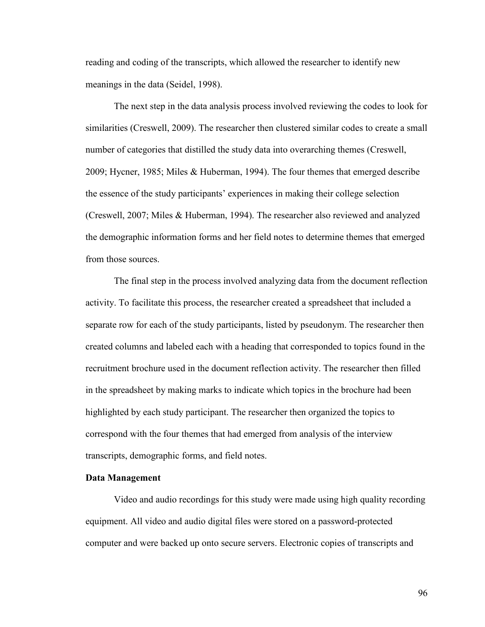reading and coding of the transcripts, which allowed the researcher to identify new meanings in the data (Seidel, 1998).

The next step in the data analysis process involved reviewing the codes to look for similarities (Creswell, 2009). The researcher then clustered similar codes to create a small number of categories that distilled the study data into overarching themes (Creswell, 2009; Hycner, 1985; Miles & Huberman, 1994). The four themes that emerged describe the essence of the study participants' experiences in making their college selection (Creswell, 2007; Miles & Huberman, 1994). The researcher also reviewed and analyzed the demographic information forms and her field notes to determine themes that emerged from those sources.

The final step in the process involved analyzing data from the document reflection activity. To facilitate this process, the researcher created a spreadsheet that included a separate row for each of the study participants, listed by pseudonym. The researcher then created columns and labeled each with a heading that corresponded to topics found in the recruitment brochure used in the document reflection activity. The researcher then filled in the spreadsheet by making marks to indicate which topics in the brochure had been highlighted by each study participant. The researcher then organized the topics to correspond with the four themes that had emerged from analysis of the interview transcripts, demographic forms, and field notes.

# **Data Management**

Video and audio recordings for this study were made using high quality recording equipment. All video and audio digital files were stored on a password-protected computer and were backed up onto secure servers. Electronic copies of transcripts and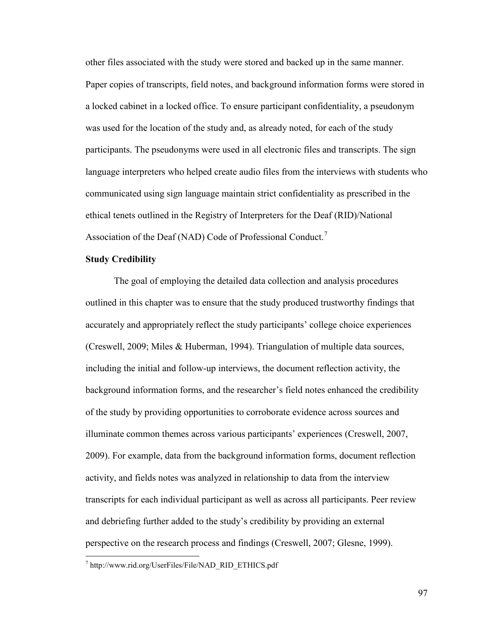other files associated with the study were stored and backed up in the same manner. Paper copies of transcripts, field notes, and background information forms were stored in a locked cabinet in a locked office. To ensure participant confidentiality, a pseudonym was used for the location of the study and, as already noted, for each of the study participants. The pseudonyms were used in all electronic files and transcripts. The sign language interpreters who helped create audio files from the interviews with students who communicated using sign language maintain strict confidentiality as prescribed in the ethical tenets outlined in the Registry of Interpreters for the Deaf (RID)/National Association of the Deaf (NAD) Code of Professional Conduct.<sup>[7](#page-108-0)</sup>

### **Study Credibility**

 $\overline{a}$ 

The goal of employing the detailed data collection and analysis procedures outlined in this chapter was to ensure that the study produced trustworthy findings that accurately and appropriately reflect the study participants' college choice experiences (Creswell, 2009; Miles & Huberman, 1994). Triangulation of multiple data sources, including the initial and follow-up interviews, the document reflection activity, the background information forms, and the researcher's field notes enhanced the credibility of the study by providing opportunities to corroborate evidence across sources and illuminate common themes across various participants' experiences (Creswell, 2007, 2009). For example, data from the background information forms, document reflection activity, and fields notes was analyzed in relationship to data from the interview transcripts for each individual participant as well as across all participants. Peer review and debriefing further added to the study's credibility by providing an external perspective on the research process and findings (Creswell, 2007; Glesne, 1999).

<span id="page-108-0"></span><sup>7</sup> http://www.rid.org/UserFiles/File/NAD\_RID\_ETHICS.pdf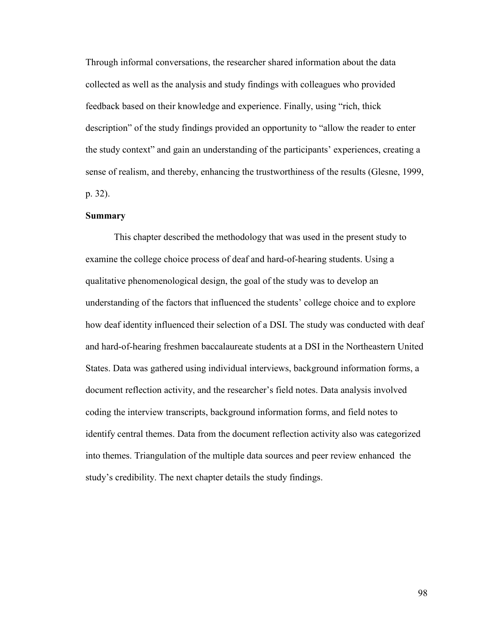Through informal conversations, the researcher shared information about the data collected as well as the analysis and study findings with colleagues who provided feedback based on their knowledge and experience. Finally, using "rich, thick description" of the study findings provided an opportunity to "allow the reader to enter the study context" and gain an understanding of the participants' experiences, creating a sense of realism, and thereby, enhancing the trustworthiness of the results (Glesne, 1999, p. 32).

### **Summary**

This chapter described the methodology that was used in the present study to examine the college choice process of deaf and hard-of-hearing students. Using a qualitative phenomenological design, the goal of the study was to develop an understanding of the factors that influenced the students' college choice and to explore how deaf identity influenced their selection of a DSI. The study was conducted with deaf and hard-of-hearing freshmen baccalaureate students at a DSI in the Northeastern United States. Data was gathered using individual interviews, background information forms, a document reflection activity, and the researcher's field notes. Data analysis involved coding the interview transcripts, background information forms, and field notes to identify central themes. Data from the document reflection activity also was categorized into themes. Triangulation of the multiple data sources and peer review enhanced the study's credibility. The next chapter details the study findings.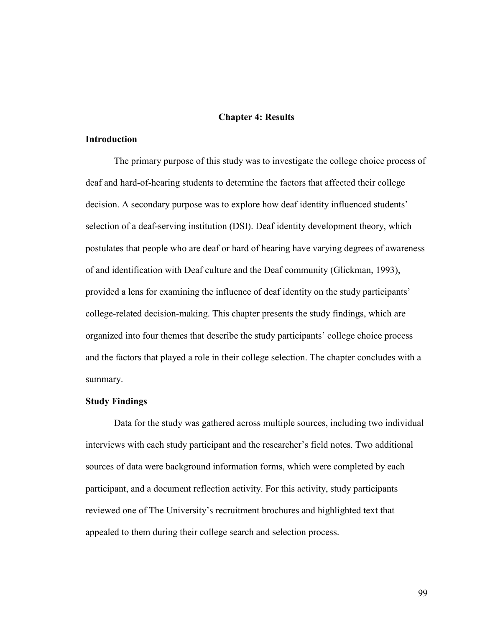#### **Chapter 4: Results**

## **Introduction**

The primary purpose of this study was to investigate the college choice process of deaf and hard-of-hearing students to determine the factors that affected their college decision. A secondary purpose was to explore how deaf identity influenced students' selection of a deaf-serving institution (DSI). Deaf identity development theory, which postulates that people who are deaf or hard of hearing have varying degrees of awareness of and identification with Deaf culture and the Deaf community (Glickman, 1993), provided a lens for examining the influence of deaf identity on the study participants' college-related decision-making. This chapter presents the study findings, which are organized into four themes that describe the study participants' college choice process and the factors that played a role in their college selection. The chapter concludes with a summary.

### **Study Findings**

Data for the study was gathered across multiple sources, including two individual interviews with each study participant and the researcher's field notes. Two additional sources of data were background information forms, which were completed by each participant, and a document reflection activity. For this activity, study participants reviewed one of The University's recruitment brochures and highlighted text that appealed to them during their college search and selection process.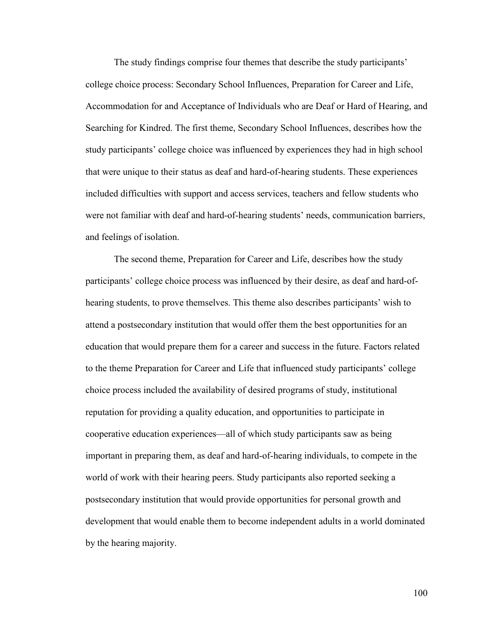The study findings comprise four themes that describe the study participants' college choice process: Secondary School Influences, Preparation for Career and Life, Accommodation for and Acceptance of Individuals who are Deaf or Hard of Hearing, and Searching for Kindred. The first theme, Secondary School Influences, describes how the study participants' college choice was influenced by experiences they had in high school that were unique to their status as deaf and hard-of-hearing students. These experiences included difficulties with support and access services, teachers and fellow students who were not familiar with deaf and hard-of-hearing students' needs, communication barriers, and feelings of isolation.

The second theme, Preparation for Career and Life, describes how the study participants' college choice process was influenced by their desire, as deaf and hard-ofhearing students, to prove themselves. This theme also describes participants' wish to attend a postsecondary institution that would offer them the best opportunities for an education that would prepare them for a career and success in the future. Factors related to the theme Preparation for Career and Life that influenced study participants' college choice process included the availability of desired programs of study, institutional reputation for providing a quality education, and opportunities to participate in cooperative education experiences—all of which study participants saw as being important in preparing them, as deaf and hard-of-hearing individuals, to compete in the world of work with their hearing peers. Study participants also reported seeking a postsecondary institution that would provide opportunities for personal growth and development that would enable them to become independent adults in a world dominated by the hearing majority.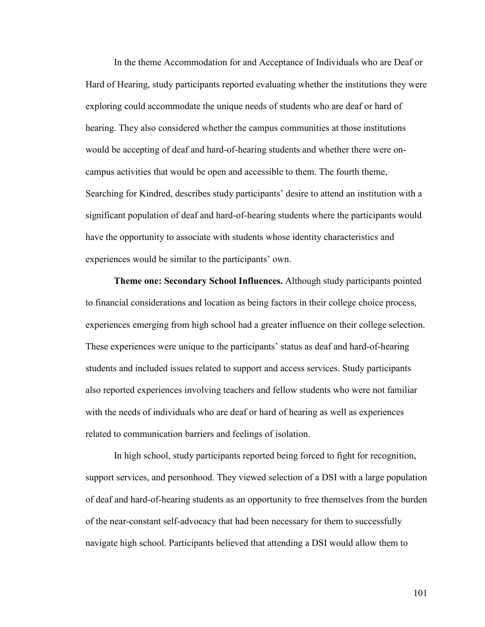In the theme Accommodation for and Acceptance of Individuals who are Deaf or Hard of Hearing, study participants reported evaluating whether the institutions they were exploring could accommodate the unique needs of students who are deaf or hard of hearing. They also considered whether the campus communities at those institutions would be accepting of deaf and hard-of-hearing students and whether there were oncampus activities that would be open and accessible to them. The fourth theme, Searching for Kindred, describes study participants' desire to attend an institution with a significant population of deaf and hard-of-hearing students where the participants would have the opportunity to associate with students whose identity characteristics and experiences would be similar to the participants' own.

**Theme one: Secondary School Influences.** Although study participants pointed to financial considerations and location as being factors in their college choice process, experiences emerging from high school had a greater influence on their college selection. These experiences were unique to the participants' status as deaf and hard-of-hearing students and included issues related to support and access services. Study participants also reported experiences involving teachers and fellow students who were not familiar with the needs of individuals who are deaf or hard of hearing as well as experiences related to communication barriers and feelings of isolation.

In high school, study participants reported being forced to fight for recognition, support services, and personhood. They viewed selection of a DSI with a large population of deaf and hard-of-hearing students as an opportunity to free themselves from the burden of the near-constant self-advocacy that had been necessary for them to successfully navigate high school. Participants believed that attending a DSI would allow them to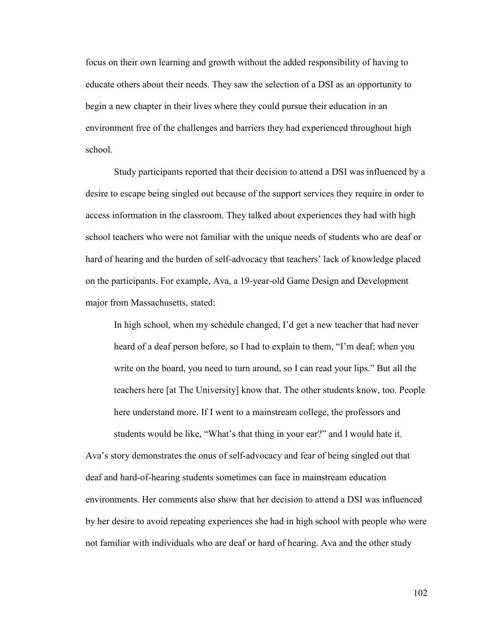focus on their own learning and growth without the added responsibility of having to educate others about their needs. They saw the selection of a DSI as an opportunity to begin a new chapter in their lives where they could pursue their education in an environment free of the challenges and barriers they had experienced throughout high school.

Study participants reported that their decision to attend a DSI was influenced by a desire to escape being singled out because of the support services they require in order to access information in the classroom. They talked about experiences they had with high school teachers who were not familiar with the unique needs of students who are deaf or hard of hearing and the burden of self-advocacy that teachers' lack of knowledge placed on the participants. For example, Ava, a 19-year-old Game Design and Development major from Massachusetts, stated:

In high school, when my schedule changed, I'd get a new teacher that had never heard of a deaf person before, so I had to explain to them, "I'm deaf; when you write on the board, you need to turn around, so I can read your lips." But all the teachers here [at The University] know that. The other students know, too. People here understand more. If I went to a mainstream college, the professors and students would be like, "What's that thing in your ear?" and I would hate it.

Ava's story demonstrates the onus of self-advocacy and fear of being singled out that deaf and hard-of-hearing students sometimes can face in mainstream education environments. Her comments also show that her decision to attend a DSI was influenced by her desire to avoid repeating experiences she had in high school with people who were not familiar with individuals who are deaf or hard of hearing. Ava and the other study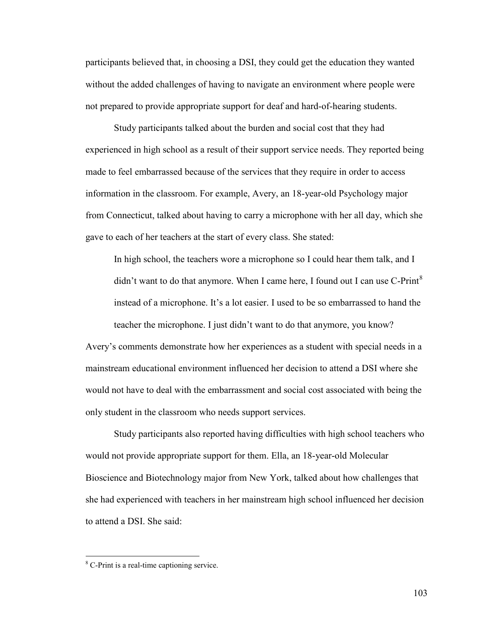participants believed that, in choosing a DSI, they could get the education they wanted without the added challenges of having to navigate an environment where people were not prepared to provide appropriate support for deaf and hard-of-hearing students.

Study participants talked about the burden and social cost that they had experienced in high school as a result of their support service needs. They reported being made to feel embarrassed because of the services that they require in order to access information in the classroom. For example, Avery, an 18-year-old Psychology major from Connecticut, talked about having to carry a microphone with her all day, which she gave to each of her teachers at the start of every class. She stated:

In high school, the teachers wore a microphone so I could hear them talk, and I didn't want to do that anymore. When I came here, I found out I can use  $C\text{-Print}^8$  $C\text{-Print}^8$ instead of a microphone. It's a lot easier. I used to be so embarrassed to hand the teacher the microphone. I just didn't want to do that anymore, you know?

Avery's comments demonstrate how her experiences as a student with special needs in a mainstream educational environment influenced her decision to attend a DSI where she would not have to deal with the embarrassment and social cost associated with being the only student in the classroom who needs support services.

Study participants also reported having difficulties with high school teachers who would not provide appropriate support for them. Ella, an 18-year-old Molecular Bioscience and Biotechnology major from New York, talked about how challenges that she had experienced with teachers in her mainstream high school influenced her decision to attend a DSI. She said:

 $\overline{a}$ 

<span id="page-114-0"></span><sup>&</sup>lt;sup>8</sup> C-Print is a real-time captioning service.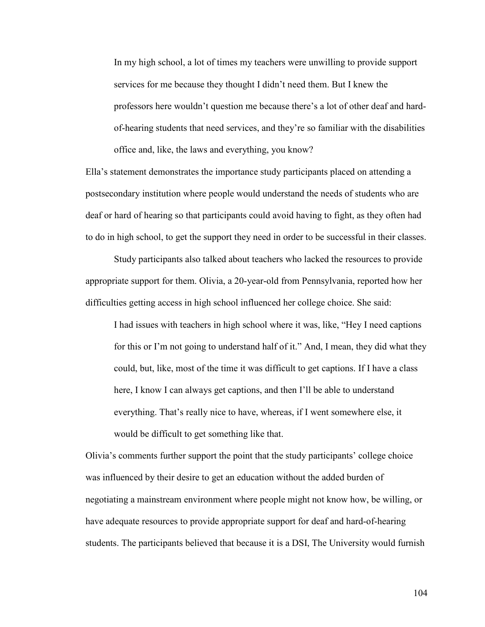In my high school, a lot of times my teachers were unwilling to provide support services for me because they thought I didn't need them. But I knew the professors here wouldn't question me because there's a lot of other deaf and hardof-hearing students that need services, and they're so familiar with the disabilities office and, like, the laws and everything, you know?

Ella's statement demonstrates the importance study participants placed on attending a postsecondary institution where people would understand the needs of students who are deaf or hard of hearing so that participants could avoid having to fight, as they often had to do in high school, to get the support they need in order to be successful in their classes.

Study participants also talked about teachers who lacked the resources to provide appropriate support for them. Olivia, a 20-year-old from Pennsylvania, reported how her difficulties getting access in high school influenced her college choice. She said:

I had issues with teachers in high school where it was, like, "Hey I need captions for this or I'm not going to understand half of it." And, I mean, they did what they could, but, like, most of the time it was difficult to get captions. If I have a class here, I know I can always get captions, and then I'll be able to understand everything. That's really nice to have, whereas, if I went somewhere else, it would be difficult to get something like that.

Olivia's comments further support the point that the study participants' college choice was influenced by their desire to get an education without the added burden of negotiating a mainstream environment where people might not know how, be willing, or have adequate resources to provide appropriate support for deaf and hard-of-hearing students. The participants believed that because it is a DSI, The University would furnish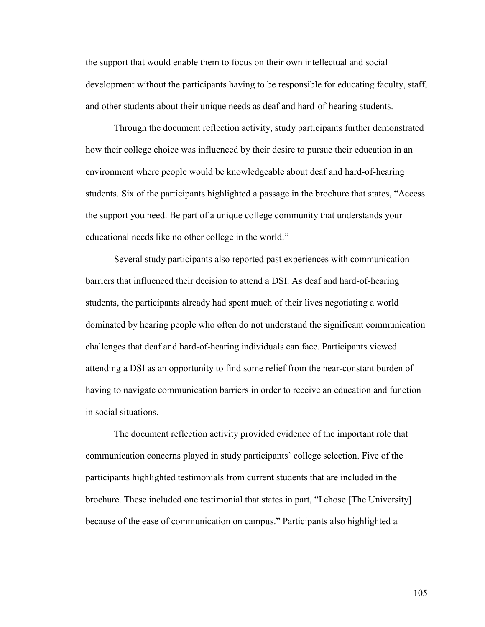the support that would enable them to focus on their own intellectual and social development without the participants having to be responsible for educating faculty, staff, and other students about their unique needs as deaf and hard-of-hearing students.

Through the document reflection activity, study participants further demonstrated how their college choice was influenced by their desire to pursue their education in an environment where people would be knowledgeable about deaf and hard-of-hearing students. Six of the participants highlighted a passage in the brochure that states, "Access the support you need. Be part of a unique college community that understands your educational needs like no other college in the world."

Several study participants also reported past experiences with communication barriers that influenced their decision to attend a DSI. As deaf and hard-of-hearing students, the participants already had spent much of their lives negotiating a world dominated by hearing people who often do not understand the significant communication challenges that deaf and hard-of-hearing individuals can face. Participants viewed attending a DSI as an opportunity to find some relief from the near-constant burden of having to navigate communication barriers in order to receive an education and function in social situations.

The document reflection activity provided evidence of the important role that communication concerns played in study participants' college selection. Five of the participants highlighted testimonials from current students that are included in the brochure. These included one testimonial that states in part, "I chose [The University] because of the ease of communication on campus." Participants also highlighted a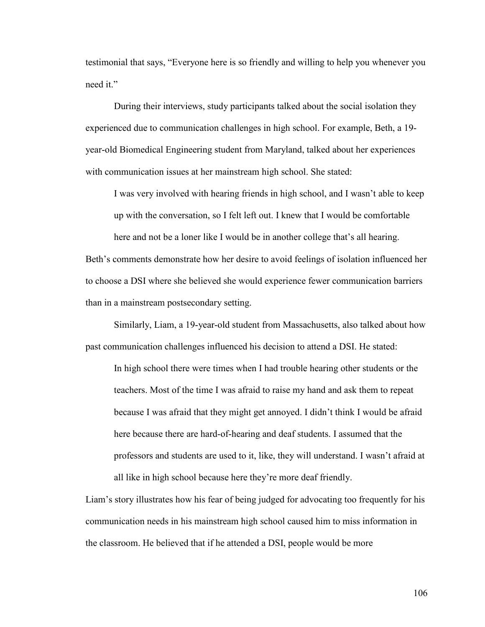testimonial that says, "Everyone here is so friendly and willing to help you whenever you need it."

During their interviews, study participants talked about the social isolation they experienced due to communication challenges in high school. For example, Beth, a 19 year-old Biomedical Engineering student from Maryland, talked about her experiences with communication issues at her mainstream high school. She stated:

I was very involved with hearing friends in high school, and I wasn't able to keep up with the conversation, so I felt left out. I knew that I would be comfortable

here and not be a loner like I would be in another college that's all hearing. Beth's comments demonstrate how her desire to avoid feelings of isolation influenced her to choose a DSI where she believed she would experience fewer communication barriers than in a mainstream postsecondary setting.

Similarly, Liam, a 19-year-old student from Massachusetts, also talked about how past communication challenges influenced his decision to attend a DSI. He stated:

In high school there were times when I had trouble hearing other students or the teachers. Most of the time I was afraid to raise my hand and ask them to repeat because I was afraid that they might get annoyed. I didn't think I would be afraid here because there are hard-of-hearing and deaf students. I assumed that the professors and students are used to it, like, they will understand. I wasn't afraid at all like in high school because here they're more deaf friendly.

Liam's story illustrates how his fear of being judged for advocating too frequently for his communication needs in his mainstream high school caused him to miss information in the classroom. He believed that if he attended a DSI, people would be more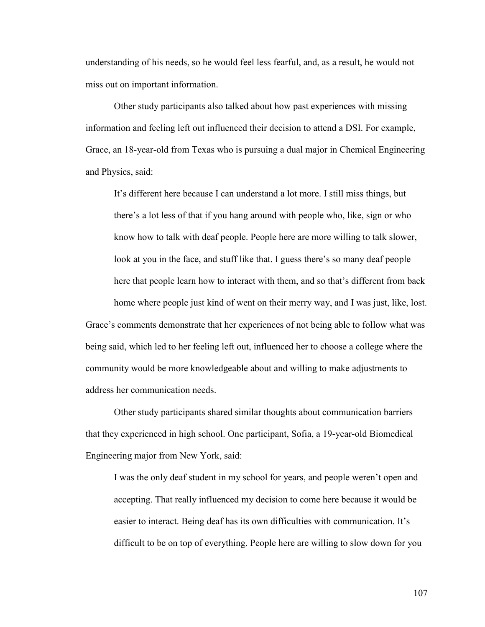understanding of his needs, so he would feel less fearful, and, as a result, he would not miss out on important information.

Other study participants also talked about how past experiences with missing information and feeling left out influenced their decision to attend a DSI. For example, Grace, an 18-year-old from Texas who is pursuing a dual major in Chemical Engineering and Physics, said:

It's different here because I can understand a lot more. I still miss things, but there's a lot less of that if you hang around with people who, like, sign or who know how to talk with deaf people. People here are more willing to talk slower, look at you in the face, and stuff like that. I guess there's so many deaf people here that people learn how to interact with them, and so that's different from back home where people just kind of went on their merry way, and I was just, like, lost. Grace's comments demonstrate that her experiences of not being able to follow what was being said, which led to her feeling left out, influenced her to choose a college where the community would be more knowledgeable about and willing to make adjustments to

address her communication needs.

Other study participants shared similar thoughts about communication barriers that they experienced in high school. One participant, Sofia, a 19-year-old Biomedical Engineering major from New York, said:

I was the only deaf student in my school for years, and people weren't open and accepting. That really influenced my decision to come here because it would be easier to interact. Being deaf has its own difficulties with communication. It's difficult to be on top of everything. People here are willing to slow down for you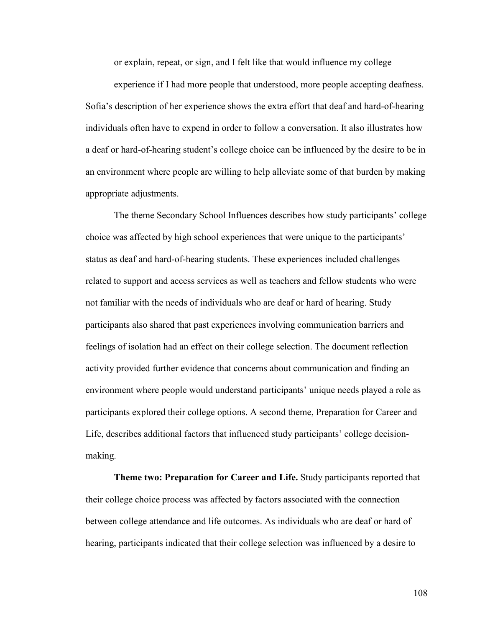or explain, repeat, or sign, and I felt like that would influence my college

experience if I had more people that understood, more people accepting deafness. Sofia's description of her experience shows the extra effort that deaf and hard-of-hearing individuals often have to expend in order to follow a conversation. It also illustrates how a deaf or hard-of-hearing student's college choice can be influenced by the desire to be in an environment where people are willing to help alleviate some of that burden by making appropriate adjustments.

The theme Secondary School Influences describes how study participants' college choice was affected by high school experiences that were unique to the participants' status as deaf and hard-of-hearing students. These experiences included challenges related to support and access services as well as teachers and fellow students who were not familiar with the needs of individuals who are deaf or hard of hearing. Study participants also shared that past experiences involving communication barriers and feelings of isolation had an effect on their college selection. The document reflection activity provided further evidence that concerns about communication and finding an environment where people would understand participants' unique needs played a role as participants explored their college options. A second theme, Preparation for Career and Life, describes additional factors that influenced study participants' college decisionmaking.

**Theme two: Preparation for Career and Life.** Study participants reported that their college choice process was affected by factors associated with the connection between college attendance and life outcomes. As individuals who are deaf or hard of hearing, participants indicated that their college selection was influenced by a desire to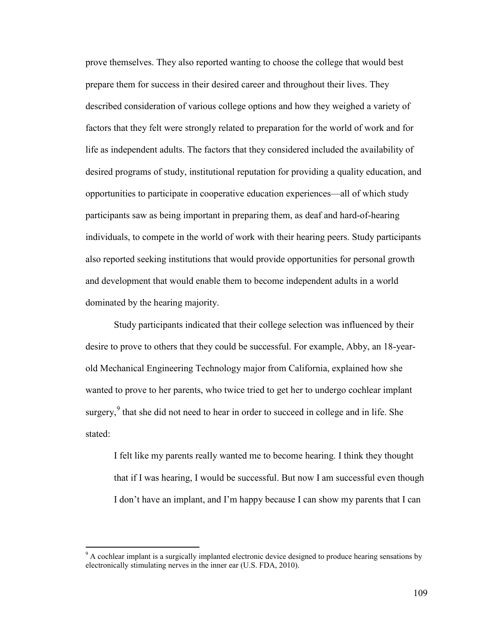prove themselves. They also reported wanting to choose the college that would best prepare them for success in their desired career and throughout their lives. They described consideration of various college options and how they weighed a variety of factors that they felt were strongly related to preparation for the world of work and for life as independent adults. The factors that they considered included the availability of desired programs of study, institutional reputation for providing a quality education, and opportunities to participate in cooperative education experiences—all of which study participants saw as being important in preparing them, as deaf and hard-of-hearing individuals, to compete in the world of work with their hearing peers. Study participants also reported seeking institutions that would provide opportunities for personal growth and development that would enable them to become independent adults in a world dominated by the hearing majority.

Study participants indicated that their college selection was influenced by their desire to prove to others that they could be successful. For example, Abby, an 18-yearold Mechanical Engineering Technology major from California, explained how she wanted to prove to her parents, who twice tried to get her to undergo cochlear implant surgery, $9$  that she did not need to hear in order to succeed in college and in life. She stated:

I felt like my parents really wanted me to become hearing. I think they thought that if I was hearing, I would be successful. But now I am successful even though I don't have an implant, and I'm happy because I can show my parents that I can

 $\overline{a}$ 

<span id="page-120-0"></span> $9<sup>9</sup>$  A cochlear implant is a surgically implanted electronic device designed to produce hearing sensations by electronically stimulating nerves in the inner ear (U.S. FDA, 2010).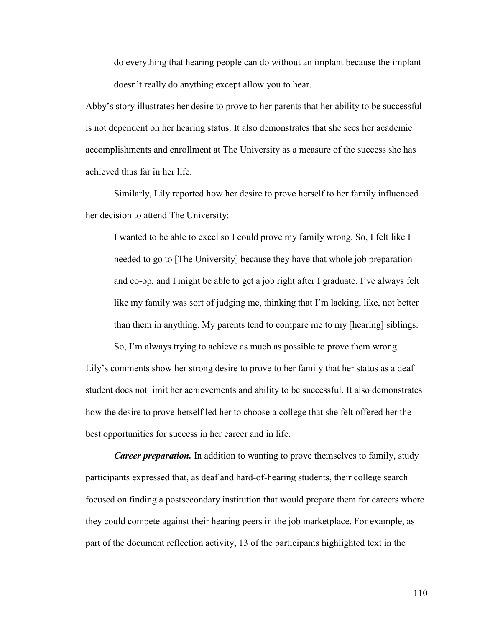do everything that hearing people can do without an implant because the implant doesn't really do anything except allow you to hear.

Abby's story illustrates her desire to prove to her parents that her ability to be successful is not dependent on her hearing status. It also demonstrates that she sees her academic accomplishments and enrollment at The University as a measure of the success she has achieved thus far in her life.

Similarly, Lily reported how her desire to prove herself to her family influenced her decision to attend The University:

I wanted to be able to excel so I could prove my family wrong. So, I felt like I needed to go to [The University] because they have that whole job preparation and co-op, and I might be able to get a job right after I graduate. I've always felt like my family was sort of judging me, thinking that I'm lacking, like, not better than them in anything. My parents tend to compare me to my [hearing] siblings.

So, I'm always trying to achieve as much as possible to prove them wrong. Lily's comments show her strong desire to prove to her family that her status as a deaf student does not limit her achievements and ability to be successful. It also demonstrates how the desire to prove herself led her to choose a college that she felt offered her the best opportunities for success in her career and in life.

*Career preparation.* In addition to wanting to prove themselves to family, study participants expressed that, as deaf and hard-of-hearing students, their college search focused on finding a postsecondary institution that would prepare them for careers where they could compete against their hearing peers in the job marketplace. For example, as part of the document reflection activity, 13 of the participants highlighted text in the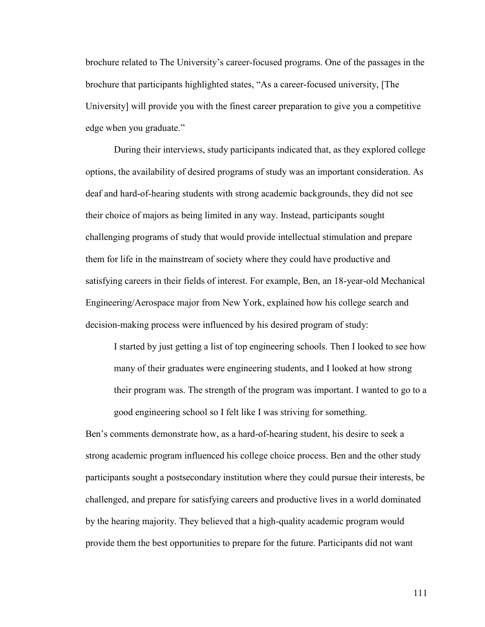brochure related to The University's career-focused programs. One of the passages in the brochure that participants highlighted states, "As a career-focused university, [The University] will provide you with the finest career preparation to give you a competitive edge when you graduate."

During their interviews, study participants indicated that, as they explored college options, the availability of desired programs of study was an important consideration. As deaf and hard-of-hearing students with strong academic backgrounds, they did not see their choice of majors as being limited in any way. Instead, participants sought challenging programs of study that would provide intellectual stimulation and prepare them for life in the mainstream of society where they could have productive and satisfying careers in their fields of interest. For example, Ben, an 18-year-old Mechanical Engineering/Aerospace major from New York, explained how his college search and decision-making process were influenced by his desired program of study:

I started by just getting a list of top engineering schools. Then I looked to see how many of their graduates were engineering students, and I looked at how strong their program was. The strength of the program was important. I wanted to go to a good engineering school so I felt like I was striving for something.

Ben's comments demonstrate how, as a hard-of-hearing student, his desire to seek a strong academic program influenced his college choice process. Ben and the other study participants sought a postsecondary institution where they could pursue their interests, be challenged, and prepare for satisfying careers and productive lives in a world dominated by the hearing majority. They believed that a high-quality academic program would provide them the best opportunities to prepare for the future. Participants did not want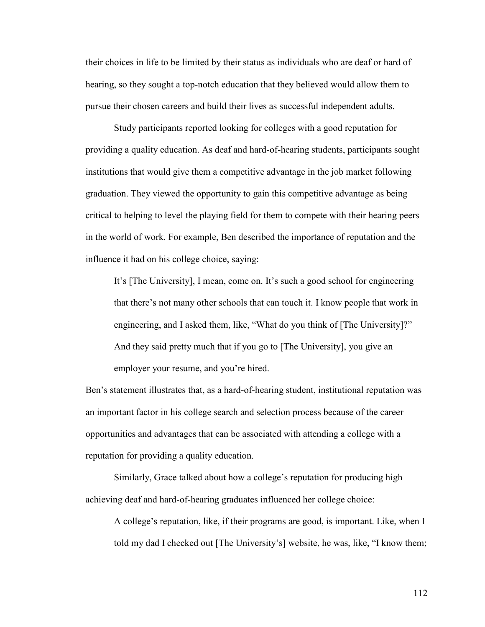their choices in life to be limited by their status as individuals who are deaf or hard of hearing, so they sought a top-notch education that they believed would allow them to pursue their chosen careers and build their lives as successful independent adults.

Study participants reported looking for colleges with a good reputation for providing a quality education. As deaf and hard-of-hearing students, participants sought institutions that would give them a competitive advantage in the job market following graduation. They viewed the opportunity to gain this competitive advantage as being critical to helping to level the playing field for them to compete with their hearing peers in the world of work. For example, Ben described the importance of reputation and the influence it had on his college choice, saying:

It's [The University], I mean, come on. It's such a good school for engineering that there's not many other schools that can touch it. I know people that work in engineering, and I asked them, like, "What do you think of [The University]?" And they said pretty much that if you go to [The University], you give an employer your resume, and you're hired.

Ben's statement illustrates that, as a hard-of-hearing student, institutional reputation was an important factor in his college search and selection process because of the career opportunities and advantages that can be associated with attending a college with a reputation for providing a quality education.

Similarly, Grace talked about how a college's reputation for producing high achieving deaf and hard-of-hearing graduates influenced her college choice:

A college's reputation, like, if their programs are good, is important. Like, when I told my dad I checked out [The University's] website, he was, like, "I know them;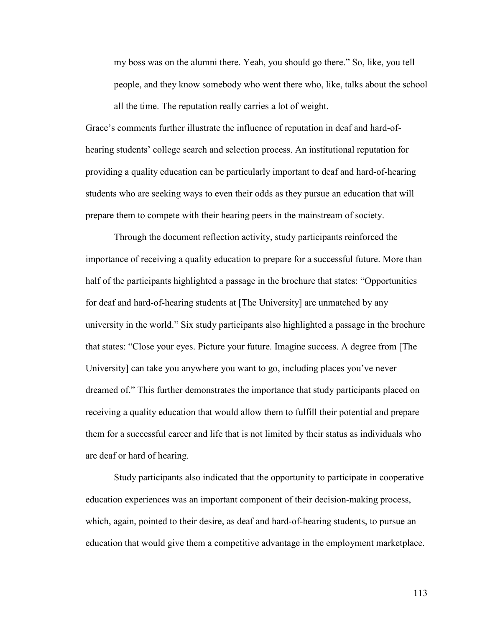my boss was on the alumni there. Yeah, you should go there." So, like, you tell people, and they know somebody who went there who, like, talks about the school all the time. The reputation really carries a lot of weight.

Grace's comments further illustrate the influence of reputation in deaf and hard-ofhearing students' college search and selection process. An institutional reputation for providing a quality education can be particularly important to deaf and hard-of-hearing students who are seeking ways to even their odds as they pursue an education that will prepare them to compete with their hearing peers in the mainstream of society.

Through the document reflection activity, study participants reinforced the importance of receiving a quality education to prepare for a successful future. More than half of the participants highlighted a passage in the brochure that states: "Opportunities for deaf and hard-of-hearing students at [The University] are unmatched by any university in the world." Six study participants also highlighted a passage in the brochure that states: "Close your eyes. Picture your future. Imagine success. A degree from [The University] can take you anywhere you want to go, including places you've never dreamed of." This further demonstrates the importance that study participants placed on receiving a quality education that would allow them to fulfill their potential and prepare them for a successful career and life that is not limited by their status as individuals who are deaf or hard of hearing.

Study participants also indicated that the opportunity to participate in cooperative education experiences was an important component of their decision-making process, which, again, pointed to their desire, as deaf and hard-of-hearing students, to pursue an education that would give them a competitive advantage in the employment marketplace.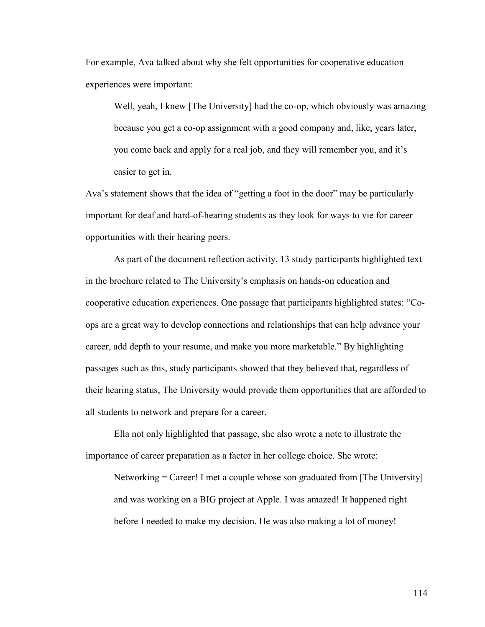For example, Ava talked about why she felt opportunities for cooperative education experiences were important:

Well, yeah, I knew [The University] had the co-op, which obviously was amazing because you get a co-op assignment with a good company and, like, years later, you come back and apply for a real job, and they will remember you, and it's easier to get in.

Ava's statement shows that the idea of "getting a foot in the door" may be particularly important for deaf and hard-of-hearing students as they look for ways to vie for career opportunities with their hearing peers.

As part of the document reflection activity, 13 study participants highlighted text in the brochure related to The University's emphasis on hands-on education and cooperative education experiences. One passage that participants highlighted states: "Coops are a great way to develop connections and relationships that can help advance your career, add depth to your resume, and make you more marketable." By highlighting passages such as this, study participants showed that they believed that, regardless of their hearing status, The University would provide them opportunities that are afforded to all students to network and prepare for a career.

Ella not only highlighted that passage, she also wrote a note to illustrate the importance of career preparation as a factor in her college choice. She wrote:

Networking = Career! I met a couple whose son graduated from [The University] and was working on a BIG project at Apple. I was amazed! It happened right before I needed to make my decision. He was also making a lot of money!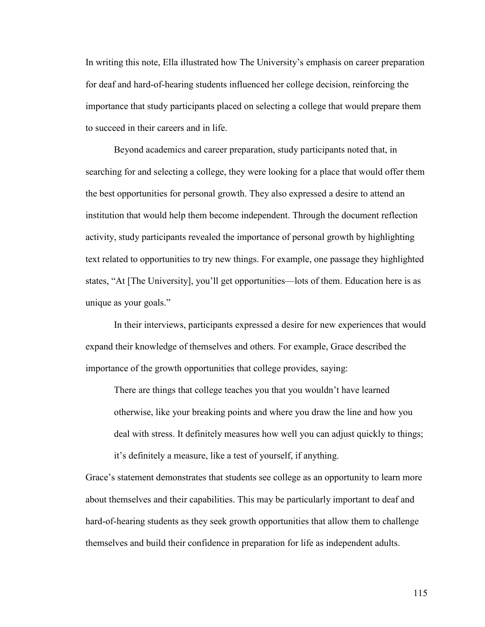In writing this note, Ella illustrated how The University's emphasis on career preparation for deaf and hard-of-hearing students influenced her college decision, reinforcing the importance that study participants placed on selecting a college that would prepare them to succeed in their careers and in life.

Beyond academics and career preparation, study participants noted that, in searching for and selecting a college, they were looking for a place that would offer them the best opportunities for personal growth. They also expressed a desire to attend an institution that would help them become independent. Through the document reflection activity, study participants revealed the importance of personal growth by highlighting text related to opportunities to try new things. For example, one passage they highlighted states, "At [The University], you'll get opportunities—lots of them. Education here is as unique as your goals."

In their interviews, participants expressed a desire for new experiences that would expand their knowledge of themselves and others. For example, Grace described the importance of the growth opportunities that college provides, saying:

There are things that college teaches you that you wouldn't have learned otherwise, like your breaking points and where you draw the line and how you deal with stress. It definitely measures how well you can adjust quickly to things; it's definitely a measure, like a test of yourself, if anything.

Grace's statement demonstrates that students see college as an opportunity to learn more about themselves and their capabilities. This may be particularly important to deaf and hard-of-hearing students as they seek growth opportunities that allow them to challenge themselves and build their confidence in preparation for life as independent adults.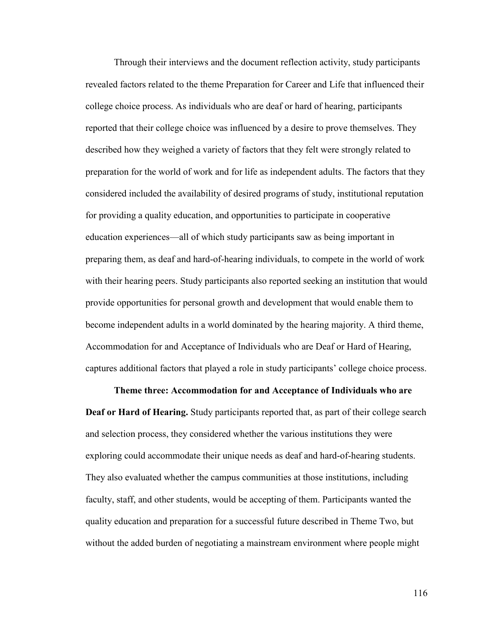Through their interviews and the document reflection activity, study participants revealed factors related to the theme Preparation for Career and Life that influenced their college choice process. As individuals who are deaf or hard of hearing, participants reported that their college choice was influenced by a desire to prove themselves. They described how they weighed a variety of factors that they felt were strongly related to preparation for the world of work and for life as independent adults. The factors that they considered included the availability of desired programs of study, institutional reputation for providing a quality education, and opportunities to participate in cooperative education experiences—all of which study participants saw as being important in preparing them, as deaf and hard-of-hearing individuals, to compete in the world of work with their hearing peers. Study participants also reported seeking an institution that would provide opportunities for personal growth and development that would enable them to become independent adults in a world dominated by the hearing majority. A third theme, Accommodation for and Acceptance of Individuals who are Deaf or Hard of Hearing, captures additional factors that played a role in study participants' college choice process.

**Theme three: Accommodation for and Acceptance of Individuals who are Deaf or Hard of Hearing.** Study participants reported that, as part of their college search and selection process, they considered whether the various institutions they were exploring could accommodate their unique needs as deaf and hard-of-hearing students. They also evaluated whether the campus communities at those institutions, including faculty, staff, and other students, would be accepting of them. Participants wanted the quality education and preparation for a successful future described in Theme Two, but without the added burden of negotiating a mainstream environment where people might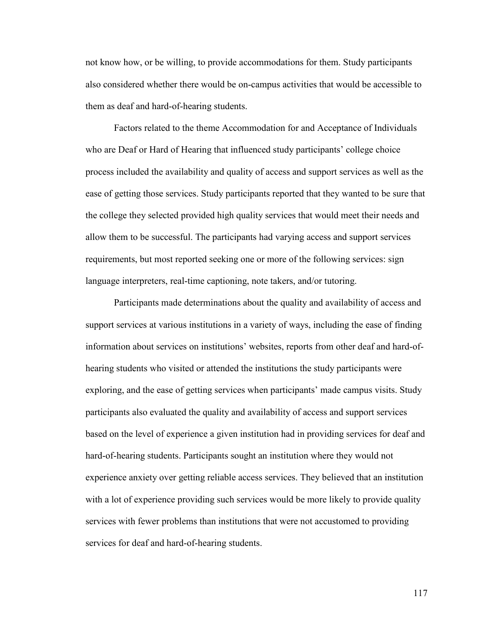not know how, or be willing, to provide accommodations for them. Study participants also considered whether there would be on-campus activities that would be accessible to them as deaf and hard-of-hearing students.

Factors related to the theme Accommodation for and Acceptance of Individuals who are Deaf or Hard of Hearing that influenced study participants' college choice process included the availability and quality of access and support services as well as the ease of getting those services. Study participants reported that they wanted to be sure that the college they selected provided high quality services that would meet their needs and allow them to be successful. The participants had varying access and support services requirements, but most reported seeking one or more of the following services: sign language interpreters, real-time captioning, note takers, and/or tutoring.

Participants made determinations about the quality and availability of access and support services at various institutions in a variety of ways, including the ease of finding information about services on institutions' websites, reports from other deaf and hard-ofhearing students who visited or attended the institutions the study participants were exploring, and the ease of getting services when participants' made campus visits. Study participants also evaluated the quality and availability of access and support services based on the level of experience a given institution had in providing services for deaf and hard-of-hearing students. Participants sought an institution where they would not experience anxiety over getting reliable access services. They believed that an institution with a lot of experience providing such services would be more likely to provide quality services with fewer problems than institutions that were not accustomed to providing services for deaf and hard-of-hearing students.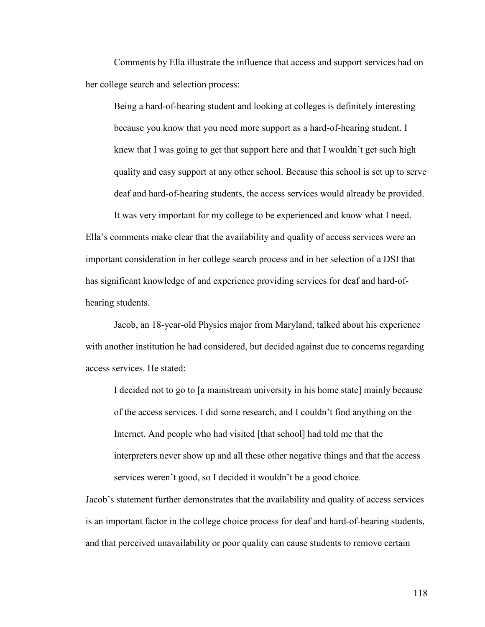Comments by Ella illustrate the influence that access and support services had on her college search and selection process:

Being a hard-of-hearing student and looking at colleges is definitely interesting because you know that you need more support as a hard-of-hearing student. I knew that I was going to get that support here and that I wouldn't get such high quality and easy support at any other school. Because this school is set up to serve deaf and hard-of-hearing students, the access services would already be provided.

It was very important for my college to be experienced and know what I need. Ella's comments make clear that the availability and quality of access services were an important consideration in her college search process and in her selection of a DSI that has significant knowledge of and experience providing services for deaf and hard-ofhearing students.

Jacob, an 18-year-old Physics major from Maryland, talked about his experience with another institution he had considered, but decided against due to concerns regarding access services. He stated:

I decided not to go to [a mainstream university in his home state] mainly because of the access services. I did some research, and I couldn't find anything on the Internet. And people who had visited [that school] had told me that the interpreters never show up and all these other negative things and that the access services weren't good, so I decided it wouldn't be a good choice.

Jacob's statement further demonstrates that the availability and quality of access services is an important factor in the college choice process for deaf and hard-of-hearing students, and that perceived unavailability or poor quality can cause students to remove certain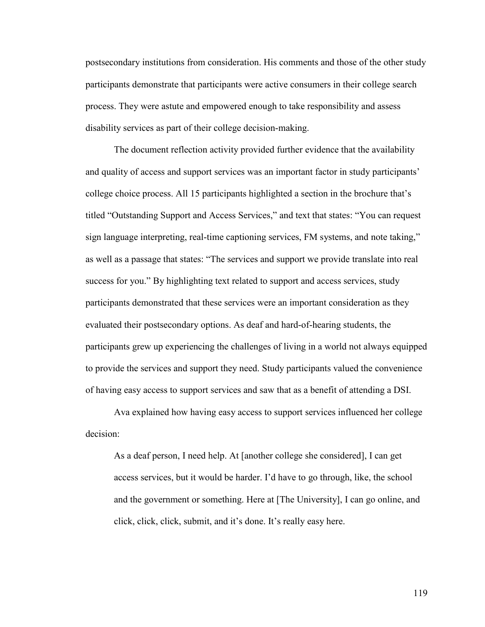postsecondary institutions from consideration. His comments and those of the other study participants demonstrate that participants were active consumers in their college search process. They were astute and empowered enough to take responsibility and assess disability services as part of their college decision-making.

The document reflection activity provided further evidence that the availability and quality of access and support services was an important factor in study participants' college choice process. All 15 participants highlighted a section in the brochure that's titled "Outstanding Support and Access Services," and text that states: "You can request sign language interpreting, real-time captioning services, FM systems, and note taking," as well as a passage that states: "The services and support we provide translate into real success for you." By highlighting text related to support and access services, study participants demonstrated that these services were an important consideration as they evaluated their postsecondary options. As deaf and hard-of-hearing students, the participants grew up experiencing the challenges of living in a world not always equipped to provide the services and support they need. Study participants valued the convenience of having easy access to support services and saw that as a benefit of attending a DSI.

Ava explained how having easy access to support services influenced her college decision:

As a deaf person, I need help. At [another college she considered], I can get access services, but it would be harder. I'd have to go through, like, the school and the government or something. Here at [The University], I can go online, and click, click, click, submit, and it's done. It's really easy here.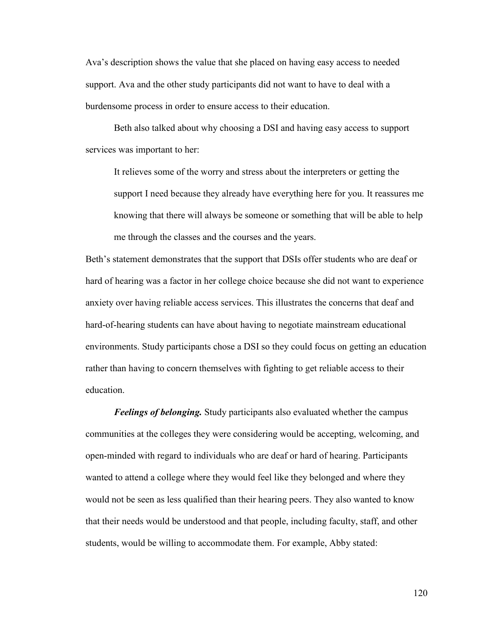Ava's description shows the value that she placed on having easy access to needed support. Ava and the other study participants did not want to have to deal with a burdensome process in order to ensure access to their education.

Beth also talked about why choosing a DSI and having easy access to support services was important to her:

It relieves some of the worry and stress about the interpreters or getting the support I need because they already have everything here for you. It reassures me knowing that there will always be someone or something that will be able to help me through the classes and the courses and the years.

Beth's statement demonstrates that the support that DSIs offer students who are deaf or hard of hearing was a factor in her college choice because she did not want to experience anxiety over having reliable access services. This illustrates the concerns that deaf and hard-of-hearing students can have about having to negotiate mainstream educational environments. Study participants chose a DSI so they could focus on getting an education rather than having to concern themselves with fighting to get reliable access to their education.

*Feelings of belonging.* Study participants also evaluated whether the campus communities at the colleges they were considering would be accepting, welcoming, and open-minded with regard to individuals who are deaf or hard of hearing. Participants wanted to attend a college where they would feel like they belonged and where they would not be seen as less qualified than their hearing peers. They also wanted to know that their needs would be understood and that people, including faculty, staff, and other students, would be willing to accommodate them. For example, Abby stated: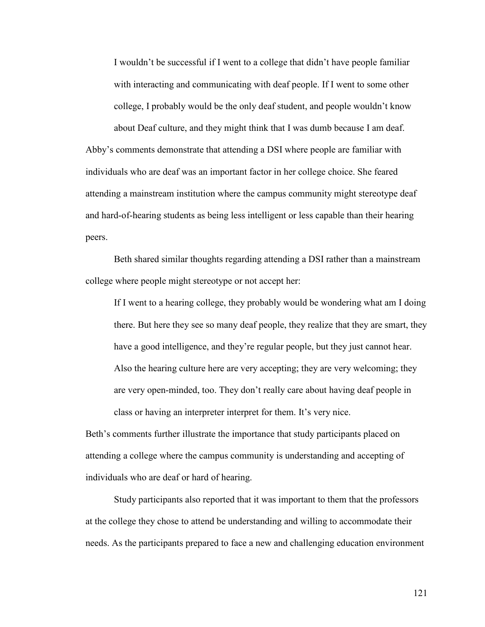I wouldn't be successful if I went to a college that didn't have people familiar with interacting and communicating with deaf people. If I went to some other college, I probably would be the only deaf student, and people wouldn't know

about Deaf culture, and they might think that I was dumb because I am deaf. Abby's comments demonstrate that attending a DSI where people are familiar with individuals who are deaf was an important factor in her college choice. She feared attending a mainstream institution where the campus community might stereotype deaf and hard-of-hearing students as being less intelligent or less capable than their hearing peers.

Beth shared similar thoughts regarding attending a DSI rather than a mainstream college where people might stereotype or not accept her:

If I went to a hearing college, they probably would be wondering what am I doing there. But here they see so many deaf people, they realize that they are smart, they have a good intelligence, and they're regular people, but they just cannot hear. Also the hearing culture here are very accepting; they are very welcoming; they are very open-minded, too. They don't really care about having deaf people in class or having an interpreter interpret for them. It's very nice.

Beth's comments further illustrate the importance that study participants placed on attending a college where the campus community is understanding and accepting of individuals who are deaf or hard of hearing.

Study participants also reported that it was important to them that the professors at the college they chose to attend be understanding and willing to accommodate their needs. As the participants prepared to face a new and challenging education environment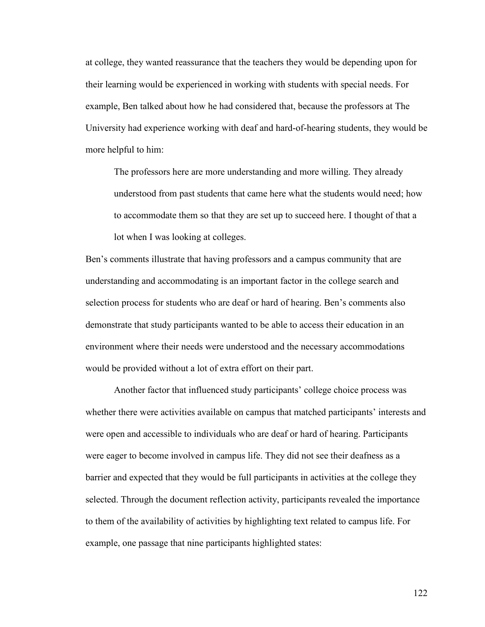at college, they wanted reassurance that the teachers they would be depending upon for their learning would be experienced in working with students with special needs. For example, Ben talked about how he had considered that, because the professors at The University had experience working with deaf and hard-of-hearing students, they would be more helpful to him:

The professors here are more understanding and more willing. They already understood from past students that came here what the students would need; how to accommodate them so that they are set up to succeed here. I thought of that a lot when I was looking at colleges.

Ben's comments illustrate that having professors and a campus community that are understanding and accommodating is an important factor in the college search and selection process for students who are deaf or hard of hearing. Ben's comments also demonstrate that study participants wanted to be able to access their education in an environment where their needs were understood and the necessary accommodations would be provided without a lot of extra effort on their part.

Another factor that influenced study participants' college choice process was whether there were activities available on campus that matched participants' interests and were open and accessible to individuals who are deaf or hard of hearing. Participants were eager to become involved in campus life. They did not see their deafness as a barrier and expected that they would be full participants in activities at the college they selected. Through the document reflection activity, participants revealed the importance to them of the availability of activities by highlighting text related to campus life. For example, one passage that nine participants highlighted states: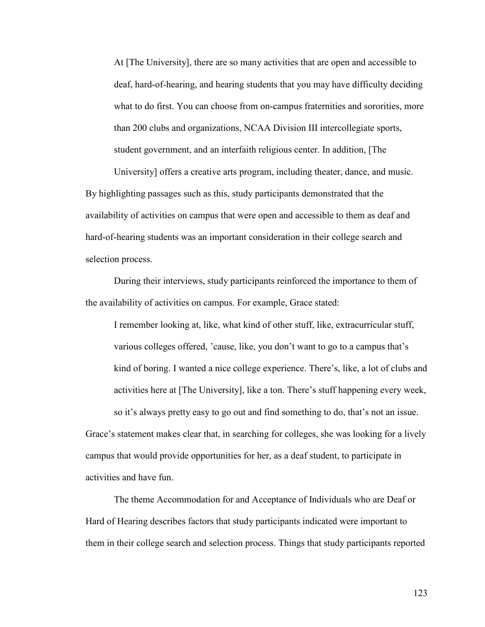At [The University], there are so many activities that are open and accessible to deaf, hard-of-hearing, and hearing students that you may have difficulty deciding what to do first. You can choose from on-campus fraternities and sororities, more than 200 clubs and organizations, NCAA Division III intercollegiate sports, student government, and an interfaith religious center. In addition, [The

University] offers a creative arts program, including theater, dance, and music. By highlighting passages such as this, study participants demonstrated that the availability of activities on campus that were open and accessible to them as deaf and hard-of-hearing students was an important consideration in their college search and selection process.

During their interviews, study participants reinforced the importance to them of the availability of activities on campus. For example, Grace stated:

I remember looking at, like, what kind of other stuff, like, extracurricular stuff, various colleges offered, 'cause, like, you don't want to go to a campus that's kind of boring. I wanted a nice college experience. There's, like, a lot of clubs and activities here at [The University], like a ton. There's stuff happening every week, so it's always pretty easy to go out and find something to do, that's not an issue.

Grace's statement makes clear that, in searching for colleges, she was looking for a lively campus that would provide opportunities for her, as a deaf student, to participate in activities and have fun.

The theme Accommodation for and Acceptance of Individuals who are Deaf or Hard of Hearing describes factors that study participants indicated were important to them in their college search and selection process. Things that study participants reported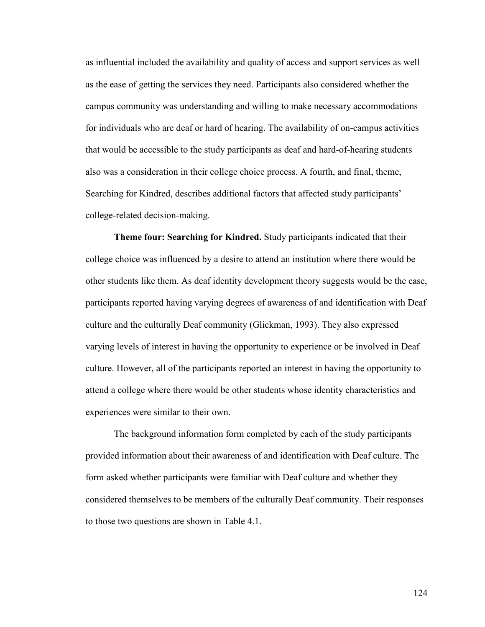as influential included the availability and quality of access and support services as well as the ease of getting the services they need. Participants also considered whether the campus community was understanding and willing to make necessary accommodations for individuals who are deaf or hard of hearing. The availability of on-campus activities that would be accessible to the study participants as deaf and hard-of-hearing students also was a consideration in their college choice process. A fourth, and final, theme, Searching for Kindred, describes additional factors that affected study participants' college-related decision-making.

**Theme four: Searching for Kindred.** Study participants indicated that their college choice was influenced by a desire to attend an institution where there would be other students like them. As deaf identity development theory suggests would be the case, participants reported having varying degrees of awareness of and identification with Deaf culture and the culturally Deaf community (Glickman, 1993). They also expressed varying levels of interest in having the opportunity to experience or be involved in Deaf culture. However, all of the participants reported an interest in having the opportunity to attend a college where there would be other students whose identity characteristics and experiences were similar to their own.

The background information form completed by each of the study participants provided information about their awareness of and identification with Deaf culture. The form asked whether participants were familiar with Deaf culture and whether they considered themselves to be members of the culturally Deaf community. Their responses to those two questions are shown in Table 4.1.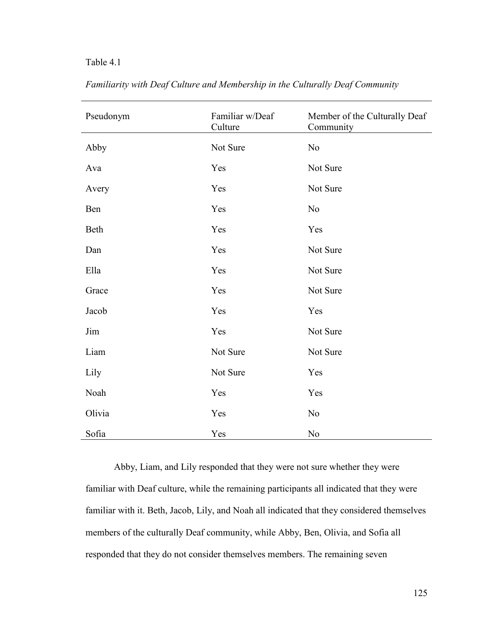# Table 4.1

| Pseudonym | Familiar w/Deaf<br>Culture | Member of the Culturally Deaf<br>Community |
|-----------|----------------------------|--------------------------------------------|
| Abby      | Not Sure                   | No                                         |
| Ava       | Yes                        | Not Sure                                   |
| Avery     | Yes                        | Not Sure                                   |
| Ben       | Yes                        | N <sub>o</sub>                             |
| Beth      | Yes                        | Yes                                        |
| Dan       | Yes                        | Not Sure                                   |
| Ella      | Yes                        | Not Sure                                   |
| Grace     | Yes                        | Not Sure                                   |
| Jacob     | Yes                        | Yes                                        |
| Jim       | Yes                        | Not Sure                                   |
| Liam      | Not Sure                   | Not Sure                                   |
| Lily      | Not Sure                   | Yes                                        |
| Noah      | Yes                        | Yes                                        |
| Olivia    | Yes                        | No                                         |
| Sofia     | Yes                        | No                                         |

*Familiarity with Deaf Culture and Membership in the Culturally Deaf Community*

Abby, Liam, and Lily responded that they were not sure whether they were familiar with Deaf culture, while the remaining participants all indicated that they were familiar with it. Beth, Jacob, Lily, and Noah all indicated that they considered themselves members of the culturally Deaf community, while Abby, Ben, Olivia, and Sofia all responded that they do not consider themselves members. The remaining seven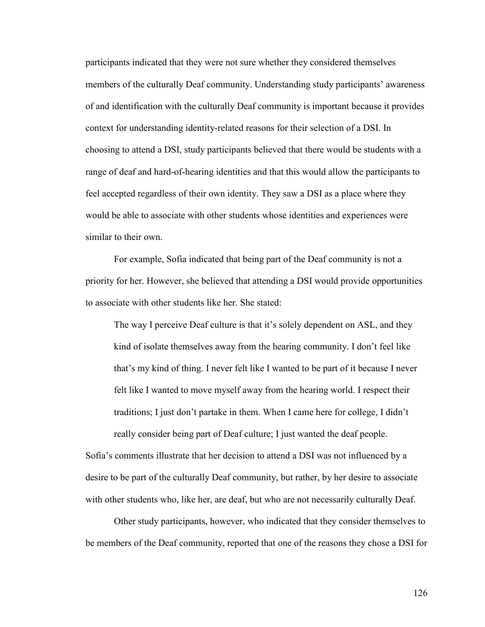participants indicated that they were not sure whether they considered themselves members of the culturally Deaf community. Understanding study participants' awareness of and identification with the culturally Deaf community is important because it provides context for understanding identity-related reasons for their selection of a DSI. In choosing to attend a DSI, study participants believed that there would be students with a range of deaf and hard-of-hearing identities and that this would allow the participants to feel accepted regardless of their own identity. They saw a DSI as a place where they would be able to associate with other students whose identities and experiences were similar to their own.

For example, Sofia indicated that being part of the Deaf community is not a priority for her. However, she believed that attending a DSI would provide opportunities to associate with other students like her. She stated:

The way I perceive Deaf culture is that it's solely dependent on ASL, and they kind of isolate themselves away from the hearing community. I don't feel like that's my kind of thing. I never felt like I wanted to be part of it because I never felt like I wanted to move myself away from the hearing world. I respect their traditions; I just don't partake in them. When I came here for college, I didn't really consider being part of Deaf culture; I just wanted the deaf people.

Sofia's comments illustrate that her decision to attend a DSI was not influenced by a desire to be part of the culturally Deaf community, but rather, by her desire to associate with other students who, like her, are deaf, but who are not necessarily culturally Deaf.

Other study participants, however, who indicated that they consider themselves to be members of the Deaf community, reported that one of the reasons they chose a DSI for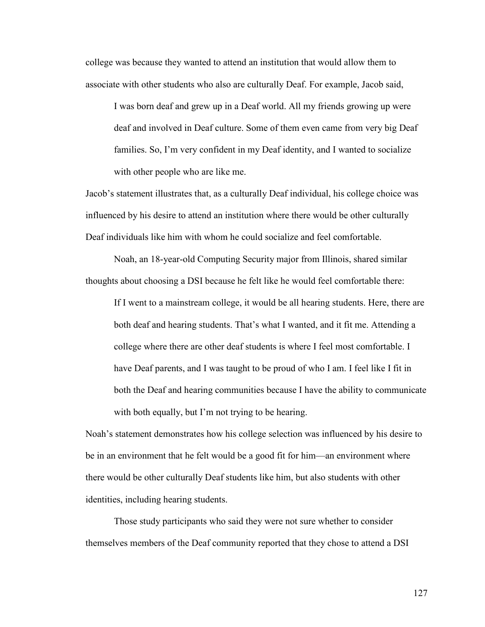college was because they wanted to attend an institution that would allow them to associate with other students who also are culturally Deaf. For example, Jacob said,

I was born deaf and grew up in a Deaf world. All my friends growing up were deaf and involved in Deaf culture. Some of them even came from very big Deaf families. So, I'm very confident in my Deaf identity, and I wanted to socialize with other people who are like me.

Jacob's statement illustrates that, as a culturally Deaf individual, his college choice was influenced by his desire to attend an institution where there would be other culturally Deaf individuals like him with whom he could socialize and feel comfortable.

Noah, an 18-year-old Computing Security major from Illinois, shared similar thoughts about choosing a DSI because he felt like he would feel comfortable there:

If I went to a mainstream college, it would be all hearing students. Here, there are both deaf and hearing students. That's what I wanted, and it fit me. Attending a college where there are other deaf students is where I feel most comfortable. I have Deaf parents, and I was taught to be proud of who I am. I feel like I fit in both the Deaf and hearing communities because I have the ability to communicate with both equally, but I'm not trying to be hearing.

Noah's statement demonstrates how his college selection was influenced by his desire to be in an environment that he felt would be a good fit for him—an environment where there would be other culturally Deaf students like him, but also students with other identities, including hearing students.

Those study participants who said they were not sure whether to consider themselves members of the Deaf community reported that they chose to attend a DSI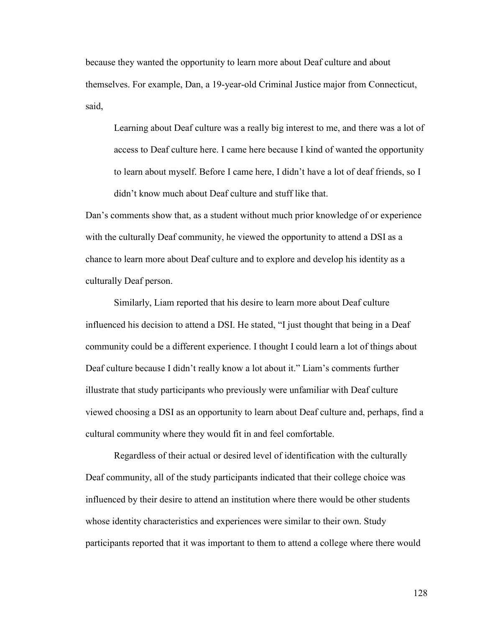because they wanted the opportunity to learn more about Deaf culture and about themselves. For example, Dan, a 19-year-old Criminal Justice major from Connecticut, said,

Learning about Deaf culture was a really big interest to me, and there was a lot of access to Deaf culture here. I came here because I kind of wanted the opportunity to learn about myself. Before I came here, I didn't have a lot of deaf friends, so I didn't know much about Deaf culture and stuff like that.

Dan's comments show that, as a student without much prior knowledge of or experience with the culturally Deaf community, he viewed the opportunity to attend a DSI as a chance to learn more about Deaf culture and to explore and develop his identity as a culturally Deaf person.

Similarly, Liam reported that his desire to learn more about Deaf culture influenced his decision to attend a DSI. He stated, "I just thought that being in a Deaf community could be a different experience. I thought I could learn a lot of things about Deaf culture because I didn't really know a lot about it." Liam's comments further illustrate that study participants who previously were unfamiliar with Deaf culture viewed choosing a DSI as an opportunity to learn about Deaf culture and, perhaps, find a cultural community where they would fit in and feel comfortable.

Regardless of their actual or desired level of identification with the culturally Deaf community, all of the study participants indicated that their college choice was influenced by their desire to attend an institution where there would be other students whose identity characteristics and experiences were similar to their own. Study participants reported that it was important to them to attend a college where there would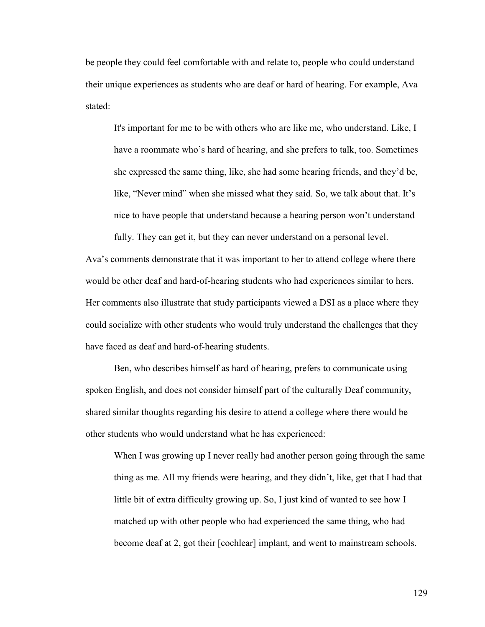be people they could feel comfortable with and relate to, people who could understand their unique experiences as students who are deaf or hard of hearing. For example, Ava stated:

It's important for me to be with others who are like me, who understand. Like, I have a roommate who's hard of hearing, and she prefers to talk, too. Sometimes she expressed the same thing, like, she had some hearing friends, and they'd be, like, "Never mind" when she missed what they said. So, we talk about that. It's nice to have people that understand because a hearing person won't understand

Ava's comments demonstrate that it was important to her to attend college where there would be other deaf and hard-of-hearing students who had experiences similar to hers. Her comments also illustrate that study participants viewed a DSI as a place where they could socialize with other students who would truly understand the challenges that they have faced as deaf and hard-of-hearing students.

fully. They can get it, but they can never understand on a personal level.

Ben, who describes himself as hard of hearing, prefers to communicate using spoken English, and does not consider himself part of the culturally Deaf community, shared similar thoughts regarding his desire to attend a college where there would be other students who would understand what he has experienced:

When I was growing up I never really had another person going through the same thing as me. All my friends were hearing, and they didn't, like, get that I had that little bit of extra difficulty growing up. So, I just kind of wanted to see how I matched up with other people who had experienced the same thing, who had become deaf at 2, got their [cochlear] implant, and went to mainstream schools.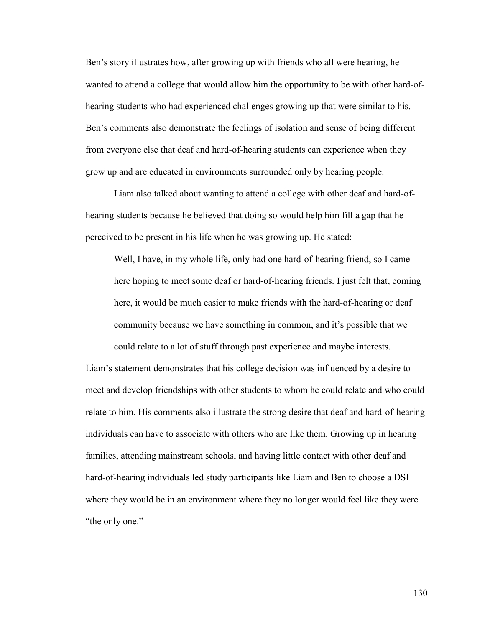Ben's story illustrates how, after growing up with friends who all were hearing, he wanted to attend a college that would allow him the opportunity to be with other hard-ofhearing students who had experienced challenges growing up that were similar to his. Ben's comments also demonstrate the feelings of isolation and sense of being different from everyone else that deaf and hard-of-hearing students can experience when they grow up and are educated in environments surrounded only by hearing people.

Liam also talked about wanting to attend a college with other deaf and hard-ofhearing students because he believed that doing so would help him fill a gap that he perceived to be present in his life when he was growing up. He stated:

Well, I have, in my whole life, only had one hard-of-hearing friend, so I came here hoping to meet some deaf or hard-of-hearing friends. I just felt that, coming here, it would be much easier to make friends with the hard-of-hearing or deaf community because we have something in common, and it's possible that we could relate to a lot of stuff through past experience and maybe interests.

Liam's statement demonstrates that his college decision was influenced by a desire to meet and develop friendships with other students to whom he could relate and who could relate to him. His comments also illustrate the strong desire that deaf and hard-of-hearing individuals can have to associate with others who are like them. Growing up in hearing families, attending mainstream schools, and having little contact with other deaf and hard-of-hearing individuals led study participants like Liam and Ben to choose a DSI where they would be in an environment where they no longer would feel like they were "the only one."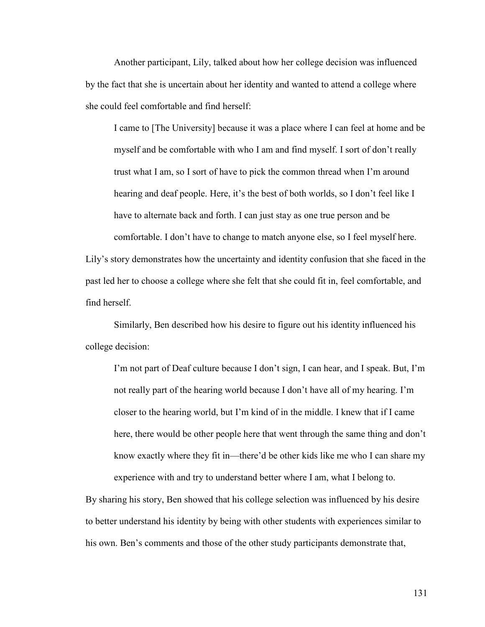Another participant, Lily, talked about how her college decision was influenced by the fact that she is uncertain about her identity and wanted to attend a college where she could feel comfortable and find herself:

I came to [The University] because it was a place where I can feel at home and be myself and be comfortable with who I am and find myself. I sort of don't really trust what I am, so I sort of have to pick the common thread when I'm around hearing and deaf people. Here, it's the best of both worlds, so I don't feel like I have to alternate back and forth. I can just stay as one true person and be comfortable. I don't have to change to match anyone else, so I feel myself here.

Lily's story demonstrates how the uncertainty and identity confusion that she faced in the past led her to choose a college where she felt that she could fit in, feel comfortable, and find herself.

Similarly, Ben described how his desire to figure out his identity influenced his college decision:

I'm not part of Deaf culture because I don't sign, I can hear, and I speak. But, I'm not really part of the hearing world because I don't have all of my hearing. I'm closer to the hearing world, but I'm kind of in the middle. I knew that if I came here, there would be other people here that went through the same thing and don't know exactly where they fit in—there'd be other kids like me who I can share my experience with and try to understand better where I am, what I belong to.

By sharing his story, Ben showed that his college selection was influenced by his desire to better understand his identity by being with other students with experiences similar to his own. Ben's comments and those of the other study participants demonstrate that,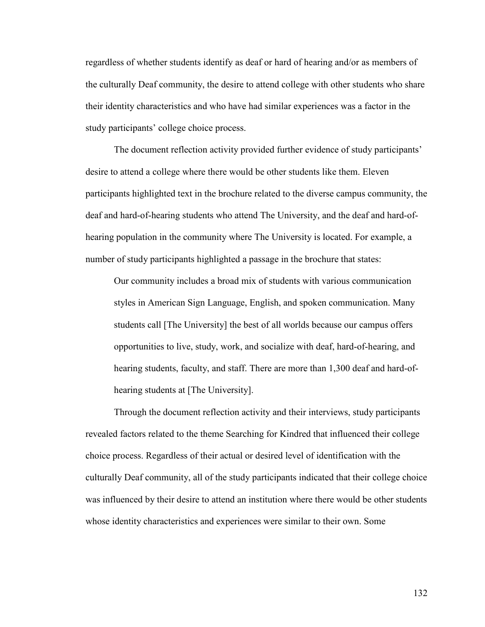regardless of whether students identify as deaf or hard of hearing and/or as members of the culturally Deaf community, the desire to attend college with other students who share their identity characteristics and who have had similar experiences was a factor in the study participants' college choice process.

The document reflection activity provided further evidence of study participants' desire to attend a college where there would be other students like them. Eleven participants highlighted text in the brochure related to the diverse campus community, the deaf and hard-of-hearing students who attend The University, and the deaf and hard-ofhearing population in the community where The University is located. For example, a number of study participants highlighted a passage in the brochure that states:

Our community includes a broad mix of students with various communication styles in American Sign Language, English, and spoken communication. Many students call [The University] the best of all worlds because our campus offers opportunities to live, study, work, and socialize with deaf, hard-of-hearing, and hearing students, faculty, and staff. There are more than 1,300 deaf and hard-ofhearing students at [The University].

Through the document reflection activity and their interviews, study participants revealed factors related to the theme Searching for Kindred that influenced their college choice process. Regardless of their actual or desired level of identification with the culturally Deaf community, all of the study participants indicated that their college choice was influenced by their desire to attend an institution where there would be other students whose identity characteristics and experiences were similar to their own. Some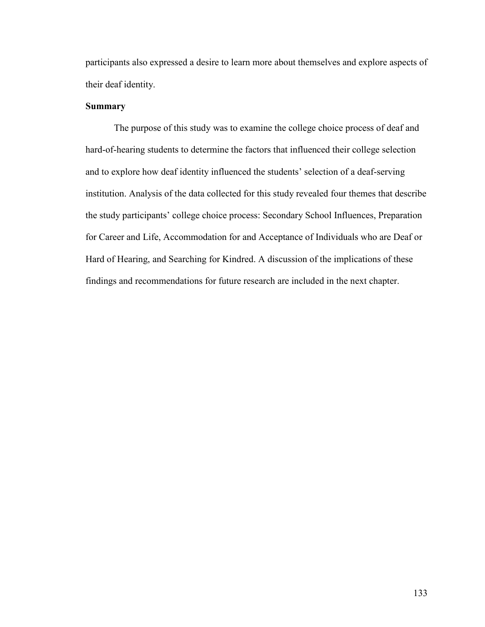participants also expressed a desire to learn more about themselves and explore aspects of their deaf identity.

### **Summary**

The purpose of this study was to examine the college choice process of deaf and hard-of-hearing students to determine the factors that influenced their college selection and to explore how deaf identity influenced the students' selection of a deaf-serving institution. Analysis of the data collected for this study revealed four themes that describe the study participants' college choice process: Secondary School Influences, Preparation for Career and Life, Accommodation for and Acceptance of Individuals who are Deaf or Hard of Hearing, and Searching for Kindred. A discussion of the implications of these findings and recommendations for future research are included in the next chapter.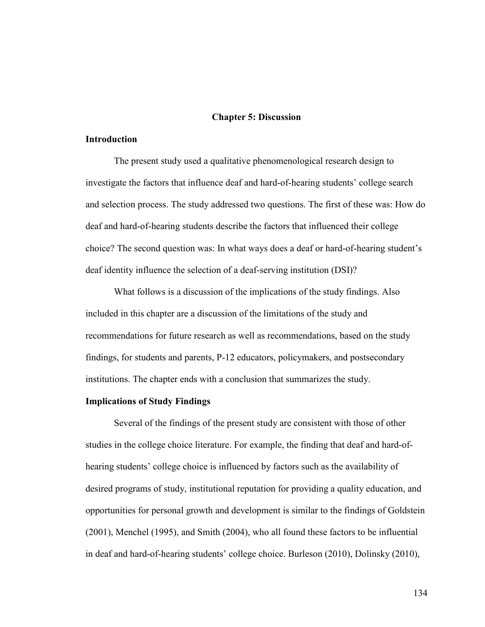#### **Chapter 5: Discussion**

#### **Introduction**

The present study used a qualitative phenomenological research design to investigate the factors that influence deaf and hard-of-hearing students' college search and selection process. The study addressed two questions. The first of these was: How do deaf and hard-of-hearing students describe the factors that influenced their college choice? The second question was: In what ways does a deaf or hard-of-hearing student's deaf identity influence the selection of a deaf-serving institution (DSI)?

What follows is a discussion of the implications of the study findings. Also included in this chapter are a discussion of the limitations of the study and recommendations for future research as well as recommendations, based on the study findings, for students and parents, P-12 educators, policymakers, and postsecondary institutions. The chapter ends with a conclusion that summarizes the study.

#### **Implications of Study Findings**

Several of the findings of the present study are consistent with those of other studies in the college choice literature. For example, the finding that deaf and hard-ofhearing students' college choice is influenced by factors such as the availability of desired programs of study, institutional reputation for providing a quality education, and opportunities for personal growth and development is similar to the findings of Goldstein (2001), Menchel (1995), and Smith (2004), who all found these factors to be influential in deaf and hard-of-hearing students' college choice. Burleson (2010), Dolinsky (2010),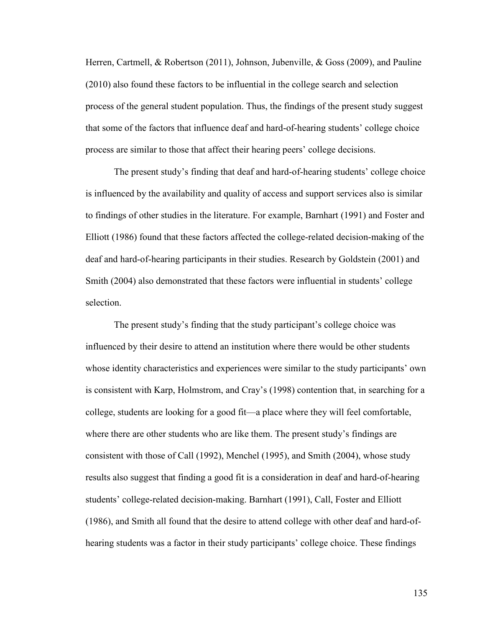Herren, Cartmell, & Robertson (2011), Johnson, Jubenville, & Goss (2009), and Pauline (2010) also found these factors to be influential in the college search and selection process of the general student population. Thus, the findings of the present study suggest that some of the factors that influence deaf and hard-of-hearing students' college choice process are similar to those that affect their hearing peers' college decisions.

The present study's finding that deaf and hard-of-hearing students' college choice is influenced by the availability and quality of access and support services also is similar to findings of other studies in the literature. For example, Barnhart (1991) and Foster and Elliott (1986) found that these factors affected the college-related decision-making of the deaf and hard-of-hearing participants in their studies. Research by Goldstein (2001) and Smith (2004) also demonstrated that these factors were influential in students' college selection.

The present study's finding that the study participant's college choice was influenced by their desire to attend an institution where there would be other students whose identity characteristics and experiences were similar to the study participants' own is consistent with Karp, Holmstrom, and Cray's (1998) contention that, in searching for a college, students are looking for a good fit—a place where they will feel comfortable, where there are other students who are like them. The present study's findings are consistent with those of Call (1992), Menchel (1995), and Smith (2004), whose study results also suggest that finding a good fit is a consideration in deaf and hard-of-hearing students' college-related decision-making. Barnhart (1991), Call, Foster and Elliott (1986), and Smith all found that the desire to attend college with other deaf and hard-ofhearing students was a factor in their study participants' college choice. These findings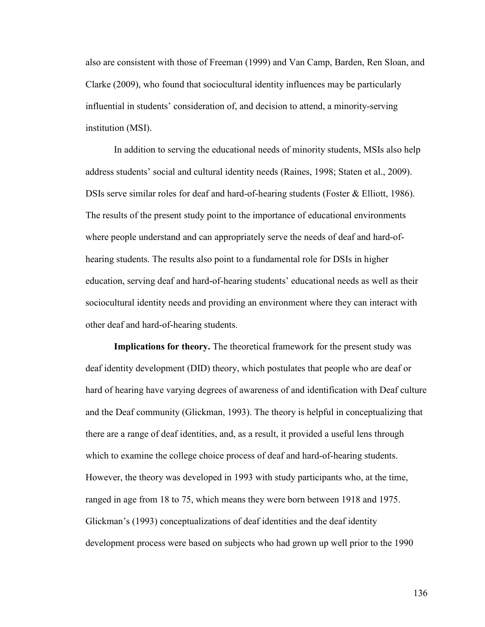also are consistent with those of Freeman (1999) and Van Camp, Barden, Ren Sloan, and Clarke (2009), who found that sociocultural identity influences may be particularly influential in students' consideration of, and decision to attend, a minority-serving institution (MSI).

In addition to serving the educational needs of minority students, MSIs also help address students' social and cultural identity needs (Raines, 1998; Staten et al., 2009). DSIs serve similar roles for deaf and hard-of-hearing students (Foster & Elliott, 1986). The results of the present study point to the importance of educational environments where people understand and can appropriately serve the needs of deaf and hard-ofhearing students. The results also point to a fundamental role for DSIs in higher education, serving deaf and hard-of-hearing students' educational needs as well as their sociocultural identity needs and providing an environment where they can interact with other deaf and hard-of-hearing students.

**Implications for theory.** The theoretical framework for the present study was deaf identity development (DID) theory, which postulates that people who are deaf or hard of hearing have varying degrees of awareness of and identification with Deaf culture and the Deaf community (Glickman, 1993). The theory is helpful in conceptualizing that there are a range of deaf identities, and, as a result, it provided a useful lens through which to examine the college choice process of deaf and hard-of-hearing students. However, the theory was developed in 1993 with study participants who, at the time, ranged in age from 18 to 75, which means they were born between 1918 and 1975. Glickman's (1993) conceptualizations of deaf identities and the deaf identity development process were based on subjects who had grown up well prior to the 1990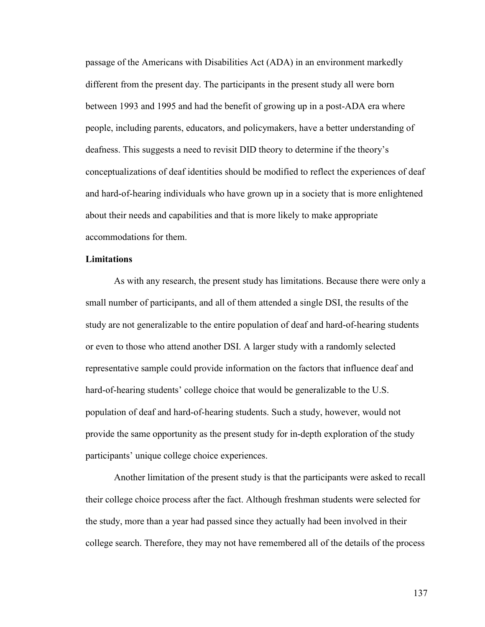passage of the Americans with Disabilities Act (ADA) in an environment markedly different from the present day. The participants in the present study all were born between 1993 and 1995 and had the benefit of growing up in a post-ADA era where people, including parents, educators, and policymakers, have a better understanding of deafness. This suggests a need to revisit DID theory to determine if the theory's conceptualizations of deaf identities should be modified to reflect the experiences of deaf and hard-of-hearing individuals who have grown up in a society that is more enlightened about their needs and capabilities and that is more likely to make appropriate accommodations for them.

#### **Limitations**

As with any research, the present study has limitations. Because there were only a small number of participants, and all of them attended a single DSI, the results of the study are not generalizable to the entire population of deaf and hard-of-hearing students or even to those who attend another DSI. A larger study with a randomly selected representative sample could provide information on the factors that influence deaf and hard-of-hearing students' college choice that would be generalizable to the U.S. population of deaf and hard-of-hearing students. Such a study, however, would not provide the same opportunity as the present study for in-depth exploration of the study participants' unique college choice experiences.

Another limitation of the present study is that the participants were asked to recall their college choice process after the fact. Although freshman students were selected for the study, more than a year had passed since they actually had been involved in their college search. Therefore, they may not have remembered all of the details of the process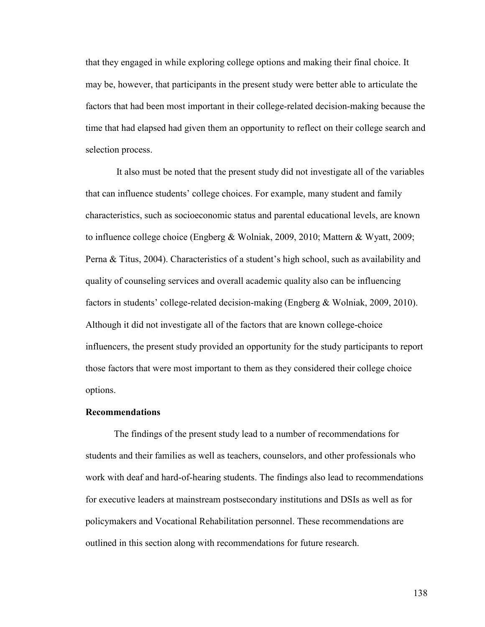that they engaged in while exploring college options and making their final choice. It may be, however, that participants in the present study were better able to articulate the factors that had been most important in their college-related decision-making because the time that had elapsed had given them an opportunity to reflect on their college search and selection process.

It also must be noted that the present study did not investigate all of the variables that can influence students' college choices. For example, many student and family characteristics, such as socioeconomic status and parental educational levels, are known to influence college choice (Engberg & Wolniak, 2009, 2010; Mattern & Wyatt, 2009; Perna & Titus, 2004). Characteristics of a student's high school, such as availability and quality of counseling services and overall academic quality also can be influencing factors in students' college-related decision-making (Engberg & Wolniak, 2009, 2010). Although it did not investigate all of the factors that are known college-choice influencers, the present study provided an opportunity for the study participants to report those factors that were most important to them as they considered their college choice options.

#### **Recommendations**

The findings of the present study lead to a number of recommendations for students and their families as well as teachers, counselors, and other professionals who work with deaf and hard-of-hearing students. The findings also lead to recommendations for executive leaders at mainstream postsecondary institutions and DSIs as well as for policymakers and Vocational Rehabilitation personnel. These recommendations are outlined in this section along with recommendations for future research.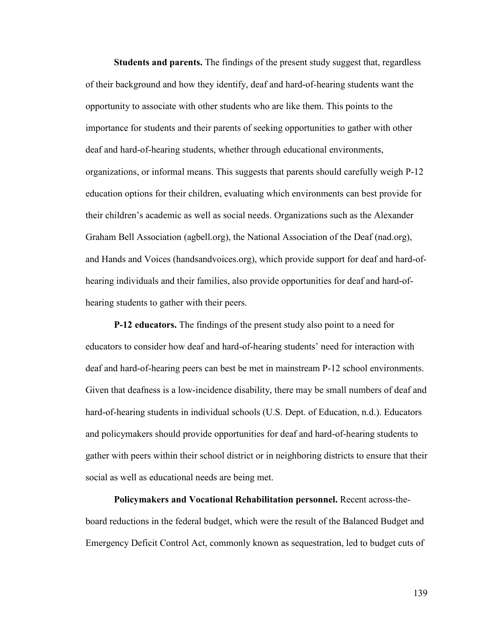**Students and parents.** The findings of the present study suggest that, regardless of their background and how they identify, deaf and hard-of-hearing students want the opportunity to associate with other students who are like them. This points to the importance for students and their parents of seeking opportunities to gather with other deaf and hard-of-hearing students, whether through educational environments, organizations, or informal means. This suggests that parents should carefully weigh P-12 education options for their children, evaluating which environments can best provide for their children's academic as well as social needs. Organizations such as the Alexander Graham Bell Association (agbell.org), the National Association of the Deaf (nad.org), and Hands and Voices (handsandvoices.org), which provide support for deaf and hard-ofhearing individuals and their families, also provide opportunities for deaf and hard-ofhearing students to gather with their peers.

**P-12 educators.** The findings of the present study also point to a need for educators to consider how deaf and hard-of-hearing students' need for interaction with deaf and hard-of-hearing peers can best be met in mainstream P-12 school environments. Given that deafness is a low-incidence disability, there may be small numbers of deaf and hard-of-hearing students in individual schools (U.S. Dept. of Education, n.d.). Educators and policymakers should provide opportunities for deaf and hard-of-hearing students to gather with peers within their school district or in neighboring districts to ensure that their social as well as educational needs are being met.

**Policymakers and Vocational Rehabilitation personnel.** Recent across-theboard reductions in the federal budget, which were the result of the Balanced Budget and Emergency Deficit Control Act, commonly known as sequestration, led to budget cuts of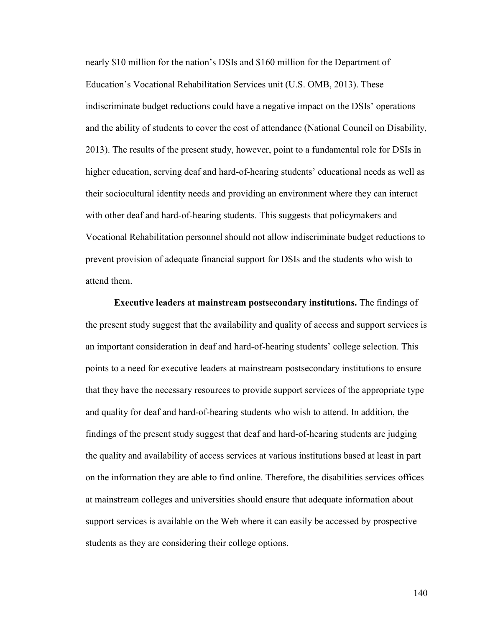nearly \$10 million for the nation's DSIs and \$160 million for the Department of Education's Vocational Rehabilitation Services unit (U.S. OMB, 2013). These indiscriminate budget reductions could have a negative impact on the DSIs' operations and the ability of students to cover the cost of attendance (National Council on Disability, 2013). The results of the present study, however, point to a fundamental role for DSIs in higher education, serving deaf and hard-of-hearing students' educational needs as well as their sociocultural identity needs and providing an environment where they can interact with other deaf and hard-of-hearing students. This suggests that policymakers and Vocational Rehabilitation personnel should not allow indiscriminate budget reductions to prevent provision of adequate financial support for DSIs and the students who wish to attend them.

**Executive leaders at mainstream postsecondary institutions.** The findings of the present study suggest that the availability and quality of access and support services is an important consideration in deaf and hard-of-hearing students' college selection. This points to a need for executive leaders at mainstream postsecondary institutions to ensure that they have the necessary resources to provide support services of the appropriate type and quality for deaf and hard-of-hearing students who wish to attend. In addition, the findings of the present study suggest that deaf and hard-of-hearing students are judging the quality and availability of access services at various institutions based at least in part on the information they are able to find online. Therefore, the disabilities services offices at mainstream colleges and universities should ensure that adequate information about support services is available on the Web where it can easily be accessed by prospective students as they are considering their college options.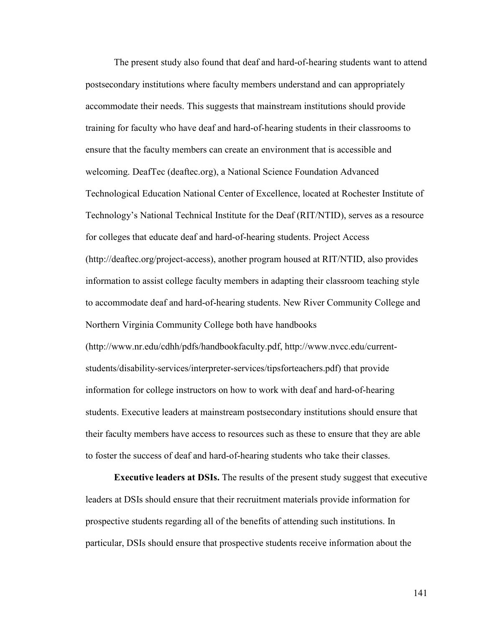The present study also found that deaf and hard-of-hearing students want to attend postsecondary institutions where faculty members understand and can appropriately accommodate their needs. This suggests that mainstream institutions should provide training for faculty who have deaf and hard-of-hearing students in their classrooms to ensure that the faculty members can create an environment that is accessible and welcoming. DeafTec (deaftec.org), a National Science Foundation Advanced Technological Education National Center of Excellence, located at Rochester Institute of Technology's National Technical Institute for the Deaf (RIT/NTID), serves as a resource for colleges that educate deaf and hard-of-hearing students. Project Access [\(http://deaftec.org/project-access\)](http://deaftec.org/project-access), another program housed at RIT/NTID, also provides information to assist college faculty members in adapting their classroom teaching style to accommodate deaf and hard-of-hearing students. New River Community College and Northern Virginia Community College both have handbooks [\(http://www.nr.edu/cdhh/pdfs/handbookfaculty.pdf,](http://www.nr.edu/cdhh/pdfs/handbookfaculty.pdf) http://www.nvcc.edu/currentstudents/disability-services/interpreter-services/tipsforteachers.pdf) that provide information for college instructors on how to work with deaf and hard-of-hearing students. Executive leaders at mainstream postsecondary institutions should ensure that their faculty members have access to resources such as these to ensure that they are able to foster the success of deaf and hard-of-hearing students who take their classes.

**Executive leaders at DSIs.** The results of the present study suggest that executive leaders at DSIs should ensure that their recruitment materials provide information for prospective students regarding all of the benefits of attending such institutions. In particular, DSIs should ensure that prospective students receive information about the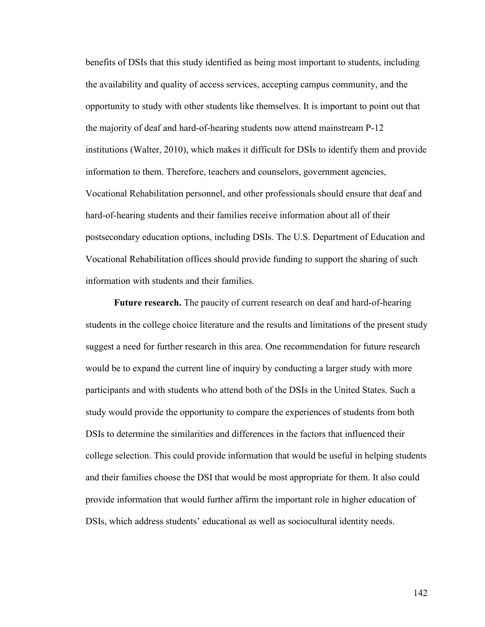benefits of DSIs that this study identified as being most important to students, including the availability and quality of access services, accepting campus community, and the opportunity to study with other students like themselves. It is important to point out that the majority of deaf and hard-of-hearing students now attend mainstream P-12 institutions (Walter, 2010), which makes it difficult for DSIs to identify them and provide information to them. Therefore, teachers and counselors, government agencies, Vocational Rehabilitation personnel, and other professionals should ensure that deaf and hard-of-hearing students and their families receive information about all of their postsecondary education options, including DSIs. The U.S. Department of Education and Vocational Rehabilitation offices should provide funding to support the sharing of such information with students and their families.

**Future research.** The paucity of current research on deaf and hard-of-hearing students in the college choice literature and the results and limitations of the present study suggest a need for further research in this area. One recommendation for future research would be to expand the current line of inquiry by conducting a larger study with more participants and with students who attend both of the DSIs in the United States. Such a study would provide the opportunity to compare the experiences of students from both DSIs to determine the similarities and differences in the factors that influenced their college selection. This could provide information that would be useful in helping students and their families choose the DSI that would be most appropriate for them. It also could provide information that would further affirm the important role in higher education of DSIs, which address students' educational as well as sociocultural identity needs.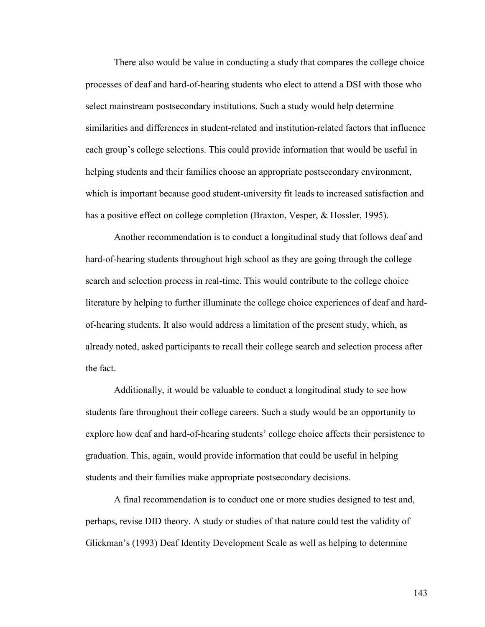There also would be value in conducting a study that compares the college choice processes of deaf and hard-of-hearing students who elect to attend a DSI with those who select mainstream postsecondary institutions. Such a study would help determine similarities and differences in student-related and institution-related factors that influence each group's college selections. This could provide information that would be useful in helping students and their families choose an appropriate postsecondary environment, which is important because good student-university fit leads to increased satisfaction and has a positive effect on college completion (Braxton, Vesper, & Hossler, 1995).

Another recommendation is to conduct a longitudinal study that follows deaf and hard-of-hearing students throughout high school as they are going through the college search and selection process in real-time. This would contribute to the college choice literature by helping to further illuminate the college choice experiences of deaf and hardof-hearing students. It also would address a limitation of the present study, which, as already noted, asked participants to recall their college search and selection process after the fact.

Additionally, it would be valuable to conduct a longitudinal study to see how students fare throughout their college careers. Such a study would be an opportunity to explore how deaf and hard-of-hearing students' college choice affects their persistence to graduation. This, again, would provide information that could be useful in helping students and their families make appropriate postsecondary decisions.

A final recommendation is to conduct one or more studies designed to test and, perhaps, revise DID theory. A study or studies of that nature could test the validity of Glickman's (1993) Deaf Identity Development Scale as well as helping to determine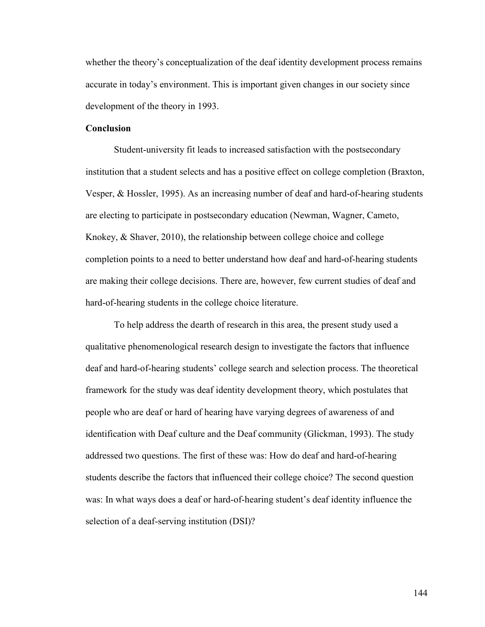whether the theory's conceptualization of the deaf identity development process remains accurate in today's environment. This is important given changes in our society since development of the theory in 1993.

#### **Conclusion**

Student-university fit leads to increased satisfaction with the postsecondary institution that a student selects and has a positive effect on college completion (Braxton, Vesper, & Hossler, 1995). As an increasing number of deaf and hard-of-hearing students are electing to participate in postsecondary education (Newman, Wagner, Cameto, Knokey, & Shaver, 2010), the relationship between college choice and college completion points to a need to better understand how deaf and hard-of-hearing students are making their college decisions. There are, however, few current studies of deaf and hard-of-hearing students in the college choice literature.

To help address the dearth of research in this area, the present study used a qualitative phenomenological research design to investigate the factors that influence deaf and hard-of-hearing students' college search and selection process. The theoretical framework for the study was deaf identity development theory, which postulates that people who are deaf or hard of hearing have varying degrees of awareness of and identification with Deaf culture and the Deaf community (Glickman, 1993). The study addressed two questions. The first of these was: How do deaf and hard-of-hearing students describe the factors that influenced their college choice? The second question was: In what ways does a deaf or hard-of-hearing student's deaf identity influence the selection of a deaf-serving institution (DSI)?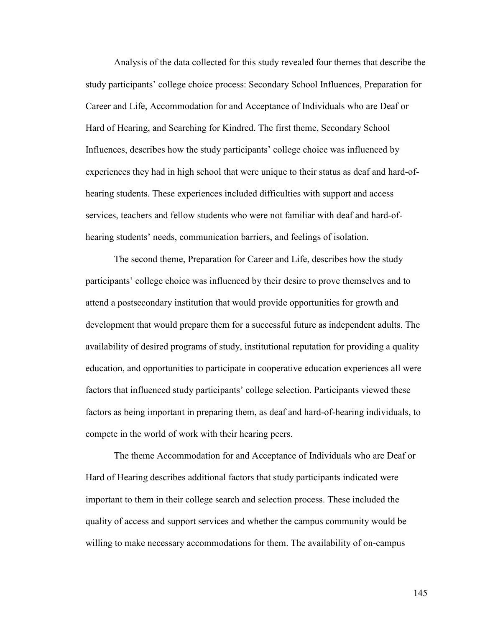Analysis of the data collected for this study revealed four themes that describe the study participants' college choice process: Secondary School Influences, Preparation for Career and Life, Accommodation for and Acceptance of Individuals who are Deaf or Hard of Hearing, and Searching for Kindred. The first theme, Secondary School Influences, describes how the study participants' college choice was influenced by experiences they had in high school that were unique to their status as deaf and hard-ofhearing students. These experiences included difficulties with support and access services, teachers and fellow students who were not familiar with deaf and hard-ofhearing students' needs, communication barriers, and feelings of isolation.

The second theme, Preparation for Career and Life, describes how the study participants' college choice was influenced by their desire to prove themselves and to attend a postsecondary institution that would provide opportunities for growth and development that would prepare them for a successful future as independent adults. The availability of desired programs of study, institutional reputation for providing a quality education, and opportunities to participate in cooperative education experiences all were factors that influenced study participants' college selection. Participants viewed these factors as being important in preparing them, as deaf and hard-of-hearing individuals, to compete in the world of work with their hearing peers.

The theme Accommodation for and Acceptance of Individuals who are Deaf or Hard of Hearing describes additional factors that study participants indicated were important to them in their college search and selection process. These included the quality of access and support services and whether the campus community would be willing to make necessary accommodations for them. The availability of on-campus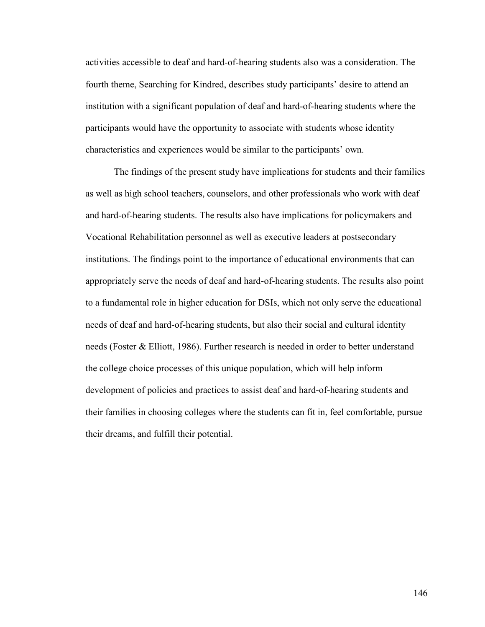activities accessible to deaf and hard-of-hearing students also was a consideration. The fourth theme, Searching for Kindred, describes study participants' desire to attend an institution with a significant population of deaf and hard-of-hearing students where the participants would have the opportunity to associate with students whose identity characteristics and experiences would be similar to the participants' own.

The findings of the present study have implications for students and their families as well as high school teachers, counselors, and other professionals who work with deaf and hard-of-hearing students. The results also have implications for policymakers and Vocational Rehabilitation personnel as well as executive leaders at postsecondary institutions. The findings point to the importance of educational environments that can appropriately serve the needs of deaf and hard-of-hearing students. The results also point to a fundamental role in higher education for DSIs, which not only serve the educational needs of deaf and hard-of-hearing students, but also their social and cultural identity needs (Foster & Elliott, 1986). Further research is needed in order to better understand the college choice processes of this unique population, which will help inform development of policies and practices to assist deaf and hard-of-hearing students and their families in choosing colleges where the students can fit in, feel comfortable, pursue their dreams, and fulfill their potential.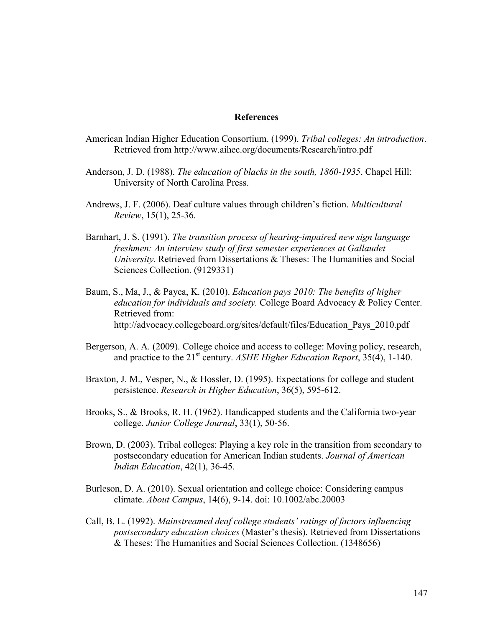#### **References**

- American Indian Higher Education Consortium. (1999). *Tribal colleges: An introduction*. Retrieved from <http://www.aihec.org/documents/Research/intro.pdf>
- Anderson, J. D. (1988). *The education of blacks in the south, 1860-1935*. Chapel Hill: University of North Carolina Press.
- Andrews, J. F. (2006). Deaf culture values through children's fiction. *Multicultural Review*, 15(1), 25-36.
- Barnhart, J. S. (1991). *The transition process of hearing-impaired new sign language freshmen: An interview study of first semester experiences at Gallaudet University*. Retrieved from Dissertations & Theses: The Humanities and Social Sciences Collection. (9129331)
- Baum, S., Ma, J., & Payea, K. (2010). *Education pays 2010: The benefits of higher education for individuals and society.* College Board Advocacy & Policy Center. Retrieved from: http://advocacy.collegeboard.org/sites/default/files/Education\_Pays\_2010.pdf
- Bergerson, A. A. (2009). College choice and access to college: Moving policy, research, and practice to the 21<sup>st</sup> century. *ASHE Higher Education Report*, 35(4), 1-140.
- Braxton, J. M., Vesper, N., & Hossler, D. (1995). Expectations for college and student persistence. *Research in Higher Education*, 36(5), 595-612.
- Brooks, S., & Brooks, R. H. (1962). Handicapped students and the California two-year college. *Junior College Journal*, 33(1), 50-56.
- Brown, D. (2003). Tribal colleges: Playing a key role in the transition from secondary to postsecondary education for American Indian students. *Journal of American Indian Education*, 42(1), 36-45.
- Burleson, D. A. (2010). Sexual orientation and college choice: Considering campus climate. *About Campus*, 14(6), 9-14. doi: 10.1002/abc.20003
- Call, B. L. (1992). *Mainstreamed deaf college students' ratings of factors influencing postsecondary education choices* (Master's thesis). Retrieved from Dissertations & Theses: The Humanities and Social Sciences Collection. (1348656)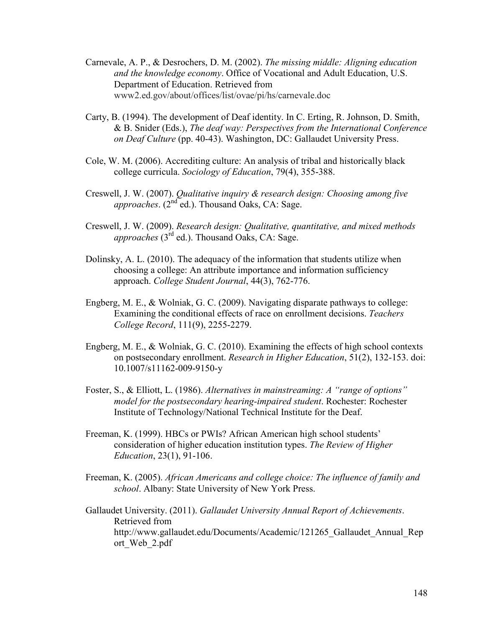- Carnevale, A. P., & Desrochers, D. M. (2002). *The missing middle: Aligning education and the knowledge economy*. Office of Vocational and Adult Education, U.S. Department of Education. Retrieved from www2.ed.gov/about/offices/list/ovae/pi/hs/carnevale.doc
- Carty, B. (1994). The development of Deaf identity. In C. Erting, R. Johnson, D. Smith, & B. Snider (Eds.), *The deaf way: Perspectives from the International Conference on Deaf Culture* (pp. 40-43). Washington, DC: Gallaudet University Press.
- Cole, W. M. (2006). Accrediting culture: An analysis of tribal and historically black college curricula. *Sociology of Education*, 79(4), 355-388.
- Creswell, J. W. (2007). *Qualitative inquiry & research design: Choosing among five approaches.* (2<sup>nd</sup> ed.). Thousand Oaks, CA: Sage.
- Creswell, J. W. (2009). *Research design: Qualitative, quantitative, and mixed methods approaches* ( $3^{rd}$  ed.). Thousand Oaks, CA: Sage.
- Dolinsky, A. L. (2010). The adequacy of the information that students utilize when choosing a college: An attribute importance and information sufficiency approach. *College Student Journal*, 44(3), 762-776.
- Engberg, M. E., & Wolniak, G. C. (2009). Navigating disparate pathways to college: Examining the conditional effects of race on enrollment decisions. *Teachers College Record*, 111(9), 2255-2279.
- Engberg, M. E., & Wolniak, G. C. (2010). Examining the effects of high school contexts on postsecondary enrollment. *Research in Higher Education*, 51(2), 132-153. doi: 10.1007/s11162-009-9150-y
- Foster, S., & Elliott, L. (1986). *Alternatives in mainstreaming: A "range of options" model for the postsecondary hearing-impaired student*. Rochester: Rochester Institute of Technology/National Technical Institute for the Deaf.
- Freeman, K. (1999). HBCs or PWIs? African American high school students' consideration of higher education institution types. *The Review of Higher Education*, 23(1), 91-106.
- Freeman, K. (2005). *African Americans and college choice: The influence of family and school*. Albany: State University of New York Press.
- Gallaudet University. (2011). *Gallaudet University Annual Report of Achievements*. Retrieved from http://www.gallaudet.edu/Documents/Academic/121265\_Gallaudet\_Annual\_Rep ort\_Web\_2.pdf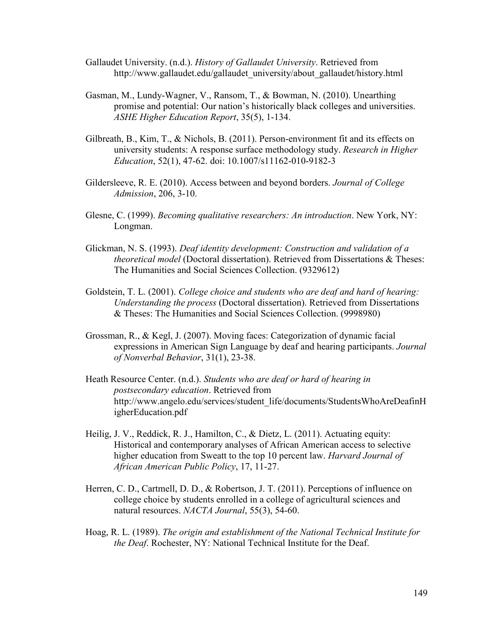- Gallaudet University. (n.d.). *History of Gallaudet University*. Retrieved from [http://www.gallaudet.edu/gallaudet\\_university/about\\_gallaudet/history.html](http://www.gallaudet.edu/gallaudet_university/about_gallaudet/history.html)
- Gasman, M., Lundy-Wagner, V., Ransom, T., & Bowman, N. (2010). Unearthing promise and potential: Our nation's historically black colleges and universities. *ASHE Higher Education Report*, 35(5), 1-134.
- Gilbreath, B., Kim, T., & Nichols, B. (2011). Person-environment fit and its effects on university students: A response surface methodology study. *Research in Higher Education*, 52(1), 47-62. doi: 10.1007/s11162-010-9182-3
- Gildersleeve, R. E. (2010). Access between and beyond borders. *Journal of College Admission*, 206, 3-10.
- Glesne, C. (1999). *Becoming qualitative researchers: An introduction*. New York, NY: Longman.
- Glickman, N. S. (1993). *Deaf identity development: Construction and validation of a theoretical model* (Doctoral dissertation). Retrieved from Dissertations & Theses: The Humanities and Social Sciences Collection. (9329612)
- Goldstein, T. L. (2001). *College choice and students who are deaf and hard of hearing: Understanding the process* (Doctoral dissertation). Retrieved from Dissertations & Theses: The Humanities and Social Sciences Collection. (9998980)
- Grossman, R., & Kegl, J. (2007). Moving faces: Categorization of dynamic facial expressions in American Sign Language by deaf and hearing participants. *Journal of Nonverbal Behavior*, 31(1), 23-38.
- Heath Resource Center. (n.d.). *Students who are deaf or hard of hearing in postsecondary education*. Retrieved from http://www.angelo.edu/services/student\_life/documents/StudentsWhoAreDeafinH igherEducation.pdf
- Heilig, J. V., Reddick, R. J., Hamilton, C., & Dietz, L. (2011). Actuating equity: Historical and contemporary analyses of African American access to selective higher education from Sweatt to the top 10 percent law. *Harvard Journal of African American Public Policy*, 17, 11-27.
- Herren, C. D., Cartmell, D. D., & Robertson, J. T. (2011). Perceptions of influence on college choice by students enrolled in a college of agricultural sciences and natural resources. *NACTA Journal*, 55(3), 54-60.
- Hoag, R. L. (1989). *The origin and establishment of the National Technical Institute for the Deaf*. Rochester, NY: National Technical Institute for the Deaf.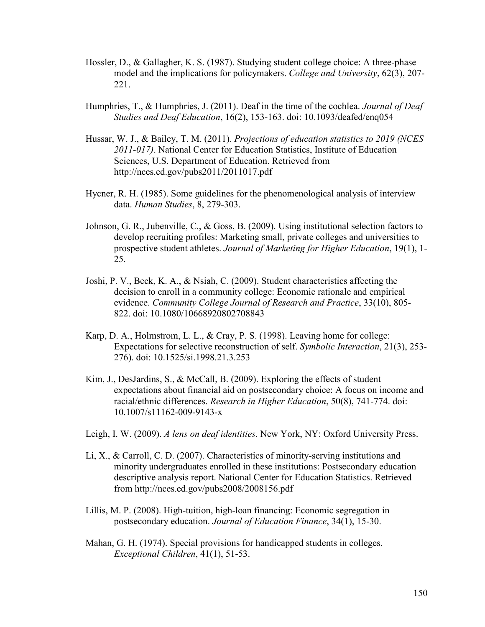- Hossler, D., & Gallagher, K. S. (1987). Studying student college choice: A three-phase model and the implications for policymakers. *College and University*, 62(3), 207- 221.
- Humphries, T., & Humphries, J. (2011). Deaf in the time of the cochlea. *Journal of Deaf Studies and Deaf Education*, 16(2), 153-163. doi: 10.1093/deafed/enq054
- Hussar, W. J., & Bailey, T. M. (2011). *Projections of education statistics to 2019 (NCES 2011-017)*. National Center for Education Statistics, Institute of Education Sciences, U.S. Department of Education. Retrieved from http://nces.ed.gov/pubs2011/2011017.pdf
- Hycner, R. H. (1985). Some guidelines for the phenomenological analysis of interview data. *Human Studies*, 8, 279-303.
- Johnson, G. R., Jubenville, C., & Goss, B. (2009). Using institutional selection factors to develop recruiting profiles: Marketing small, private colleges and universities to prospective student athletes. *Journal of Marketing for Higher Education*, 19(1), 1- 25.
- Joshi, P. V., Beck, K. A., & Nsiah, C. (2009). Student characteristics affecting the decision to enroll in a community college: Economic rationale and empirical evidence. *Community College Journal of Research and Practice*, 33(10), 805- 822. doi: 10.1080/10668920802708843
- Karp, D. A., Holmstrom, L. L., & Cray, P. S. (1998). Leaving home for college: Expectations for selective reconstruction of self. *Symbolic Interaction*, 21(3), 253- 276). doi: 10.1525/si.1998.21.3.253
- Kim, J., DesJardins, S., & McCall, B. (2009). Exploring the effects of student expectations about financial aid on postsecondary choice: A focus on income and racial/ethnic differences. *Research in Higher Education*, 50(8), 741-774. doi: 10.1007/s11162-009-9143-x
- Leigh, I. W. (2009). *A lens on deaf identities*. New York, NY: Oxford University Press.
- Li, X., & Carroll, C. D. (2007). Characteristics of minority-serving institutions and minority undergraduates enrolled in these institutions: Postsecondary education descriptive analysis report. National Center for Education Statistics. Retrieved from http://nces.ed.gov/pubs2008/2008156.pdf
- Lillis, M. P. (2008). High-tuition, high-loan financing: Economic segregation in postsecondary education. *Journal of Education Finance*, 34(1), 15-30.
- Mahan, G. H. (1974). Special provisions for handicapped students in colleges. *Exceptional Children*, 41(1), 51-53.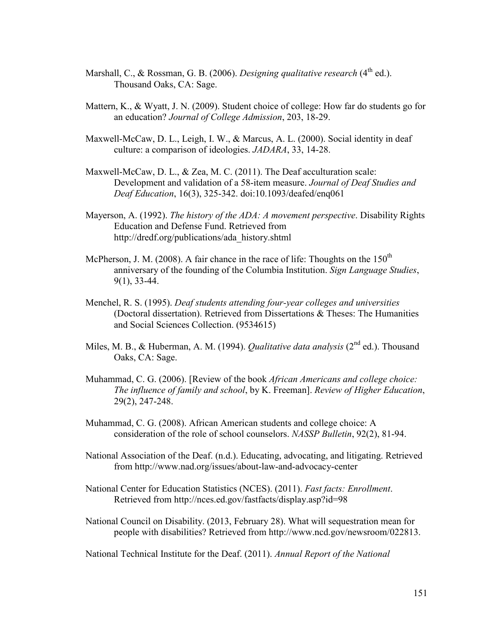- Marshall, C., & Rossman, G. B. (2006). *Designing qualitative research* (4<sup>th</sup> ed.). Thousand Oaks, CA: Sage.
- Mattern, K., & Wyatt, J. N. (2009). Student choice of college: How far do students go for an education? *Journal of College Admission*, 203, 18-29.
- Maxwell-McCaw, D. L., Leigh, I. W., & Marcus, A. L. (2000). Social identity in deaf culture: a comparison of ideologies. *JADARA*, 33, 14-28.
- Maxwell-McCaw, D. L., & Zea, M. C. (2011). The Deaf acculturation scale: Development and validation of a 58-item measure. *Journal of Deaf Studies and Deaf Education*, 16(3), 325-342. doi:10.1093/deafed/enq061
- Mayerson, A. (1992). *The history of the ADA: A movement perspective*. Disability Rights Education and Defense Fund. Retrieved from [http://dredf.org/publications/ada\\_history.shtml](http://dredf.org/publications/ada_history.shtml)
- McPherson, J. M. (2008). A fair chance in the race of life: Thoughts on the  $150<sup>th</sup>$ anniversary of the founding of the Columbia Institution. *Sign Language Studies*, 9(1), 33-44.
- Menchel, R. S. (1995). *Deaf students attending four-year colleges and universities* (Doctoral dissertation). Retrieved from Dissertations & Theses: The Humanities and Social Sciences Collection. (9534615)
- Miles, M. B., & Huberman, A. M. (1994). *Qualitative data analysis* (2<sup>nd</sup> ed.). Thousand Oaks, CA: Sage.
- Muhammad, C. G. (2006). [Review of the book *African Americans and college choice: The influence of family and school*, by K. Freeman]. *Review of Higher Education*, 29(2), 247-248.
- Muhammad, C. G. (2008). African American students and college choice: A consideration of the role of school counselors. *NASSP Bulletin*, 92(2), 81-94.
- National Association of the Deaf. (n.d.). Educating, advocating, and litigating. Retrieved from http://www.nad.org/issues/about-law-and-advocacy-center
- National Center for Education Statistics (NCES). (2011). *Fast facts: Enrollment*. Retrieved from<http://nces.ed.gov/fastfacts/display.asp?id=98>
- National Council on Disability. (2013, February 28). What will sequestration mean for people with disabilities? Retrieved from http://www.ncd.gov/newsroom/022813.

National Technical Institute for the Deaf. (2011). *Annual Report of the National*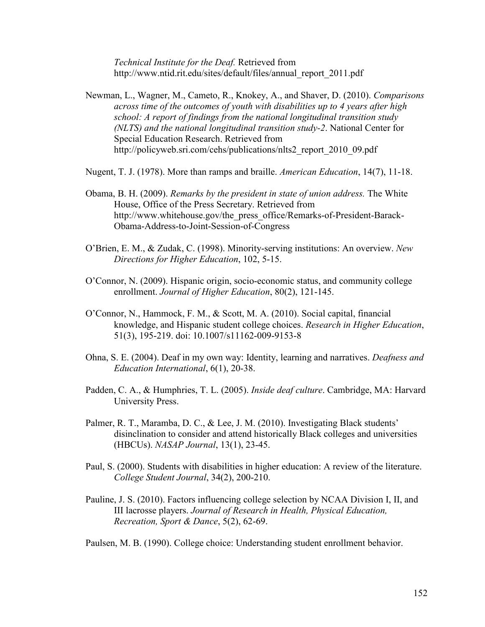*Technical Institute for the Deaf.* Retrieved from http://www.ntid.rit.edu/sites/default/files/annual\_report\_2011.pdf

- Newman, L., Wagner, M., Cameto, R., Knokey, A., and Shaver, D. (2010). *Comparisons across time of the outcomes of youth with disabilities up to 4 years after high school: A report of findings from the national longitudinal transition study (NLTS) and the national longitudinal transition study-2*. National Center for Special Education Research. Retrieved from http://policyweb.sri.com/cehs/publications/nlts2 report 2010 09.pdf
- Nugent, T. J. (1978). More than ramps and braille. *American Education*, 14(7), 11-18.
- Obama, B. H. (2009). *Remarks by the president in state of union address.* The White [House,](http://wiki.answers.com/Q/How_do_you_cite_a_state_of_the_union_address_using_APA) Office of the Press Secretary. Retrieved from http://www.whitehouse.gov/the\_press\_office/Remarks-of-President-Barack-Obama-Address-to-Joint-Session-of-Congress
- O'Brien, E. M., & Zudak, C. (1998). Minority-serving institutions: An overview. *New Directions for Higher Education*, 102, 5-15.
- O'Connor, N. (2009). Hispanic origin, socio-economic status, and community college enrollment. *Journal of Higher Education*, 80(2), 121-145.
- O'Connor, N., Hammock, F. M., & Scott, M. A. (2010). Social capital, financial knowledge, and Hispanic student college choices. *Research in Higher Education*, 51(3), 195-219. doi: 10.1007/s11162-009-9153-8
- Ohna, S. E. (2004). Deaf in my own way: Identity, learning and narratives. *Deafness and Education International*, 6(1), 20-38.
- Padden, C. A., & Humphries, T. L. (2005). *Inside deaf culture*. Cambridge, MA: Harvard University Press.
- Palmer, R. T., Maramba, D. C., & Lee, J. M. (2010). Investigating Black students' disinclination to consider and attend historically Black colleges and universities (HBCUs). *NASAP Journal*, 13(1), 23-45.
- Paul, S. (2000). Students with disabilities in higher education: A review of the literature. *College Student Journal*, 34(2), 200-210.
- Pauline, J. S. (2010). Factors influencing college selection by NCAA Division I, II, and III lacrosse players. *Journal of Research in Health, Physical Education, Recreation, Sport & Dance*, 5(2), 62-69.

Paulsen, M. B. (1990). College choice: Understanding student enrollment behavior.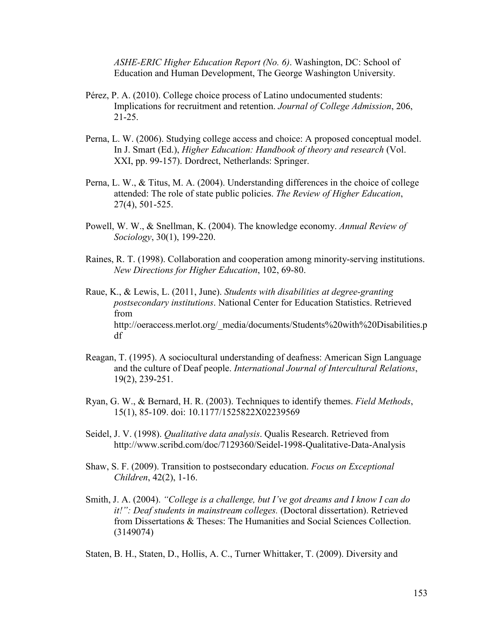*ASHE-ERIC Higher Education Report (No. 6)*. Washington, DC: School of Education and Human Development, The George Washington University.

- Pérez, P. A. (2010). College choice process of Latino undocumented students: Implications for recruitment and retention. *Journal of College Admission*, 206, 21-25.
- Perna, L. W. (2006). Studying college access and choice: A proposed conceptual model. In J. Smart (Ed.), *Higher Education: Handbook of theory and research* (Vol. XXI, pp. 99-157). Dordrect, Netherlands: Springer.
- Perna, L. W., & Titus, M. A. (2004). Understanding differences in the choice of college attended: The role of state public policies. *The Review of Higher Education*, 27(4), 501-525.
- Powell, W. W., & Snellman, K. (2004). The knowledge economy. *Annual Review of Sociology*, 30(1), 199-220.
- Raines, R. T. (1998). Collaboration and cooperation among minority-serving institutions. *New Directions for Higher Education*, 102, 69-80.
- Raue, K., & Lewis, L. (2011, June). *Students with disabilities at degree-granting postsecondary institutions*. National Center for Education Statistics. Retrieved from http://oeraccess.merlot.org/\_media/documents/Students%20with%20Disabilities.p df
- Reagan, T. (1995). A sociocultural understanding of deafness: American Sign Language and the culture of Deaf people. *International Journal of Intercultural Relations*, 19(2), 239-251.
- Ryan, G. W., & Bernard, H. R. (2003). Techniques to identify themes. *Field Methods*, 15(1), 85-109. doi: 10.1177/1525822X02239569
- Seidel, J. V. (1998). *Qualitative data analysis*. Qualis Research. Retrieved from http://www.scribd.com/doc/7129360/Seidel-1998-Qualitative-Data-Analysis
- Shaw, S. F. (2009). Transition to postsecondary education. *Focus on Exceptional Children*, 42(2), 1-16.
- Smith, J. A. (2004). *"College is a challenge, but I've got dreams and I know I can do it!": Deaf students in mainstream colleges.* (Doctoral dissertation). Retrieved from Dissertations & Theses: The Humanities and Social Sciences Collection. (3149074)

Staten, B. H., Staten, D., Hollis, A. C., Turner Whittaker, T. (2009). Diversity and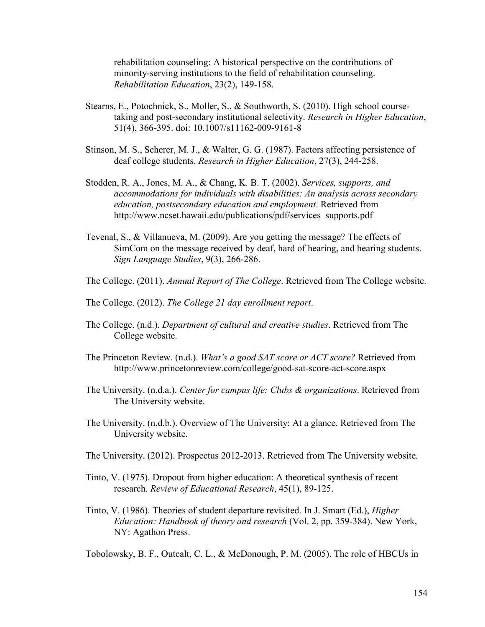rehabilitation counseling: A historical perspective on the contributions of minority-serving institutions to the field of rehabilitation counseling. *Rehabilitation Education*, 23(2), 149-158.

- Stearns, E., Potochnick, S., Moller, S., & Southworth, S. (2010). High school coursetaking and post-secondary institutional selectivity. *Research in Higher Education*, 51(4), 366-395. doi: 10.1007/s11162-009-9161-8
- Stinson, M. S., Scherer, M. J., & Walter, G. G. (1987). Factors affecting persistence of deaf college students. *Research in Higher Education*, 27(3), 244-258.
- Stodden, R. A., Jones, M. A., & Chang, K. B. T. (2002). *Services, supports, and accommodations for individuals with disabilities: An analysis across secondary education, postsecondary education and employment*. Retrieved from [http://www.ncset.hawaii.edu/publications/pdf/services\\_supports.pdf](http://www.ncset.hawaii.edu/publications/pdf/services_supports.pdf)
- Tevenal, S., & Villanueva, M. (2009). Are you getting the message? The effects of SimCom on the message received by deaf, hard of hearing, and hearing students. *Sign Language Studies*, 9(3), 266-286.
- The College. (2011). *Annual Report of The College*. Retrieved from The College website.
- The College. (2012). *The College 21 day enrollment report*.
- The College. (n.d.). *Department of cultural and creative studies*. Retrieved from The College website.
- The Princeton Review. (n.d.). *What's a good SAT score or ACT score?* Retrieved from http://www.princetonreview.com/college/good-sat-score-act-score.aspx
- The University. (n.d.a.). *Center for campus life: Clubs & organizations*. Retrieved from The University website.
- The University. (n.d.b.). Overview of The University: At a glance. Retrieved from The University website.
- The University. (2012). Prospectus 2012-2013. Retrieved from The University website.
- Tinto, V. (1975). Dropout from higher education: A theoretical synthesis of recent research. *Review of Educational Research*, 45(1), 89-125.
- Tinto, V. (1986). Theories of student departure revisited. In J. Smart (Ed.), *Higher Education: Handbook of theory and research* (Vol. 2, pp. 359-384). New York, NY: Agathon Press.

Tobolowsky, B. F., Outcalt, C. L., & McDonough, P. M. (2005). The role of HBCUs in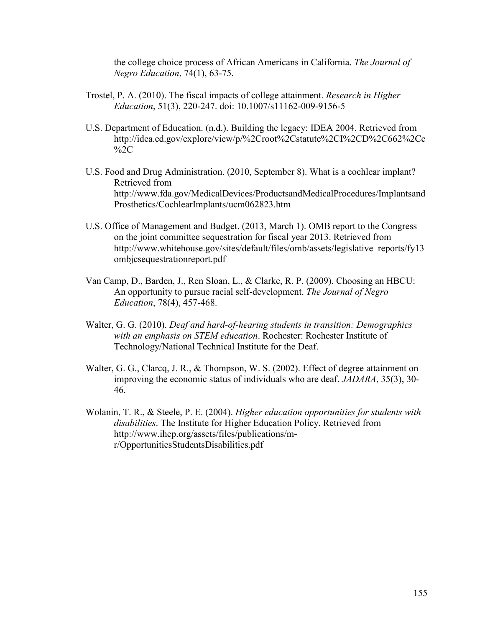the college choice process of African Americans in California. *The Journal of Negro Education*, 74(1), 63-75.

- Trostel, P. A. (2010). The fiscal impacts of college attainment. *Research in Higher Education*, 51(3), 220-247. doi: 10.1007/s11162-009-9156-5
- U.S. Department of Education. (n.d.). Building the legacy: IDEA 2004. Retrieved from http://idea.ed.gov/explore/view/p/%2Croot%2Cstatute%2CI%2CD%2C662%2Cc %2C
- U.S. Food and Drug Administration. (2010, September 8). What is a cochlear implant? Retrieved from http://www.fda.gov/MedicalDevices/ProductsandMedicalProcedures/Implantsand Prosthetics/CochlearImplants/ucm062823.htm
- U.S. Office of Management and Budget. (2013, March 1). OMB report to the Congress on the joint committee sequestration for fiscal year 2013. Retrieved from http://www.whitehouse.gov/sites/default/files/omb/assets/legislative\_reports/fy13 ombjcsequestrationreport.pdf
- Van Camp, D., Barden, J., Ren Sloan, L., & Clarke, R. P. (2009). Choosing an HBCU: An opportunity to pursue racial self-development. *The Journal of Negro Education*, 78(4), 457-468.
- Walter, G. G. (2010). *Deaf and hard-of-hearing students in transition: Demographics with an emphasis on STEM education*. Rochester: Rochester Institute of Technology/National Technical Institute for the Deaf.
- Walter, G. G., Clarcq, J. R., & Thompson, W. S. (2002). Effect of degree attainment on improving the economic status of individuals who are deaf. *JADARA*, 35(3), 30- 46.
- Wolanin, T. R., & Steele, P. E. (2004). *Higher education opportunities for students with disabilities*. The Institute for Higher Education Policy. Retrieved from http://www.ihep.org/assets/files/publications/mr/OpportunitiesStudentsDisabilities.pdf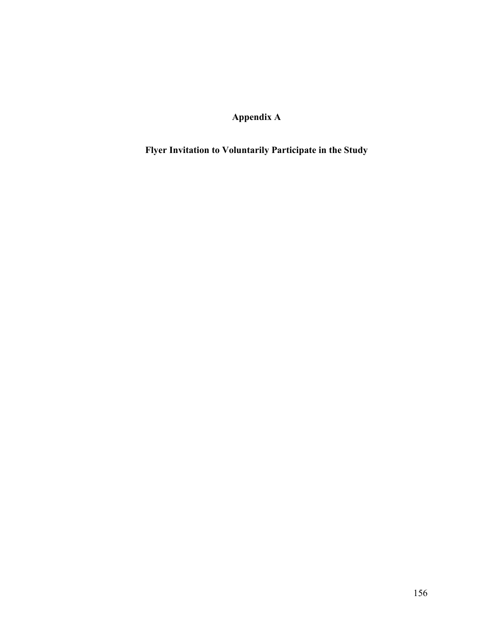**Appendix A**

**Flyer Invitation to Voluntarily Participate in the Study**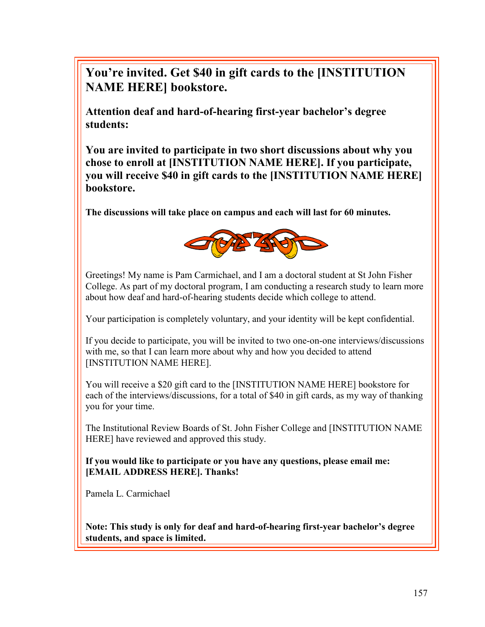**You're invited. Get \$40 in gift cards to the [INSTITUTION NAME HERE] bookstore.** 

**Attention deaf and hard-of-hearing first-year bachelor's degree students:** 

**You are invited to participate in two short discussions about why you chose to enroll at [INSTITUTION NAME HERE]. If you participate, you will receive \$40 in gift cards to the [INSTITUTION NAME HERE] bookstore.**

**The discussions will take place on campus and each will last for 60 minutes.**



Greetings! My name is Pam Carmichael, and I am a doctoral student at St John Fisher College. As part of my doctoral program, I am conducting a research study to learn more about how deaf and hard-of-hearing students decide which college to attend.

Your participation is completely voluntary, and your identity will be kept confidential.

If you decide to participate, you will be invited to two one-on-one interviews/discussions with me, so that I can learn more about why and how you decided to attend [INSTITUTION NAME HERE].

You will receive a \$20 gift card to the [INSTITUTION NAME HERE] bookstore for each of the interviews/discussions, for a total of \$40 in gift cards, as my way of thanking you for your time.

The Institutional Review Boards of St. John Fisher College and [INSTITUTION NAME HERE] have reviewed and approved this study.

**If you would like to participate or you have any questions, please email me: [EMAIL ADDRESS HERE]. Thanks!**

Pamela L. Carmichael

**Note: This study is only for deaf and hard-of-hearing first-year bachelor's degree students, and space is limited.**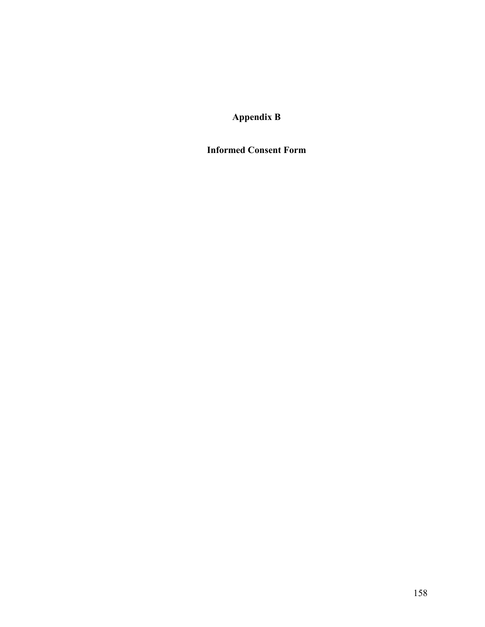**Appendix B** 

**Informed Consent Form**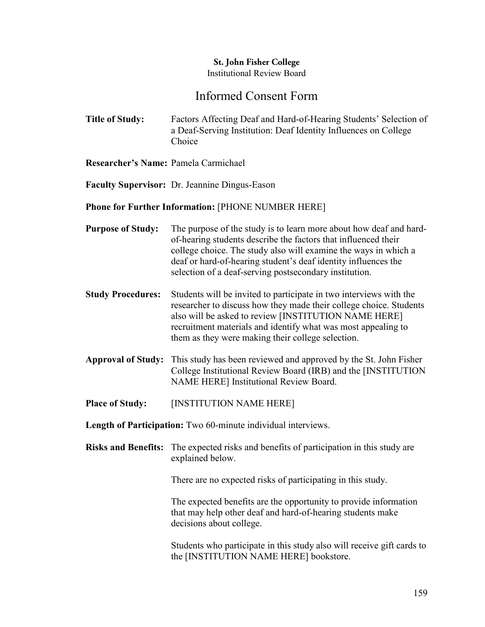# **St. John Fisher College** Institutional Review Board

# Informed Consent Form

- **Title of Study:** Factors Affecting Deaf and Hard-of-Hearing Students' Selection of a Deaf-Serving Institution: Deaf Identity Influences on College Choice
- **Researcher's Name:** Pamela Carmichael
- **Faculty Supervisor:** Dr. Jeannine Dingus-Eason

## **Phone for Further Information:** [PHONE NUMBER HERE]

- **Purpose of Study:** The purpose of the study is to learn more about how deaf and hardof-hearing students describe the factors that influenced their college choice. The study also will examine the ways in which a deaf or hard-of-hearing student's deaf identity influences the selection of a deaf-serving postsecondary institution.
- **Study Procedures:** Students will be invited to participate in two interviews with the researcher to discuss how they made their college choice. Students also will be asked to review [INSTITUTION NAME HERE] recruitment materials and identify what was most appealing to them as they were making their college selection.
- **Approval of Study:** This study has been reviewed and approved by the St. John Fisher College Institutional Review Board (IRB) and the [INSTITUTION NAME HERE] Institutional Review Board.
- **Place of Study:** [INSTITUTION NAME HERE]

**Length of Participation:** Two 60-minute individual interviews.

**Risks and Benefits:** The expected risks and benefits of participation in this study are explained below.

There are no expected risks of participating in this study.

The expected benefits are the opportunity to provide information that may help other deaf and hard-of-hearing students make decisions about college.

Students who participate in this study also will receive gift cards to the [INSTITUTION NAME HERE] bookstore.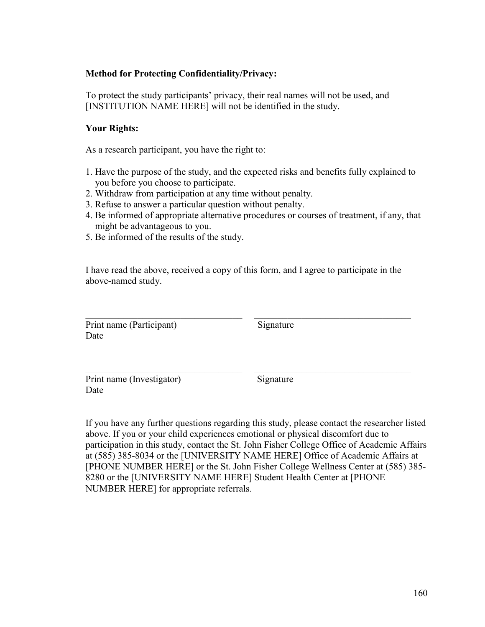## **Method for Protecting Confidentiality/Privacy:**

To protect the study participants' privacy, their real names will not be used, and [INSTITUTION NAME HERE] will not be identified in the study.

### **Your Rights:**

As a research participant, you have the right to:

- 1. Have the purpose of the study, and the expected risks and benefits fully explained to you before you choose to participate.
- 2. Withdraw from participation at any time without penalty.
- 3. Refuse to answer a particular question without penalty.
- 4. Be informed of appropriate alternative procedures or courses of treatment, if any, that might be advantageous to you.
- 5. Be informed of the results of the study.

I have read the above, received a copy of this form, and I agree to participate in the above-named study.

\_\_\_\_\_\_\_\_\_\_\_\_\_\_\_\_\_\_\_\_\_\_\_\_\_\_\_\_\_\_\_\_\_ \_\_\_\_\_\_\_\_\_\_\_\_\_\_\_\_\_\_\_\_\_\_\_\_\_\_\_\_\_\_\_\_\_

\_\_\_\_\_\_\_\_\_\_\_\_\_\_\_\_\_\_\_\_\_\_\_\_\_\_\_\_\_\_\_\_\_ \_\_\_\_\_\_\_\_\_\_\_\_\_\_\_\_\_\_\_\_\_\_\_\_\_\_\_\_\_\_\_\_\_

Print name (Participant) Signature Date

Print name (Investigator) Signature Date

If you have any further questions regarding this study, please contact the researcher listed above. If you or your child experiences emotional or physical discomfort due to participation in this study, contact the St. John Fisher College Office of Academic Affairs at (585) 385-8034 or the [UNIVERSITY NAME HERE] Office of Academic Affairs at [PHONE NUMBER HERE] or the St. John Fisher College Wellness Center at (585) 385- 8280 or the [UNIVERSITY NAME HERE] Student Health Center at [PHONE NUMBER HERE] for appropriate referrals.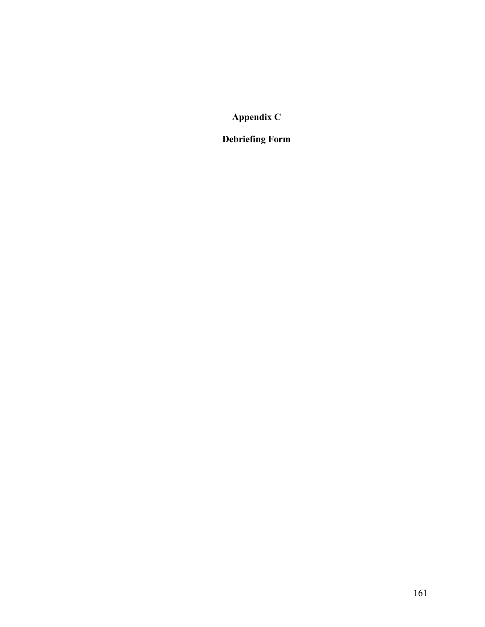**Appendix C**

**Debriefing Form**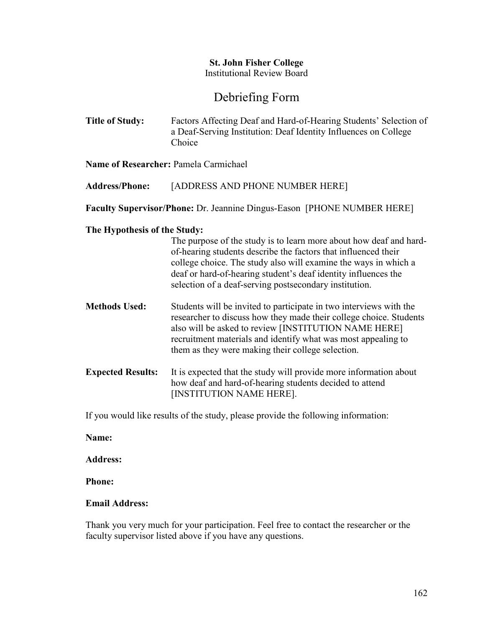# **St. John Fisher College** Institutional Review Board

# Debriefing Form

**Title of Study:** Factors Affecting Deaf and Hard-of-Hearing Students' Selection of a Deaf-Serving Institution: Deaf Identity Influences on College Choice

**Name of Researcher:** Pamela Carmichael

**Address/Phone:** [ADDRESS AND PHONE NUMBER HERE]

**Faculty Supervisor/Phone:** Dr. Jeannine Dingus-Eason [PHONE NUMBER HERE]

## **The Hypothesis of the Study:**

|                          | The purpose of the study is to learn more about how deaf and hard-<br>of-hearing students describe the factors that influenced their<br>college choice. The study also will examine the ways in which a<br>deaf or hard-of-hearing student's deaf identity influences the<br>selection of a deaf-serving postsecondary institution. |
|--------------------------|-------------------------------------------------------------------------------------------------------------------------------------------------------------------------------------------------------------------------------------------------------------------------------------------------------------------------------------|
| <b>Methods Used:</b>     | Students will be invited to participate in two interviews with the<br>researcher to discuss how they made their college choice. Students<br>also will be asked to review [INSTITUTION NAME HERE]<br>recruitment materials and identify what was most appealing to<br>them as they were making their college selection.              |
| <b>Expected Results:</b> | It is expected that the study will provide more information about<br>how deaf and hard-of-hearing students decided to attend<br>[INSTITUTION NAME HERE].                                                                                                                                                                            |

If you would like results of the study, please provide the following information:

**Name:**

**Address:**

**Phone:**

## **Email Address:**

Thank you very much for your participation. Feel free to contact the researcher or the faculty supervisor listed above if you have any questions.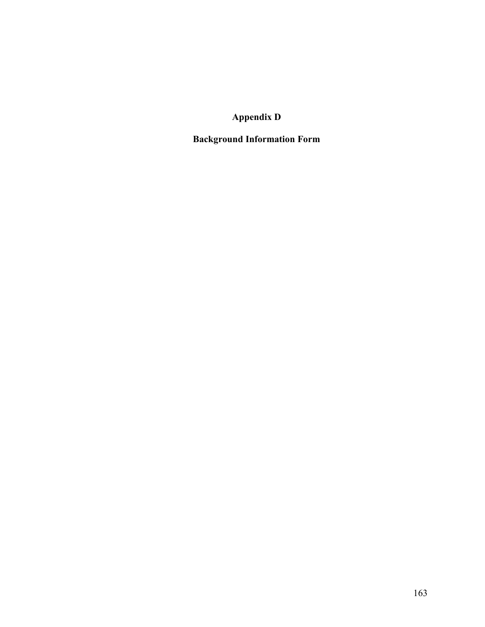**Appendix D**

**Background Information Form**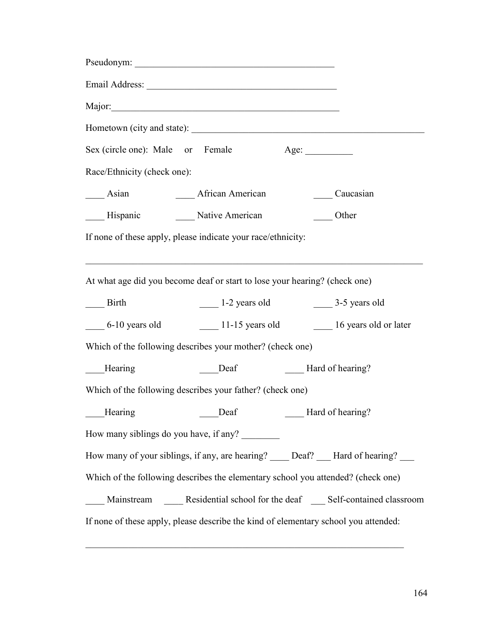|                                        | Pseudonym:                                                                             |                  |           |
|----------------------------------------|----------------------------------------------------------------------------------------|------------------|-----------|
|                                        |                                                                                        |                  |           |
|                                        |                                                                                        |                  |           |
|                                        |                                                                                        |                  |           |
| Sex (circle one): Male or Female       |                                                                                        | Age: $\_\_$      |           |
| Race/Ethnicity (check one):            |                                                                                        |                  |           |
| $\frac{\ }{}$ Asian                    | <b>African American</b>                                                                |                  | Caucasian |
| —— Hispanic                            | Native American                                                                        |                  | Other     |
|                                        | If none of these apply, please indicate your race/ethnicity:                           |                  |           |
|                                        | At what age did you become deaf or start to lose your hearing? (check one)             |                  |           |
| $\frac{1}{\sqrt{1-\frac{1}{2}}}$ Birth | $\frac{1}{2}$ 1-2 years old $\frac{3}{5}$ years old                                    |                  |           |
|                                        | 6-10 years old 11-15 years old 16 years old or later                                   |                  |           |
|                                        | Which of the following describes your mother? (check one)                              |                  |           |
| Hearing                                | Deaf                                                                                   | Hard of hearing? |           |
|                                        | Which of the following describes your father? (check one)                              |                  |           |
|                                        | Hearing Deaf Hard of hearing?                                                          |                  |           |
|                                        | How many siblings do you have, if any?                                                 |                  |           |
|                                        | How many of your siblings, if any, are hearing? _____ Deaf? ____ Hard of hearing? ____ |                  |           |
|                                        | Which of the following describes the elementary school you attended? (check one)       |                  |           |
|                                        | Mainstream _______ Residential school for the deaf _______ Self-contained classroom    |                  |           |
|                                        | If none of these apply, please describe the kind of elementary school you attended:    |                  |           |

\_\_\_\_\_\_\_\_\_\_\_\_\_\_\_\_\_\_\_\_\_\_\_\_\_\_\_\_\_\_\_\_\_\_\_\_\_\_\_\_\_\_\_\_\_\_\_\_\_\_\_\_\_\_\_\_\_\_\_\_\_\_\_\_\_\_\_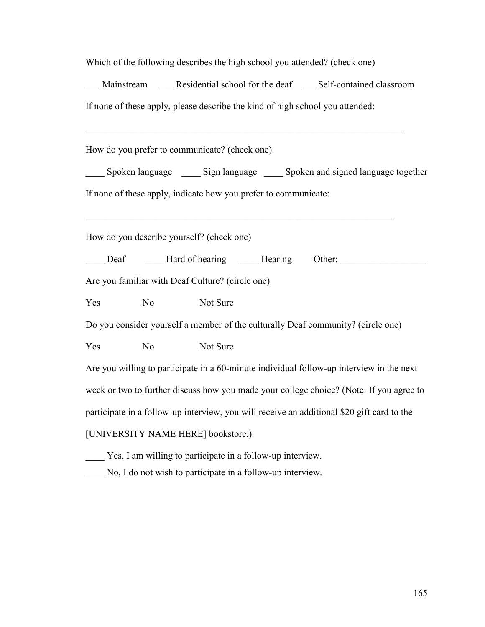| Which of the following describes the high school you attended? (check one)                 |
|--------------------------------------------------------------------------------------------|
| __ Mainstream ____ Residential school for the deaf ____ Self-contained classroom           |
| If none of these apply, please describe the kind of high school you attended:              |
| How do you prefer to communicate? (check one)                                              |
|                                                                                            |
| Spoken language _______ Sign language _______ Spoken and signed language together          |
| If none of these apply, indicate how you prefer to communicate:                            |
|                                                                                            |
| How do you describe yourself? (check one)                                                  |
| Deaf Learning Learning Other:                                                              |
| Are you familiar with Deaf Culture? (circle one)                                           |
| N <sub>o</sub><br>Not Sure<br>Yes                                                          |
| Do you consider yourself a member of the culturally Deaf community? (circle one)           |
| N <sub>o</sub><br>Not Sure<br>Yes                                                          |
| Are you willing to participate in a 60-minute individual follow-up interview in the next   |
| week or two to further discuss how you made your college choice? (Note: If you agree to    |
| participate in a follow-up interview, you will receive an additional \$20 gift card to the |
| [UNIVERSITY NAME HERE] bookstore.)                                                         |
| ____ Yes, I am willing to participate in a follow-up interview.                            |

\_\_\_\_ No, I do not wish to participate in a follow-up interview.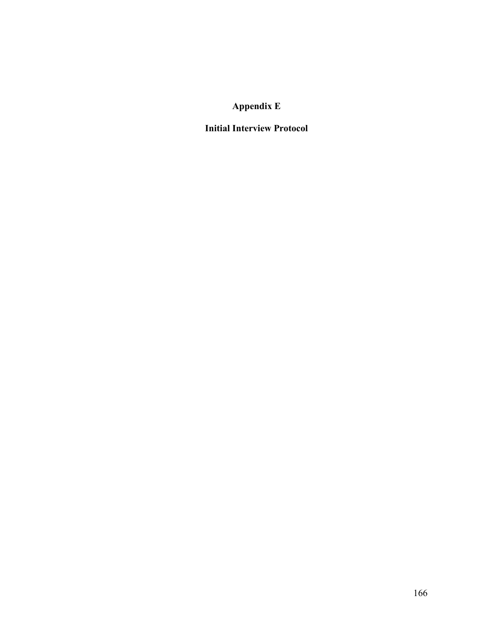# **Appendix E**

# **Initial Interview Protocol**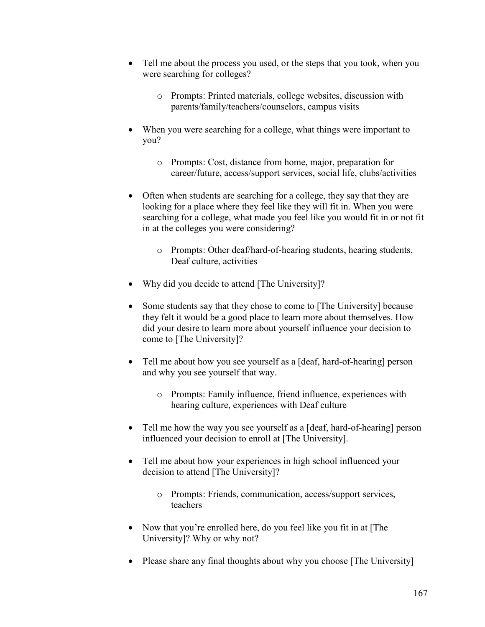- Tell me about the process you used, or the steps that you took, when you were searching for colleges?
	- o Prompts: Printed materials, college websites, discussion with parents/family/teachers/counselors, campus visits
- When you were searching for a college, what things were important to you?
	- o Prompts: Cost, distance from home, major, preparation for career/future, access/support services, social life, clubs/activities
- Often when students are searching for a college, they say that they are looking for a place where they feel like they will fit in. When you were searching for a college, what made you feel like you would fit in or not fit in at the colleges you were considering?
	- o Prompts: Other deaf/hard-of-hearing students, hearing students, Deaf culture, activities
- Why did you decide to attend [The University]?
- Some students say that they chose to come to [The University] because they felt it would be a good place to learn more about themselves. How did your desire to learn more about yourself influence your decision to come to [The University]?
- Tell me about how you see yourself as a [deaf, hard-of-hearing] person and why you see yourself that way.
	- o Prompts: Family influence, friend influence, experiences with hearing culture, experiences with Deaf culture
- Tell me how the way you see yourself as a [deaf, hard-of-hearing] person influenced your decision to enroll at [The University].
- Tell me about how your experiences in high school influenced your decision to attend [The University]?
	- o Prompts: Friends, communication, access/support services, teachers
- Now that you're enrolled here, do you feel like you fit in at [The University]? Why or why not?
- Please share any final thoughts about why you choose [The University]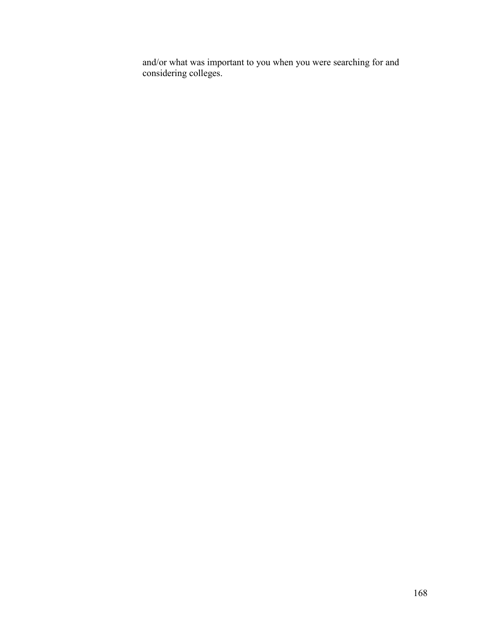and/or what was important to you when you were searching for and considering colleges.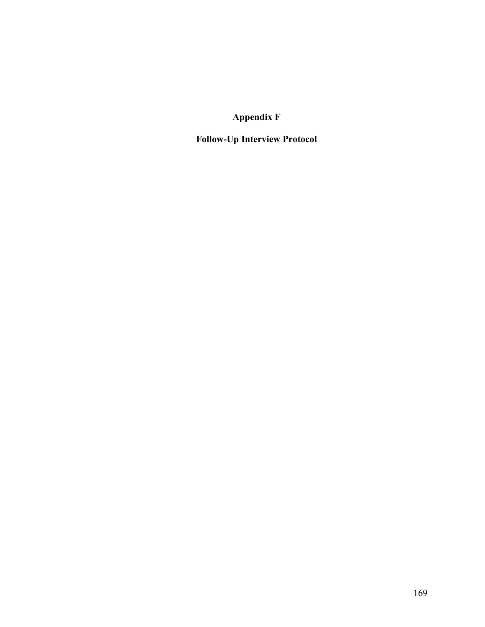**Appendix F**

**Follow-Up Interview Protocol**